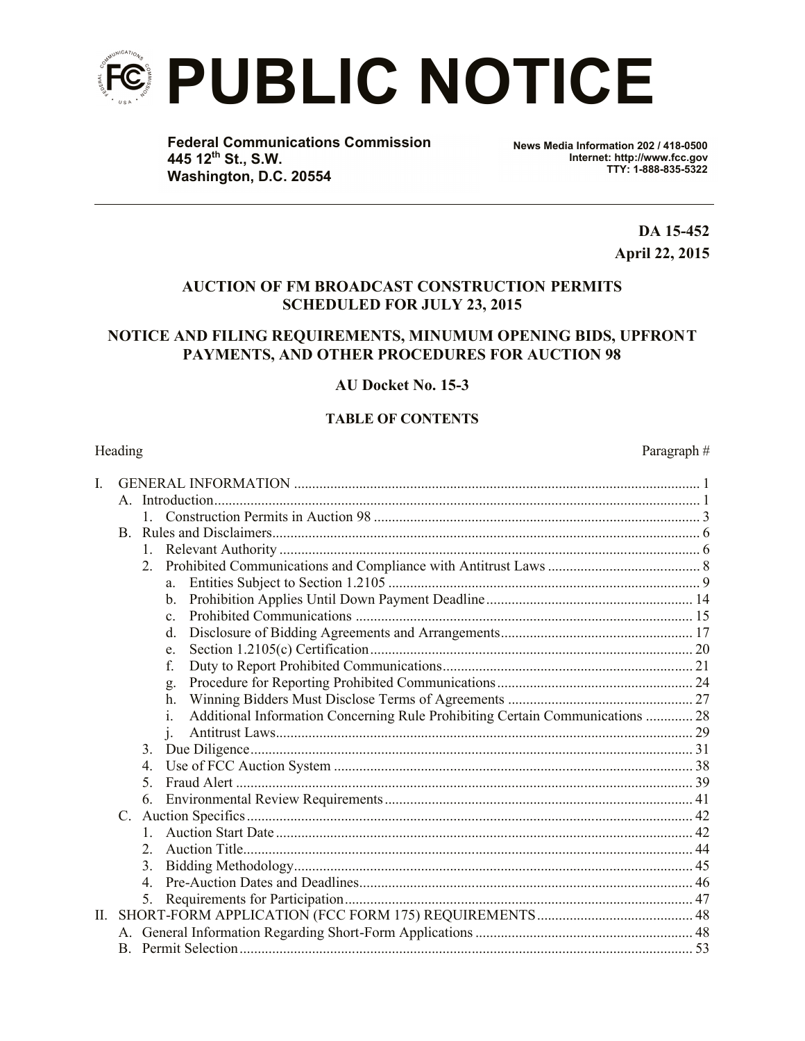

**Federal Communications Commission 445 12th St., S.W. Washington, D.C. 20554**

**News Media Information 202 / 418-0500 Internet: http://www.fcc.gov TTY: 1-888-835-5322**

> **DA 15-452 April 22, 2015**

## **AUCTION OF FM BROADCAST CONSTRUCTION PERMITS SCHEDULED FOR JULY 23, 2015**

## **NOTICE AND FILING REQUIREMENTS, MINUMUM OPENING BIDS, UPFRONT PAYMENTS, AND OTHER PROCEDURES FOR AUCTION 98**

## **AU Docket No. 15-3**

## **TABLE OF CONTENTS**

#### Heading Paragraph #

| I.  |             |                |                                                                                               |  |  |  |
|-----|-------------|----------------|-----------------------------------------------------------------------------------------------|--|--|--|
|     |             |                |                                                                                               |  |  |  |
|     |             |                |                                                                                               |  |  |  |
|     |             |                |                                                                                               |  |  |  |
|     |             |                |                                                                                               |  |  |  |
|     |             | 2.             |                                                                                               |  |  |  |
|     |             |                | a                                                                                             |  |  |  |
|     |             |                | $\mathbf{b}$ .                                                                                |  |  |  |
|     |             |                | $\mathbf{c}$                                                                                  |  |  |  |
|     |             |                | $d_{\cdot}$                                                                                   |  |  |  |
|     |             |                | e.                                                                                            |  |  |  |
|     |             |                | f.                                                                                            |  |  |  |
|     |             |                | g.                                                                                            |  |  |  |
|     |             |                | $h_{-}$                                                                                       |  |  |  |
|     |             |                | Additional Information Concerning Rule Prohibiting Certain Communications  28<br>$\mathbf{1}$ |  |  |  |
|     |             |                |                                                                                               |  |  |  |
|     |             | $3_{-}$        |                                                                                               |  |  |  |
|     |             | 4.             |                                                                                               |  |  |  |
|     |             | 5.             |                                                                                               |  |  |  |
|     |             | 6.             |                                                                                               |  |  |  |
|     | $C_{\cdot}$ |                |                                                                                               |  |  |  |
|     |             | $1 \quad$      |                                                                                               |  |  |  |
|     |             | $\mathfrak{L}$ |                                                                                               |  |  |  |
|     |             | 3.             |                                                                                               |  |  |  |
|     |             | $\overline{4}$ |                                                                                               |  |  |  |
|     |             | 5.             |                                                                                               |  |  |  |
| II. |             |                |                                                                                               |  |  |  |
|     |             |                |                                                                                               |  |  |  |
|     |             |                |                                                                                               |  |  |  |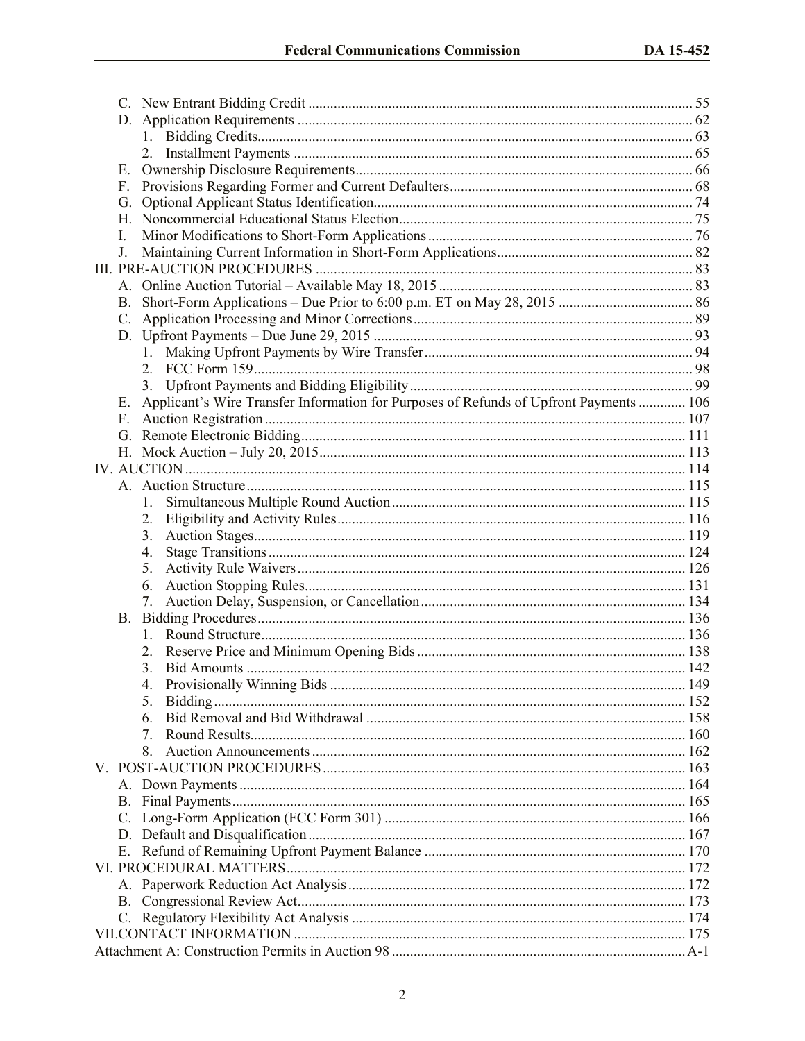| Е. |                                                                                        |  |  |  |
|----|----------------------------------------------------------------------------------------|--|--|--|
| F. |                                                                                        |  |  |  |
| G. |                                                                                        |  |  |  |
|    |                                                                                        |  |  |  |
| I. |                                                                                        |  |  |  |
| J. |                                                                                        |  |  |  |
|    |                                                                                        |  |  |  |
|    |                                                                                        |  |  |  |
| В. |                                                                                        |  |  |  |
| C. |                                                                                        |  |  |  |
|    |                                                                                        |  |  |  |
|    |                                                                                        |  |  |  |
|    |                                                                                        |  |  |  |
|    |                                                                                        |  |  |  |
| Е. | Applicant's Wire Transfer Information for Purposes of Refunds of Upfront Payments  106 |  |  |  |
|    |                                                                                        |  |  |  |
|    |                                                                                        |  |  |  |
|    |                                                                                        |  |  |  |
|    |                                                                                        |  |  |  |
|    |                                                                                        |  |  |  |
|    | 1.                                                                                     |  |  |  |
|    | 2.                                                                                     |  |  |  |
|    | 3 <sub>1</sub>                                                                         |  |  |  |
|    | 4.                                                                                     |  |  |  |
|    | 5.                                                                                     |  |  |  |
|    | 6.                                                                                     |  |  |  |
|    | 7.                                                                                     |  |  |  |
|    |                                                                                        |  |  |  |
|    |                                                                                        |  |  |  |
|    |                                                                                        |  |  |  |
|    | 3.                                                                                     |  |  |  |
|    | 4                                                                                      |  |  |  |
|    | 5.                                                                                     |  |  |  |
|    | 6.                                                                                     |  |  |  |
|    | 7                                                                                      |  |  |  |
|    |                                                                                        |  |  |  |
|    |                                                                                        |  |  |  |
|    |                                                                                        |  |  |  |
|    |                                                                                        |  |  |  |
| C. |                                                                                        |  |  |  |
|    |                                                                                        |  |  |  |
|    |                                                                                        |  |  |  |
|    |                                                                                        |  |  |  |
|    |                                                                                        |  |  |  |
| В. |                                                                                        |  |  |  |
|    |                                                                                        |  |  |  |
|    |                                                                                        |  |  |  |
|    |                                                                                        |  |  |  |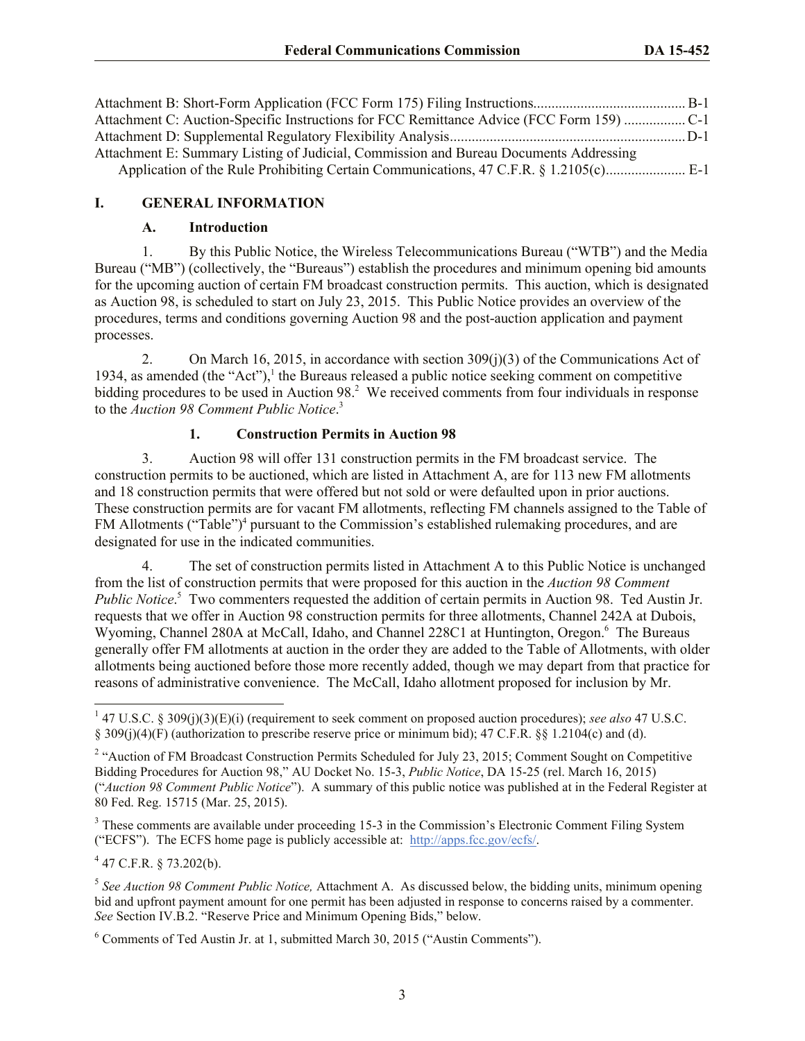| Attachment C: Auction-Specific Instructions for FCC Remittance Advice (FCC Form 159) C-1 |  |
|------------------------------------------------------------------------------------------|--|
|                                                                                          |  |
| Attachment E: Summary Listing of Judicial, Commission and Bureau Documents Addressing    |  |
|                                                                                          |  |

## **I. GENERAL INFORMATION**

#### **A. Introduction**

1. By this Public Notice, the Wireless Telecommunications Bureau ("WTB") and the Media Bureau ("MB") (collectively, the "Bureaus") establish the procedures and minimum opening bid amounts for the upcoming auction of certain FM broadcast construction permits. This auction, which is designated as Auction 98, is scheduled to start on July 23, 2015. This Public Notice provides an overview of the procedures, terms and conditions governing Auction 98 and the post-auction application and payment processes.

2. On March 16, 2015, in accordance with section 309(j)(3) of the Communications Act of 1934, as amended (the "Act"), $<sup>1</sup>$  the Bureaus released a public notice seeking comment on competitive</sup> bidding procedures to be used in Auction 98.<sup>2</sup> We received comments from four individuals in response to the *Auction 98 Comment Public Notice*. 3

## **1. Construction Permits in Auction 98**

3. Auction 98 will offer 131 construction permits in the FM broadcast service. The construction permits to be auctioned, which are listed in Attachment A, are for 113 new FM allotments and 18 construction permits that were offered but not sold or were defaulted upon in prior auctions. These construction permits are for vacant FM allotments, reflecting FM channels assigned to the Table of FM Allotments ("Table")<sup>4</sup> pursuant to the Commission's established rulemaking procedures, and are designated for use in the indicated communities.

4. The set of construction permits listed in Attachment A to this Public Notice is unchanged from the list of construction permits that were proposed for this auction in the *Auction 98 Comment*  Public Notice.<sup>5</sup> Two commenters requested the addition of certain permits in Auction 98. Ted Austin Jr. requests that we offer in Auction 98 construction permits for three allotments, Channel 242A at Dubois, Wyoming, Channel 280A at McCall, Idaho, and Channel 228C1 at Huntington, Oregon.<sup>6</sup> The Bureaus generally offer FM allotments at auction in the order they are added to the Table of Allotments, with older allotments being auctioned before those more recently added, though we may depart from that practice for reasons of administrative convenience. The McCall, Idaho allotment proposed for inclusion by Mr.

 $447$  C.F.R. § 73.202(b).

 $\overline{\phantom{a}}$ 

<sup>1</sup> 47 U.S.C. § 309(j)(3)(E)(i) (requirement to seek comment on proposed auction procedures); *see also* 47 U.S.C. § 309(j)(4)(F) (authorization to prescribe reserve price or minimum bid); 47 C.F.R. §§ 1.2104(c) and (d).

<sup>&</sup>lt;sup>2</sup> "Auction of FM Broadcast Construction Permits Scheduled for July 23, 2015; Comment Sought on Competitive Bidding Procedures for Auction 98," AU Docket No. 15-3, *Public Notice*, DA 15-25 (rel. March 16, 2015) ("*Auction 98 Comment Public Notice*"). A summary of this public notice was published at in the Federal Register at 80 Fed. Reg. 15715 (Mar. 25, 2015).

<sup>&</sup>lt;sup>3</sup> These comments are available under proceeding 15-3 in the Commission's Electronic Comment Filing System ("ECFS"). The ECFS home page is publicly accessible at: http://apps.fcc.gov/ecfs/.

<sup>5</sup> *See Auction 98 Comment Public Notice,* Attachment A. As discussed below, the bidding units, minimum opening bid and upfront payment amount for one permit has been adjusted in response to concerns raised by a commenter. *See* Section IV.B.2. "Reserve Price and Minimum Opening Bids," below.

 $6$  Comments of Ted Austin Jr. at 1, submitted March 30, 2015 ("Austin Comments").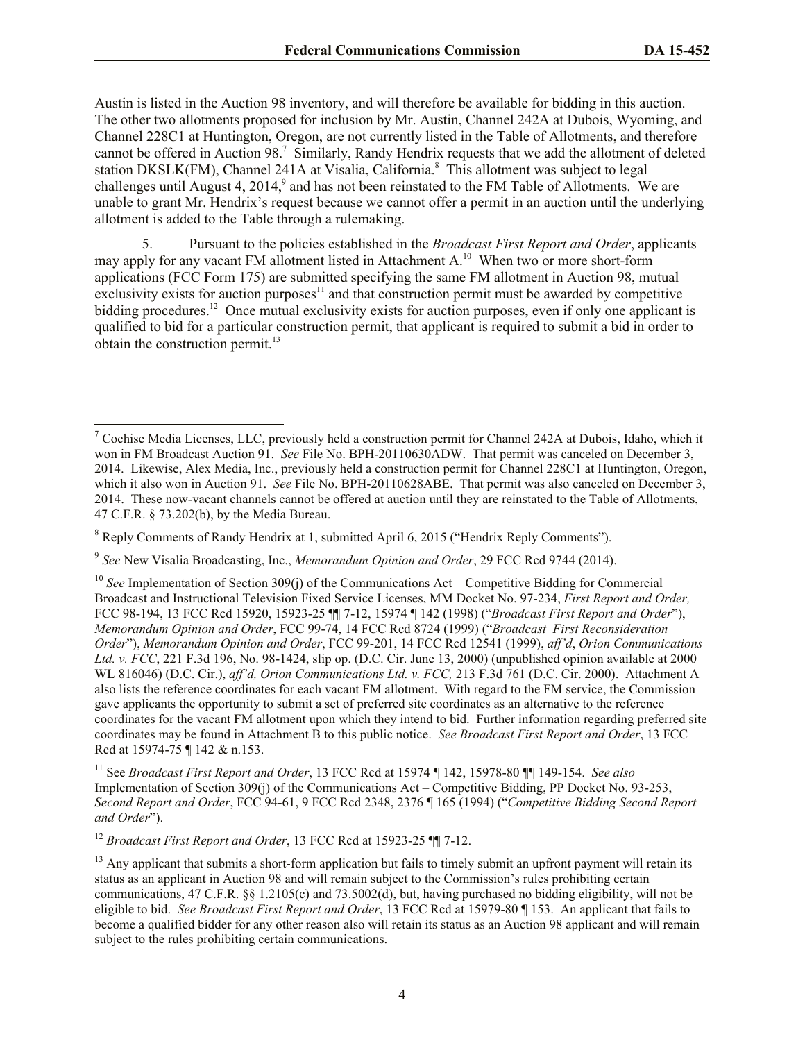Austin is listed in the Auction 98 inventory, and will therefore be available for bidding in this auction. The other two allotments proposed for inclusion by Mr. Austin, Channel 242A at Dubois, Wyoming, and Channel 228C1 at Huntington, Oregon, are not currently listed in the Table of Allotments, and therefore cannot be offered in Auction 98.<sup>7</sup> Similarly, Randy Hendrix requests that we add the allotment of deleted station DKSLK(FM), Channel 241A at Visalia, California.<sup>8</sup> This allotment was subject to legal challenges until August 4,  $2014$ , and has not been reinstated to the FM Table of Allotments. We are unable to grant Mr. Hendrix's request because we cannot offer a permit in an auction until the underlying allotment is added to the Table through a rulemaking.

5. Pursuant to the policies established in the *Broadcast First Report and Order*, applicants may apply for any vacant FM allotment listed in Attachment A.<sup>10</sup> When two or more short-form applications (FCC Form 175) are submitted specifying the same FM allotment in Auction 98, mutual exclusivity exists for auction purposes $11$  and that construction permit must be awarded by competitive bidding procedures.<sup>12</sup> Once mutual exclusivity exists for auction purposes, even if only one applicant is qualified to bid for a particular construction permit, that applicant is required to submit a bid in order to obtain the construction permit. $^{13}$ 

<sup>12</sup> *Broadcast First Report and Order*, 13 FCC Rcd at 15923-25 ¶¶ 7-12.

 $\overline{\phantom{a}}$  $7$  Cochise Media Licenses, LLC, previously held a construction permit for Channel 242A at Dubois, Idaho, which it won in FM Broadcast Auction 91. *See* File No. BPH-20110630ADW. That permit was canceled on December 3, 2014. Likewise, Alex Media, Inc., previously held a construction permit for Channel 228C1 at Huntington, Oregon, which it also won in Auction 91. *See* File No. BPH-20110628ABE. That permit was also canceled on December 3, 2014. These now-vacant channels cannot be offered at auction until they are reinstated to the Table of Allotments, 47 C.F.R. § 73.202(b), by the Media Bureau.

<sup>8</sup> Reply Comments of Randy Hendrix at 1, submitted April 6, 2015 ("Hendrix Reply Comments").

<sup>9</sup> *See* New Visalia Broadcasting, Inc., *Memorandum Opinion and Order*, 29 FCC Rcd 9744 (2014).

<sup>10</sup> *See* Implementation of Section 309(j) of the Communications Act – Competitive Bidding for Commercial Broadcast and Instructional Television Fixed Service Licenses, MM Docket No. 97-234, *First Report and Order,*  FCC 98-194, 13 FCC Rcd 15920, 15923-25 ¶¶ 7-12, 15974 ¶ 142 (1998) ("*Broadcast First Report and Order*"), *Memorandum Opinion and Order*, FCC 99-74, 14 FCC Rcd 8724 (1999) ("*Broadcast First Reconsideration Order*"), *Memorandum Opinion and Order*, FCC 99-201, 14 FCC Rcd 12541 (1999), *aff'd*, *Orion Communications Ltd. v. FCC*, 221 F.3d 196, No. 98-1424, slip op. (D.C. Cir. June 13, 2000) (unpublished opinion available at 2000 WL 816046) (D.C. Cir.), *aff'd, Orion Communications Ltd. v. FCC,* 213 F.3d 761 (D.C. Cir. 2000). Attachment A also lists the reference coordinates for each vacant FM allotment. With regard to the FM service, the Commission gave applicants the opportunity to submit a set of preferred site coordinates as an alternative to the reference coordinates for the vacant FM allotment upon which they intend to bid. Further information regarding preferred site coordinates may be found in Attachment B to this public notice. *See Broadcast First Report and Order*, 13 FCC Rcd at 15974-75 ¶ 142 & n.153.

<sup>11</sup> See *Broadcast First Report and Order*, 13 FCC Rcd at 15974 ¶ 142, 15978-80 ¶¶ 149-154. *See also* Implementation of Section 309(j) of the Communications Act – Competitive Bidding, PP Docket No. 93-253, *Second Report and Order*, FCC 94-61, 9 FCC Rcd 2348, 2376 ¶ 165 (1994) ("*Competitive Bidding Second Report and Order*").

 $13$  Any applicant that submits a short-form application but fails to timely submit an upfront payment will retain its status as an applicant in Auction 98 and will remain subject to the Commission's rules prohibiting certain communications, 47 C.F.R. §§ 1.2105(c) and 73.5002(d), but, having purchased no bidding eligibility, will not be eligible to bid. *See Broadcast First Report and Order*, 13 FCC Rcd at 15979-80 ¶ 153. An applicant that fails to become a qualified bidder for any other reason also will retain its status as an Auction 98 applicant and will remain subject to the rules prohibiting certain communications.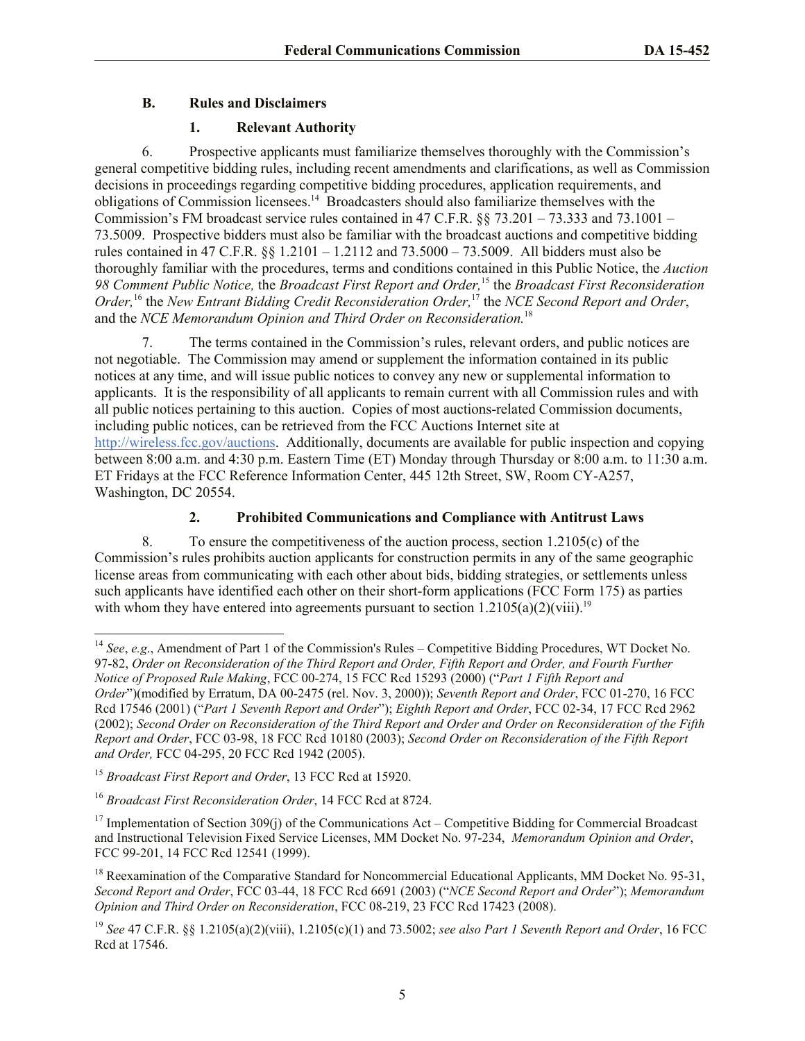## **B. Rules and Disclaimers**

## **1. Relevant Authority**

6. Prospective applicants must familiarize themselves thoroughly with the Commission's general competitive bidding rules, including recent amendments and clarifications, as well as Commission decisions in proceedings regarding competitive bidding procedures, application requirements, and obligations of Commission licensees.<sup>14</sup> Broadcasters should also familiarize themselves with the Commission's FM broadcast service rules contained in 47 C.F.R. §§ 73.201 – 73.333 and 73.1001 – 73.5009. Prospective bidders must also be familiar with the broadcast auctions and competitive bidding rules contained in 47 C.F.R. §§ 1.2101 – 1.2112 and 73.5000 – 73.5009. All bidders must also be thoroughly familiar with the procedures, terms and conditions contained in this Public Notice, the *Auction 98 Comment Public Notice,* the *Broadcast First Report and Order,*<sup>15</sup> the *Broadcast First Reconsideration Order,*<sup>16</sup> the *New Entrant Bidding Credit Reconsideration Order,*<sup>17</sup> the *NCE Second Report and Order*, and the *NCE Memorandum Opinion and Third Order on Reconsideration.*<sup>18</sup>

7. The terms contained in the Commission's rules, relevant orders, and public notices are not negotiable. The Commission may amend or supplement the information contained in its public notices at any time, and will issue public notices to convey any new or supplemental information to applicants. It is the responsibility of all applicants to remain current with all Commission rules and with all public notices pertaining to this auction. Copies of most auctions-related Commission documents, including public notices, can be retrieved from the FCC Auctions Internet site at http://wireless.fcc.gov/auctions. Additionally, documents are available for public inspection and copying between 8:00 a.m. and 4:30 p.m. Eastern Time (ET) Monday through Thursday or 8:00 a.m. to 11:30 a.m. ET Fridays at the FCC Reference Information Center, 445 12th Street, SW, Room CY-A257, Washington, DC 20554.

## **2. Prohibited Communications and Compliance with Antitrust Laws**

8. To ensure the competitiveness of the auction process, section 1.2105(c) of the Commission's rules prohibits auction applicants for construction permits in any of the same geographic license areas from communicating with each other about bids, bidding strategies, or settlements unless such applicants have identified each other on their short-form applications (FCC Form 175) as parties with whom they have entered into agreements pursuant to section  $1.2105(a)(2)(viii).$ <sup>19</sup>

 $\overline{a}$ 

<sup>&</sup>lt;sup>14</sup> *See*, *e.g.*, Amendment of Part 1 of the Commission's Rules – Competitive Bidding Procedures, WT Docket No. 97-82, *Order on Reconsideration of the Third Report and Order, Fifth Report and Order, and Fourth Further Notice of Proposed Rule Making*, FCC 00-274, 15 FCC Rcd 15293 (2000) ("*Part 1 Fifth Report and Order*")(modified by Erratum, DA 00-2475 (rel. Nov. 3, 2000)); *Seventh Report and Order*, FCC 01-270, 16 FCC Rcd 17546 (2001) ("*Part 1 Seventh Report and Order*"); *Eighth Report and Order*, FCC 02-34, 17 FCC Rcd 2962 (2002); *Second Order on Reconsideration of the Third Report and Order and Order on Reconsideration of the Fifth Report and Order*, FCC 03-98, 18 FCC Rcd 10180 (2003); *Second Order on Reconsideration of the Fifth Report and Order,* FCC 04-295, 20 FCC Rcd 1942 (2005).

<sup>15</sup> *Broadcast First Report and Order*, 13 FCC Rcd at 15920.

<sup>16</sup> *Broadcast First Reconsideration Order*, 14 FCC Rcd at 8724.

<sup>&</sup>lt;sup>17</sup> Implementation of Section 309(j) of the Communications Act – Competitive Bidding for Commercial Broadcast and Instructional Television Fixed Service Licenses, MM Docket No. 97-234, *Memorandum Opinion and Order*, FCC 99-201, 14 FCC Rcd 12541 (1999).

<sup>&</sup>lt;sup>18</sup> Reexamination of the Comparative Standard for Noncommercial Educational Applicants, MM Docket No. 95-31, *Second Report and Order*, FCC 03-44, 18 FCC Rcd 6691 (2003) ("*NCE Second Report and Order*"); *Memorandum Opinion and Third Order on Reconsideration*, FCC 08-219, 23 FCC Rcd 17423 (2008).

<sup>19</sup> *See* 47 C.F.R. §§ 1.2105(a)(2)(viii), 1.2105(c)(1) and 73.5002; *see also Part 1 Seventh Report and Order*, 16 FCC Rcd at 17546.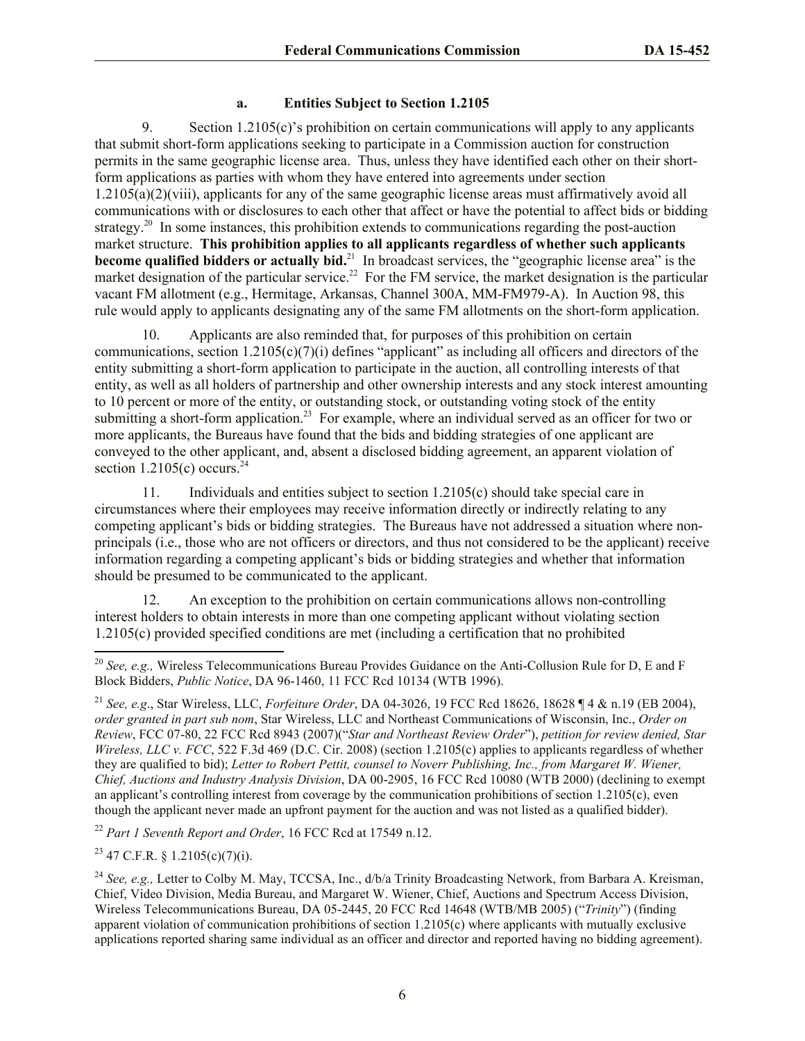#### **a. Entities Subject to Section 1.2105**

9. Section 1.2105(c)'s prohibition on certain communications will apply to any applicants that submit short-form applications seeking to participate in a Commission auction for construction permits in the same geographic license area. Thus, unless they have identified each other on their shortform applications as parties with whom they have entered into agreements under section 1.2105(a)(2)(viii), applicants for any of the same geographic license areas must affirmatively avoid all communications with or disclosures to each other that affect or have the potential to affect bids or bidding strategy.<sup>20</sup> In some instances, this prohibition extends to communications regarding the post-auction market structure. **This prohibition applies to all applicants regardless of whether such applicants become qualified bidders or actually bid.**<sup>21</sup> In broadcast services, the "geographic license area" is the market designation of the particular service.<sup>22</sup> For the FM service, the market designation is the particular vacant FM allotment (e.g., Hermitage, Arkansas, Channel 300A, MM-FM979-A). In Auction 98, this rule would apply to applicants designating any of the same FM allotments on the short-form application.

10. Applicants are also reminded that, for purposes of this prohibition on certain communications, section 1.2105(c)(7)(i) defines "applicant" as including all officers and directors of the entity submitting a short-form application to participate in the auction, all controlling interests of that entity, as well as all holders of partnership and other ownership interests and any stock interest amounting to 10 percent or more of the entity, or outstanding stock, or outstanding voting stock of the entity submitting a short-form application.<sup>23</sup> For example, where an individual served as an officer for two or more applicants, the Bureaus have found that the bids and bidding strategies of one applicant are conveyed to the other applicant, and, absent a disclosed bidding agreement, an apparent violation of section  $1.2105(c)$  occurs.<sup>24</sup>

11. Individuals and entities subject to section 1.2105(c) should take special care in circumstances where their employees may receive information directly or indirectly relating to any competing applicant's bids or bidding strategies. The Bureaus have not addressed a situation where nonprincipals (i.e., those who are not officers or directors, and thus not considered to be the applicant) receive information regarding a competing applicant's bids or bidding strategies and whether that information should be presumed to be communicated to the applicant.

12. An exception to the prohibition on certain communications allows non-controlling interest holders to obtain interests in more than one competing applicant without violating section 1.2105(c) provided specified conditions are met (including a certification that no prohibited

<sup>22</sup> *Part 1 Seventh Report and Order*, 16 FCC Rcd at 17549 n.12.

<sup>23</sup> 47 C.F.R. § 1.2105(c)(7)(i).

 $\overline{a}$ 

<sup>&</sup>lt;sup>20</sup> *See, e.g., Wireless Telecommunications Bureau Provides Guidance on the Anti-Collusion Rule for D, E and F* Block Bidders, *Public Notice*, DA 96-1460, 11 FCC Rcd 10134 (WTB 1996).

<sup>21</sup> *See, e.g*., Star Wireless, LLC, *Forfeiture Order*, DA 04-3026, 19 FCC Rcd 18626, 18628 ¶ 4 & n.19 (EB 2004), *order granted in part sub nom*, Star Wireless, LLC and Northeast Communications of Wisconsin, Inc., *Order on Review*, FCC 07-80, 22 FCC Rcd 8943 (2007)("*Star and Northeast Review Order*"), *petition for review denied, Star Wireless, LLC v. FCC*, 522 F.3d 469 (D.C. Cir. 2008) (section 1.2105(c) applies to applicants regardless of whether they are qualified to bid); *Letter to Robert Pettit, counsel to Noverr Publishing, Inc., from Margaret W. Wiener, Chief, Auctions and Industry Analysis Division*, DA 00-2905, 16 FCC Rcd 10080 (WTB 2000) (declining to exempt an applicant's controlling interest from coverage by the communication prohibitions of section 1.2105(c), even though the applicant never made an upfront payment for the auction and was not listed as a qualified bidder).

<sup>24</sup> *See, e.g.,* Letter to Colby M. May, TCCSA, Inc., d/b/a Trinity Broadcasting Network, from Barbara A. Kreisman, Chief, Video Division, Media Bureau, and Margaret W. Wiener, Chief, Auctions and Spectrum Access Division, Wireless Telecommunications Bureau, DA 05-2445, 20 FCC Rcd 14648 (WTB/MB 2005) ("*Trinity*") (finding apparent violation of communication prohibitions of section 1.2105(c) where applicants with mutually exclusive applications reported sharing same individual as an officer and director and reported having no bidding agreement).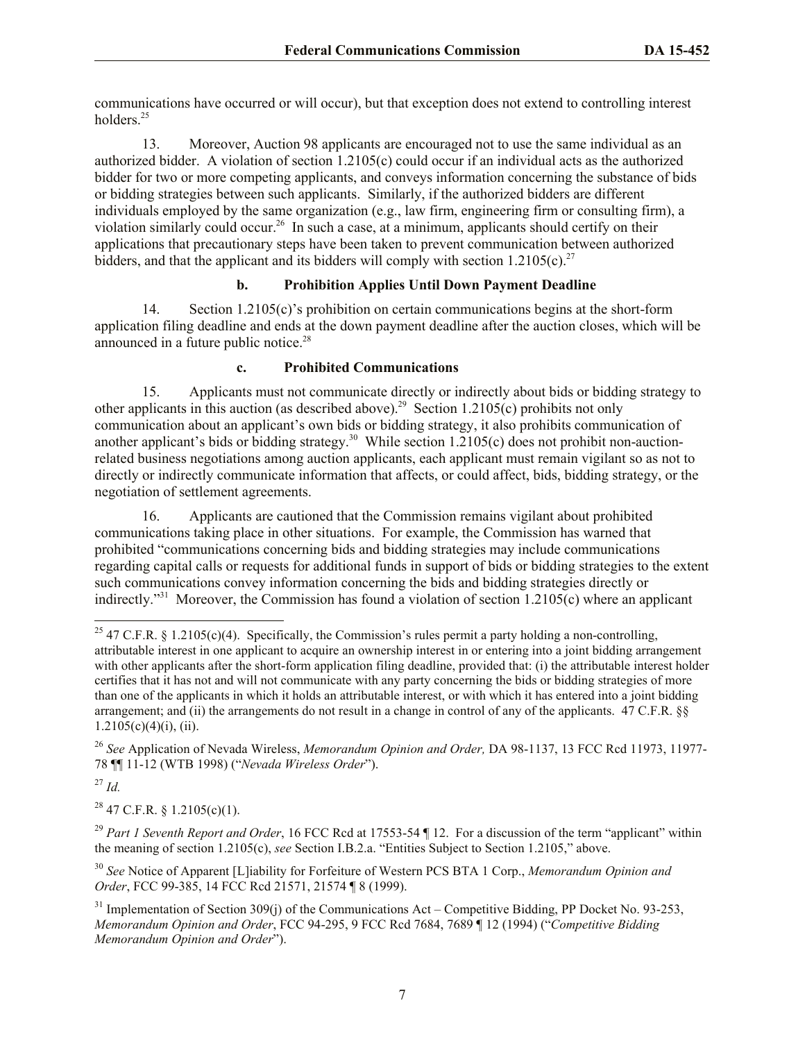communications have occurred or will occur), but that exception does not extend to controlling interest holders.<sup>25</sup>

13. Moreover, Auction 98 applicants are encouraged not to use the same individual as an authorized bidder. A violation of section 1.2105(c) could occur if an individual acts as the authorized bidder for two or more competing applicants, and conveys information concerning the substance of bids or bidding strategies between such applicants. Similarly, if the authorized bidders are different individuals employed by the same organization (e.g., law firm, engineering firm or consulting firm), a violation similarly could occur.<sup>26</sup> In such a case, at a minimum, applicants should certify on their applications that precautionary steps have been taken to prevent communication between authorized bidders, and that the applicant and its bidders will comply with section  $1.2105(c).^{27}$ 

## **b. Prohibition Applies Until Down Payment Deadline**

14. Section 1.2105(c)'s prohibition on certain communications begins at the short-form application filing deadline and ends at the down payment deadline after the auction closes, which will be announced in a future public notice. 28

## **c. Prohibited Communications**

15. Applicants must not communicate directly or indirectly about bids or bidding strategy to other applicants in this auction (as described above).<sup>29</sup> Section 1.2105(c) prohibits not only communication about an applicant's own bids or bidding strategy, it also prohibits communication of another applicant's bids or bidding strategy.<sup>30</sup> While section 1.2105(c) does not prohibit non-auctionrelated business negotiations among auction applicants, each applicant must remain vigilant so as not to directly or indirectly communicate information that affects, or could affect, bids, bidding strategy, or the negotiation of settlement agreements.

16. Applicants are cautioned that the Commission remains vigilant about prohibited communications taking place in other situations. For example, the Commission has warned that prohibited "communications concerning bids and bidding strategies may include communications regarding capital calls or requests for additional funds in support of bids or bidding strategies to the extent such communications convey information concerning the bids and bidding strategies directly or indirectly.<sup>331</sup> Moreover, the Commission has found a violation of section 1.2105(c) where an applicant

<sup>27</sup> *Id.*

 $\overline{a}$ 

 $^{28}$  47 C.F.R. § 1.2105(c)(1).

<sup>29</sup> *Part 1 Seventh Report and Order*, 16 FCC Rcd at 17553-54 ¶ 12. For a discussion of the term "applicant" within the meaning of section 1.2105(c), *see* Section I.B.2.a. "Entities Subject to Section 1.2105," above.

<sup>30</sup> *See* Notice of Apparent [L]iability for Forfeiture of Western PCS BTA 1 Corp., *Memorandum Opinion and Order*, FCC 99-385, 14 FCC Rcd 21571, 21574 ¶ 8 (1999).

<sup>31</sup> Implementation of Section 309(j) of the Communications Act – Competitive Bidding, PP Docket No. 93-253, *Memorandum Opinion and Order*, FCC 94-295, 9 FCC Rcd 7684, 7689 ¶ 12 (1994) ("*Competitive Bidding Memorandum Opinion and Order*").

<sup>&</sup>lt;sup>25</sup> 47 C.F.R. § 1.2105(c)(4). Specifically, the Commission's rules permit a party holding a non-controlling, attributable interest in one applicant to acquire an ownership interest in or entering into a joint bidding arrangement with other applicants after the short-form application filing deadline, provided that: (i) the attributable interest holder certifies that it has not and will not communicate with any party concerning the bids or bidding strategies of more than one of the applicants in which it holds an attributable interest, or with which it has entered into a joint bidding arrangement; and (ii) the arrangements do not result in a change in control of any of the applicants. 47 C.F.R. §§  $1.2105(c)(4)(i)$ , (ii).

<sup>26</sup> *See* Application of Nevada Wireless, *Memorandum Opinion and Order,* DA 98-1137, 13 FCC Rcd 11973, 11977- 78 ¶¶ 11-12 (WTB 1998) ("*Nevada Wireless Order*").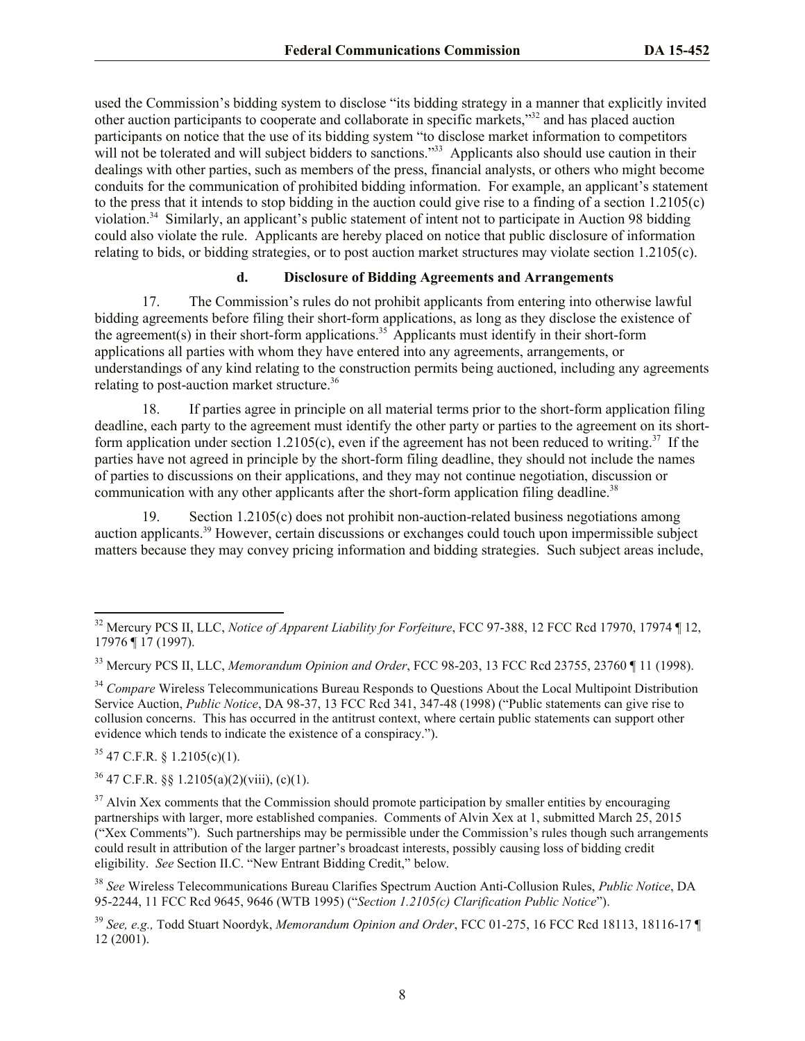used the Commission's bidding system to disclose "its bidding strategy in a manner that explicitly invited other auction participants to cooperate and collaborate in specific markets,"<sup>32</sup> and has placed auction participants on notice that the use of its bidding system "to disclose market information to competitors will not be tolerated and will subject bidders to sanctions."<sup>33</sup> Applicants also should use caution in their dealings with other parties, such as members of the press, financial analysts, or others who might become conduits for the communication of prohibited bidding information. For example, an applicant's statement to the press that it intends to stop bidding in the auction could give rise to a finding of a section 1.2105(c) violation.<sup>34</sup> Similarly, an applicant's public statement of intent not to participate in Auction 98 bidding could also violate the rule. Applicants are hereby placed on notice that public disclosure of information relating to bids, or bidding strategies, or to post auction market structures may violate section 1.2105(c).

#### **d. Disclosure of Bidding Agreements and Arrangements**

17. The Commission's rules do not prohibit applicants from entering into otherwise lawful bidding agreements before filing their short-form applications, as long as they disclose the existence of the agreement(s) in their short-form applications.<sup>35</sup> Applicants must identify in their short-form applications all parties with whom they have entered into any agreements, arrangements, or understandings of any kind relating to the construction permits being auctioned, including any agreements relating to post-auction market structure.<sup>36</sup>

18. If parties agree in principle on all material terms prior to the short-form application filing deadline, each party to the agreement must identify the other party or parties to the agreement on its shortform application under section  $1.2105(c)$ , even if the agreement has not been reduced to writing.<sup>37</sup> If the parties have not agreed in principle by the short-form filing deadline, they should not include the names of parties to discussions on their applications, and they may not continue negotiation, discussion or communication with any other applicants after the short-form application filing deadline.<sup>38</sup>

19. Section 1.2105(c) does not prohibit non-auction-related business negotiations among auction applicants.<sup>39</sup> However, certain discussions or exchanges could touch upon impermissible subject matters because they may convey pricing information and bidding strategies. Such subject areas include,

 $35$  47 C.F.R. § 1.2105(c)(1).

 $\overline{a}$ 

 $36$  47 C.F.R.  $\S$  1.2105(a)(2)(viii), (c)(1).

<sup>32</sup> Mercury PCS II, LLC, *Notice of Apparent Liability for Forfeiture*, FCC 97-388, 12 FCC Rcd 17970, 17974 ¶ 12, 17976 ¶ 17 (1997).

<sup>33</sup> Mercury PCS II, LLC, *Memorandum Opinion and Order*, FCC 98-203, 13 FCC Rcd 23755, 23760 ¶ 11 (1998).

<sup>&</sup>lt;sup>34</sup> Compare Wireless Telecommunications Bureau Responds to Questions About the Local Multipoint Distribution Service Auction, *Public Notice*, DA 98-37, 13 FCC Rcd 341, 347-48 (1998) ("Public statements can give rise to collusion concerns. This has occurred in the antitrust context, where certain public statements can support other evidence which tends to indicate the existence of a conspiracy.").

 $37$  Alvin Xex comments that the Commission should promote participation by smaller entities by encouraging partnerships with larger, more established companies. Comments of Alvin Xex at 1, submitted March 25, 2015 ("Xex Comments"). Such partnerships may be permissible under the Commission's rules though such arrangements could result in attribution of the larger partner's broadcast interests, possibly causing loss of bidding credit eligibility. *See* Section II.C. "New Entrant Bidding Credit," below.

<sup>38</sup> *See* Wireless Telecommunications Bureau Clarifies Spectrum Auction Anti-Collusion Rules, *Public Notice*, DA 95-2244, 11 FCC Rcd 9645, 9646 (WTB 1995) ("*Section 1.2105(c) Clarification Public Notice*").

<sup>39</sup> *See, e.g.,* Todd Stuart Noordyk, *Memorandum Opinion and Order*, FCC 01-275, 16 FCC Rcd 18113, 18116-17 ¶ 12 (2001).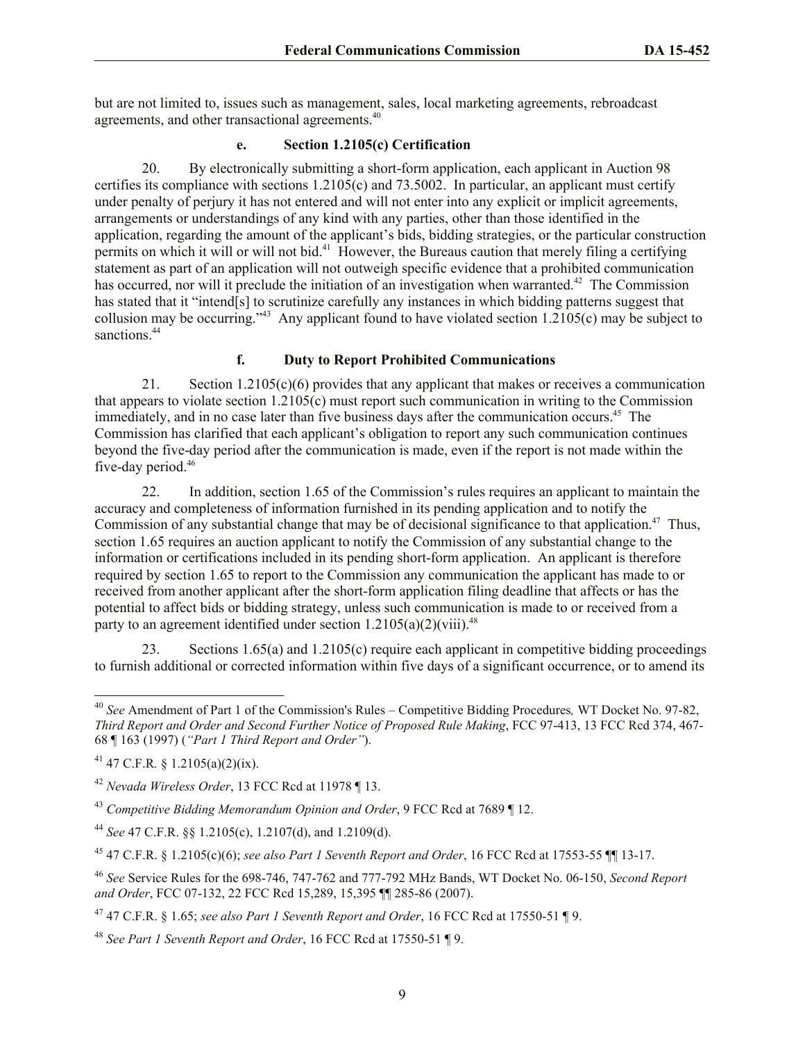but are not limited to, issues such as management, sales, local marketing agreements, rebroadcast agreements, and other transactional agreements.<sup>40</sup>

#### **e. Section 1.2105(c) Certification**

20. By electronically submitting a short-form application, each applicant in Auction 98 certifies its compliance with sections  $1.2105(c)$  and  $73.5002$ . In particular, an applicant must certify under penalty of perjury it has not entered and will not enter into any explicit or implicit agreements, arrangements or understandings of any kind with any parties, other than those identified in the application, regarding the amount of the applicant's bids, bidding strategies, or the particular construction permits on which it will or will not bid.<sup>41</sup> However, the Bureaus caution that merely filing a certifying statement as part of an application will not outweigh specific evidence that a prohibited communication has occurred, nor will it preclude the initiation of an investigation when warranted.<sup>42</sup> The Commission has stated that it "intend[s] to scrutinize carefully any instances in which bidding patterns suggest that collusion may be occurring.<sup>743</sup> Any applicant found to have violated section  $1.2105(c)$  may be subject to sanctions.<sup>44</sup>

## **f. Duty to Report Prohibited Communications**

21. Section 1.2105(c)(6) provides that any applicant that makes or receives a communication that appears to violate section 1.2105(c) must report such communication in writing to the Commission immediately, and in no case later than five business days after the communication occurs.<sup>45</sup> The Commission has clarified that each applicant's obligation to report any such communication continues beyond the five-day period after the communication is made, even if the report is not made within the five-day period.<sup>46</sup>

22. In addition, section 1.65 of the Commission's rules requires an applicant to maintain the accuracy and completeness of information furnished in its pending application and to notify the Commission of any substantial change that may be of decisional significance to that application.<sup>47</sup> Thus, section 1.65 requires an auction applicant to notify the Commission of any substantial change to the information or certifications included in its pending short-form application. An applicant is therefore required by section 1.65 to report to the Commission any communication the applicant has made to or received from another applicant after the short-form application filing deadline that affects or has the potential to affect bids or bidding strategy, unless such communication is made to or received from a party to an agreement identified under section  $1.2105(a)(2)(viii).$ <sup>48</sup>

23. Sections 1.65(a) and 1.2105(c) require each applicant in competitive bidding proceedings to furnish additional or corrected information within five days of a significant occurrence, or to amend its

 $\overline{a}$ 

<sup>40</sup> *See* Amendment of Part 1 of the Commission's Rules – Competitive Bidding Procedures*,* WT Docket No. 97-82, *Third Report and Order and Second Further Notice of Proposed Rule Making*, FCC 97-413, 13 FCC Rcd 374, 467- 68 ¶ 163 (1997) (*"Part 1 Third Report and Order"*).

<sup>41</sup> 47 C.F.R*.* § 1.2105(a)(2)(ix).

<sup>42</sup> *Nevada Wireless Order*, 13 FCC Rcd at 11978 ¶ 13.

<sup>43</sup> *Competitive Bidding Memorandum Opinion and Order*, 9 FCC Rcd at 7689 ¶ 12.

<sup>44</sup> *See* 47 C.F.R. §§ 1.2105(c), 1.2107(d), and 1.2109(d).

<sup>45</sup> 47 C.F.R. § 1.2105(c)(6); *see also Part 1 Seventh Report and Order*, 16 FCC Rcd at 17553-55 ¶¶ 13-17.

<sup>46</sup> *See* Service Rules for the 698-746, 747-762 and 777-792 MHz Bands, WT Docket No. 06-150, *Second Report and Order*, FCC 07-132, 22 FCC Rcd 15,289, 15,395 ¶¶ 285-86 (2007).

<sup>47</sup> 47 C.F.R. § 1.65; *see also Part 1 Seventh Report and Order*, 16 FCC Rcd at 17550-51 ¶ 9.

<sup>48</sup> *See Part 1 Seventh Report and Order*, 16 FCC Rcd at 17550-51 ¶ 9.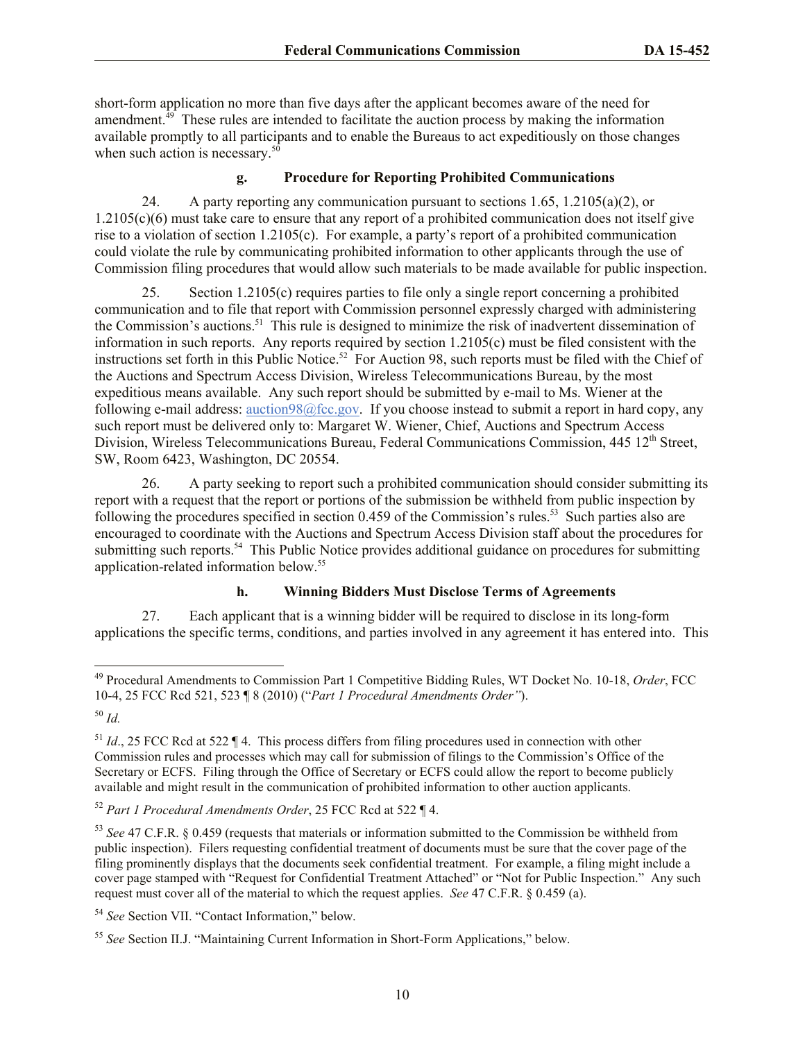short-form application no more than five days after the applicant becomes aware of the need for amendment.<sup>49</sup> These rules are intended to facilitate the auction process by making the information available promptly to all participants and to enable the Bureaus to act expeditiously on those changes when such action is necessary. $50$ 

## **g. Procedure for Reporting Prohibited Communications**

24. A party reporting any communication pursuant to sections  $1.65$ ,  $1.2105(a)(2)$ , or 1.2105(c)(6) must take care to ensure that any report of a prohibited communication does not itself give rise to a violation of section 1.2105(c). For example, a party's report of a prohibited communication could violate the rule by communicating prohibited information to other applicants through the use of Commission filing procedures that would allow such materials to be made available for public inspection.

25. Section 1.2105(c) requires parties to file only a single report concerning a prohibited communication and to file that report with Commission personnel expressly charged with administering the Commission's auctions.<sup>51</sup> This rule is designed to minimize the risk of inadvertent dissemination of information in such reports. Any reports required by section 1.2105(c) must be filed consistent with the instructions set forth in this Public Notice.<sup>52</sup> For Auction 98, such reports must be filed with the Chief of the Auctions and Spectrum Access Division, Wireless Telecommunications Bureau, by the most expeditious means available. Any such report should be submitted by e-mail to Ms. Wiener at the following e-mail address: auction98@fcc.gov. If you choose instead to submit a report in hard copy, any such report must be delivered only to: Margaret W. Wiener, Chief, Auctions and Spectrum Access Division, Wireless Telecommunications Bureau, Federal Communications Commission,  $445 \times 12^{th}$  Street, SW, Room 6423, Washington, DC 20554.

26. A party seeking to report such a prohibited communication should consider submitting its report with a request that the report or portions of the submission be withheld from public inspection by following the procedures specified in section 0.459 of the Commission's rules.<sup>53</sup> Such parties also are encouraged to coordinate with the Auctions and Spectrum Access Division staff about the procedures for submitting such reports.<sup>54</sup> This Public Notice provides additional guidance on procedures for submitting application-related information below.<sup>55</sup>

## **h. Winning Bidders Must Disclose Terms of Agreements**

27. Each applicant that is a winning bidder will be required to disclose in its long-form applications the specific terms, conditions, and parties involved in any agreement it has entered into. This

l

<sup>54</sup> *See* Section VII. "Contact Information," below.

<sup>49</sup> Procedural Amendments to Commission Part 1 Competitive Bidding Rules, WT Docket No. 10-18, *Order*, FCC 10-4, 25 FCC Rcd 521, 523 ¶ 8 (2010) ("*Part 1 Procedural Amendments Order"*).

<sup>50</sup> *Id.*

 $51$  *Id.*, 25 FCC Rcd at 522  $\P$  4. This process differs from filing procedures used in connection with other Commission rules and processes which may call for submission of filings to the Commission's Office of the Secretary or ECFS. Filing through the Office of Secretary or ECFS could allow the report to become publicly available and might result in the communication of prohibited information to other auction applicants.

<sup>52</sup> *Part 1 Procedural Amendments Order*, 25 FCC Rcd at 522 ¶ 4.

<sup>53</sup> *See* 47 C.F.R. § 0.459 (requests that materials or information submitted to the Commission be withheld from public inspection). Filers requesting confidential treatment of documents must be sure that the cover page of the filing prominently displays that the documents seek confidential treatment. For example, a filing might include a cover page stamped with "Request for Confidential Treatment Attached" or "Not for Public Inspection." Any such request must cover all of the material to which the request applies. *See* 47 C.F.R. § 0.459 (a).

<sup>55</sup> *See* Section II.J. "Maintaining Current Information in Short-Form Applications," below.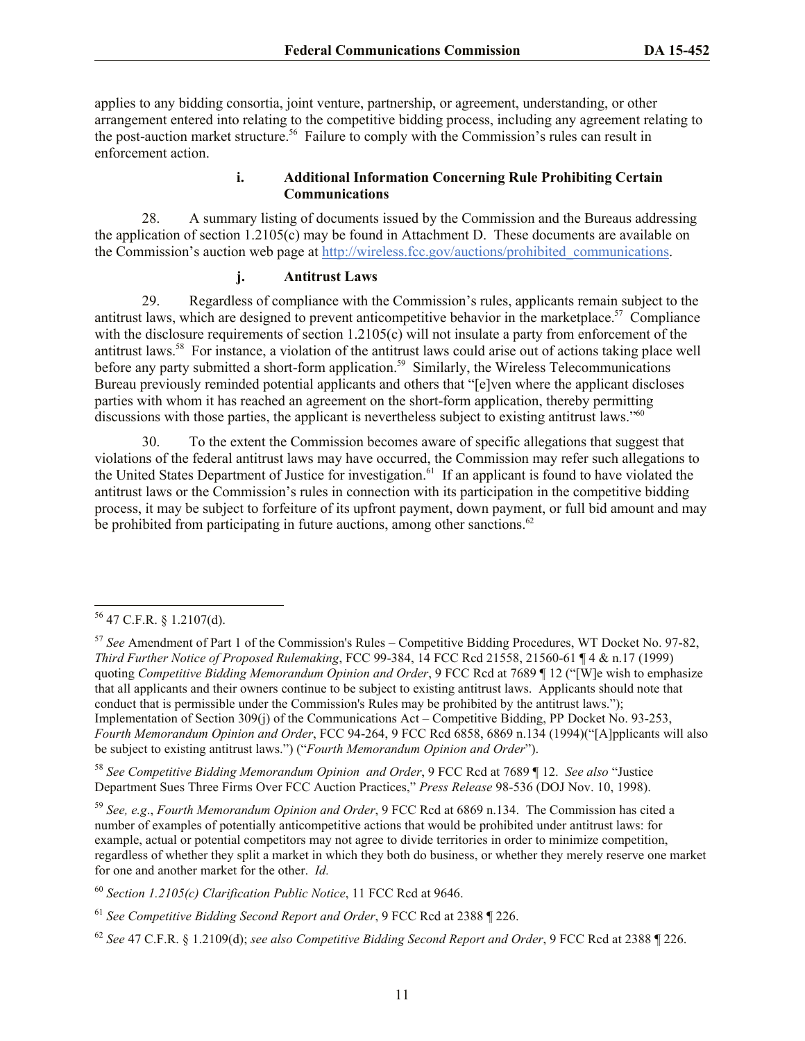applies to any bidding consortia, joint venture, partnership, or agreement, understanding, or other arrangement entered into relating to the competitive bidding process, including any agreement relating to the post-auction market structure. <sup>56</sup> Failure to comply with the Commission's rules can result in enforcement action.

#### **i. Additional Information Concerning Rule Prohibiting Certain Communications**

28. A summary listing of documents issued by the Commission and the Bureaus addressing the application of section 1.2105(c) may be found in Attachment D. These documents are available on the Commission's auction web page at http://wireless.fcc.gov/auctions/prohibited\_communications.

## **j. Antitrust Laws**

29. Regardless of compliance with the Commission's rules, applicants remain subject to the antitrust laws, which are designed to prevent anticompetitive behavior in the marketplace.<sup>57</sup> Compliance with the disclosure requirements of section 1.2105(c) will not insulate a party from enforcement of the antitrust laws.<sup>58</sup> For instance, a violation of the antitrust laws could arise out of actions taking place well before any party submitted a short-form application.<sup>59</sup> Similarly, the Wireless Telecommunications Bureau previously reminded potential applicants and others that "[e]ven where the applicant discloses parties with whom it has reached an agreement on the short-form application, thereby permitting discussions with those parties, the applicant is nevertheless subject to existing antitrust laws."<sup>60</sup>

30. To the extent the Commission becomes aware of specific allegations that suggest that violations of the federal antitrust laws may have occurred, the Commission may refer such allegations to the United States Department of Justice for investigation.<sup>61</sup> If an applicant is found to have violated the antitrust laws or the Commission's rules in connection with its participation in the competitive bidding process, it may be subject to forfeiture of its upfront payment, down payment, or full bid amount and may be prohibited from participating in future auctions, among other sanctions.<sup>62</sup>

l

<sup>58</sup> *See Competitive Bidding Memorandum Opinion and Order*, 9 FCC Rcd at 7689 ¶ 12. *See also* "Justice Department Sues Three Firms Over FCC Auction Practices," *Press Release* 98-536 (DOJ Nov. 10, 1998).

<sup>59</sup> *See, e.g*., *Fourth Memorandum Opinion and Order*, 9 FCC Rcd at 6869 n.134. The Commission has cited a number of examples of potentially anticompetitive actions that would be prohibited under antitrust laws: for example, actual or potential competitors may not agree to divide territories in order to minimize competition, regardless of whether they split a market in which they both do business, or whether they merely reserve one market for one and another market for the other. *Id.*

 $56$  47 C.F.R. § 1.2107(d).

<sup>57</sup> *See* Amendment of Part 1 of the Commission's Rules – Competitive Bidding Procedures, WT Docket No. 97-82, *Third Further Notice of Proposed Rulemaking*, FCC 99-384, 14 FCC Rcd 21558, 21560-61 ¶ 4 & n.17 (1999) quoting *Competitive Bidding Memorandum Opinion and Order*, 9 FCC Rcd at 7689 ¶ 12 ("[W]e wish to emphasize that all applicants and their owners continue to be subject to existing antitrust laws. Applicants should note that conduct that is permissible under the Commission's Rules may be prohibited by the antitrust laws."); Implementation of Section 309(j) of the Communications Act – Competitive Bidding, PP Docket No. 93-253, *Fourth Memorandum Opinion and Order*, FCC 94-264, 9 FCC Rcd 6858, 6869 n.134 (1994)("[A]pplicants will also be subject to existing antitrust laws.") ("*Fourth Memorandum Opinion and Order*").

<sup>60</sup> *Section 1.2105(c) Clarification Public Notice*, 11 FCC Rcd at 9646.

<sup>61</sup> *See Competitive Bidding Second Report and Order*, 9 FCC Rcd at 2388 ¶ 226.

<sup>62</sup> *See* 47 C.F.R. § 1.2109(d); *see also Competitive Bidding Second Report and Order*, 9 FCC Rcd at 2388 ¶ 226.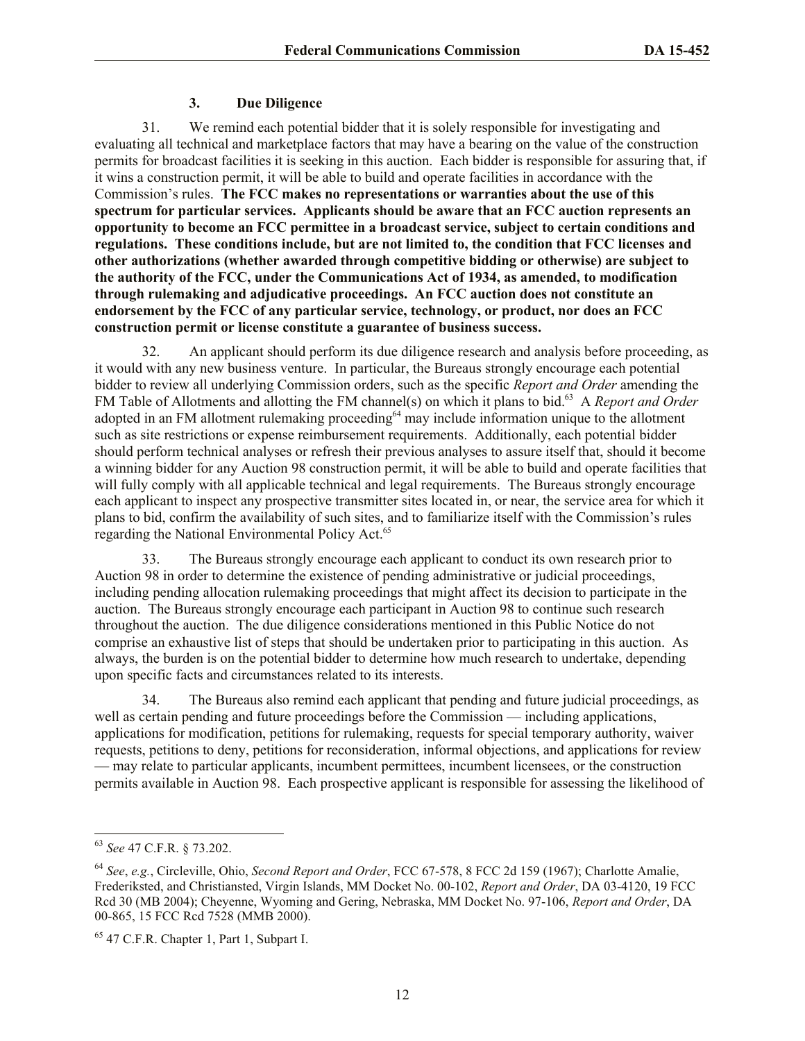#### **3. Due Diligence**

31. We remind each potential bidder that it is solely responsible for investigating and evaluating all technical and marketplace factors that may have a bearing on the value of the construction permits for broadcast facilities it is seeking in this auction. Each bidder is responsible for assuring that, if it wins a construction permit, it will be able to build and operate facilities in accordance with the Commission's rules. **The FCC makes no representations or warranties about the use of this spectrum for particular services. Applicants should be aware that an FCC auction represents an opportunity to become an FCC permittee in a broadcast service, subject to certain conditions and regulations. These conditions include, but are not limited to, the condition that FCC licenses and other authorizations (whether awarded through competitive bidding or otherwise) are subject to the authority of the FCC, under the Communications Act of 1934, as amended, to modification through rulemaking and adjudicative proceedings. An FCC auction does not constitute an endorsement by the FCC of any particular service, technology, or product, nor does an FCC construction permit or license constitute a guarantee of business success.**

32. An applicant should perform its due diligence research and analysis before proceeding, as it would with any new business venture. In particular, the Bureaus strongly encourage each potential bidder to review all underlying Commission orders, such as the specific *Report and Order* amending the FM Table of Allotments and allotting the FM channel(s) on which it plans to bid.<sup>63</sup> A *Report and Order* adopted in an FM allotment rulemaking proceeding<sup>64</sup> may include information unique to the allotment such as site restrictions or expense reimbursement requirements. Additionally, each potential bidder should perform technical analyses or refresh their previous analyses to assure itself that, should it become a winning bidder for any Auction 98 construction permit, it will be able to build and operate facilities that will fully comply with all applicable technical and legal requirements. The Bureaus strongly encourage each applicant to inspect any prospective transmitter sites located in, or near, the service area for which it plans to bid, confirm the availability of such sites, and to familiarize itself with the Commission's rules regarding the National Environmental Policy Act.<sup>65</sup>

33. The Bureaus strongly encourage each applicant to conduct its own research prior to Auction 98 in order to determine the existence of pending administrative or judicial proceedings, including pending allocation rulemaking proceedings that might affect its decision to participate in the auction. The Bureaus strongly encourage each participant in Auction 98 to continue such research throughout the auction. The due diligence considerations mentioned in this Public Notice do not comprise an exhaustive list of steps that should be undertaken prior to participating in this auction. As always, the burden is on the potential bidder to determine how much research to undertake, depending upon specific facts and circumstances related to its interests.

34. The Bureaus also remind each applicant that pending and future judicial proceedings, as well as certain pending and future proceedings before the Commission — including applications, applications for modification, petitions for rulemaking, requests for special temporary authority, waiver requests, petitions to deny, petitions for reconsideration, informal objections, and applications for review — may relate to particular applicants, incumbent permittees, incumbent licensees, or the construction permits available in Auction 98. Each prospective applicant is responsible for assessing the likelihood of

<sup>63</sup> *See* 47 C.F.R. § 73.202.

<sup>64</sup> *See*, *e.g.*, Circleville, Ohio, *Second Report and Order*, FCC 67-578, 8 FCC 2d 159 (1967); Charlotte Amalie, Frederiksted, and Christiansted, Virgin Islands, MM Docket No. 00-102, *Report and Order*, DA 03-4120, 19 FCC Rcd 30 (MB 2004); Cheyenne, Wyoming and Gering, Nebraska, MM Docket No. 97-106, *Report and Order*, DA 00-865, 15 FCC Rcd 7528 (MMB 2000).

 $65$  47 C.F.R. Chapter 1, Part 1, Subpart I.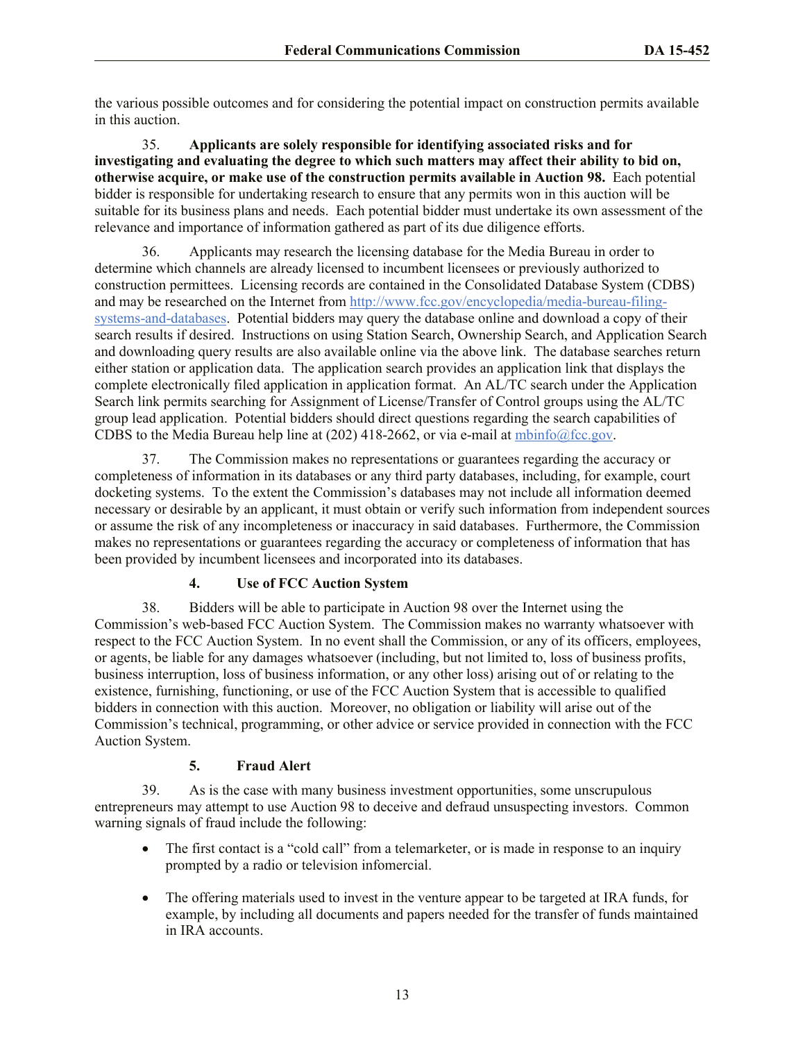the various possible outcomes and for considering the potential impact on construction permits available in this auction.

35. **Applicants are solely responsible for identifying associated risks and for investigating and evaluating the degree to which such matters may affect their ability to bid on, otherwise acquire, or make use of the construction permits available in Auction 98.** Each potential bidder is responsible for undertaking research to ensure that any permits won in this auction will be suitable for its business plans and needs. Each potential bidder must undertake its own assessment of the relevance and importance of information gathered as part of its due diligence efforts.

36. Applicants may research the licensing database for the Media Bureau in order to determine which channels are already licensed to incumbent licensees or previously authorized to construction permittees. Licensing records are contained in the Consolidated Database System (CDBS) and may be researched on the Internet from http://www.fcc.gov/encyclopedia/media-bureau-filingsystems-and-databases. Potential bidders may query the database online and download a copy of their search results if desired. Instructions on using Station Search, Ownership Search, and Application Search and downloading query results are also available online via the above link. The database searches return either station or application data. The application search provides an application link that displays the complete electronically filed application in application format. An AL/TC search under the Application Search link permits searching for Assignment of License/Transfer of Control groups using the AL/TC group lead application. Potential bidders should direct questions regarding the search capabilities of CDBS to the Media Bureau help line at (202) 418-2662, or via e-mail at  $mbin6@$ fcc.gov.

37. The Commission makes no representations or guarantees regarding the accuracy or completeness of information in its databases or any third party databases, including, for example, court docketing systems. To the extent the Commission's databases may not include all information deemed necessary or desirable by an applicant, it must obtain or verify such information from independent sources or assume the risk of any incompleteness or inaccuracy in said databases. Furthermore, the Commission makes no representations or guarantees regarding the accuracy or completeness of information that has been provided by incumbent licensees and incorporated into its databases.

## **4. Use of FCC Auction System**

38. Bidders will be able to participate in Auction 98 over the Internet using the Commission's web-based FCC Auction System. The Commission makes no warranty whatsoever with respect to the FCC Auction System. In no event shall the Commission, or any of its officers, employees, or agents, be liable for any damages whatsoever (including, but not limited to, loss of business profits, business interruption, loss of business information, or any other loss) arising out of or relating to the existence, furnishing, functioning, or use of the FCC Auction System that is accessible to qualified bidders in connection with this auction. Moreover, no obligation or liability will arise out of the Commission's technical, programming, or other advice or service provided in connection with the FCC Auction System.

## **5. Fraud Alert**

39. As is the case with many business investment opportunities, some unscrupulous entrepreneurs may attempt to use Auction 98 to deceive and defraud unsuspecting investors. Common warning signals of fraud include the following:

- The first contact is a "cold call" from a telemarketer, or is made in response to an inquiry prompted by a radio or television infomercial.
- The offering materials used to invest in the venture appear to be targeted at IRA funds, for example, by including all documents and papers needed for the transfer of funds maintained in IRA accounts.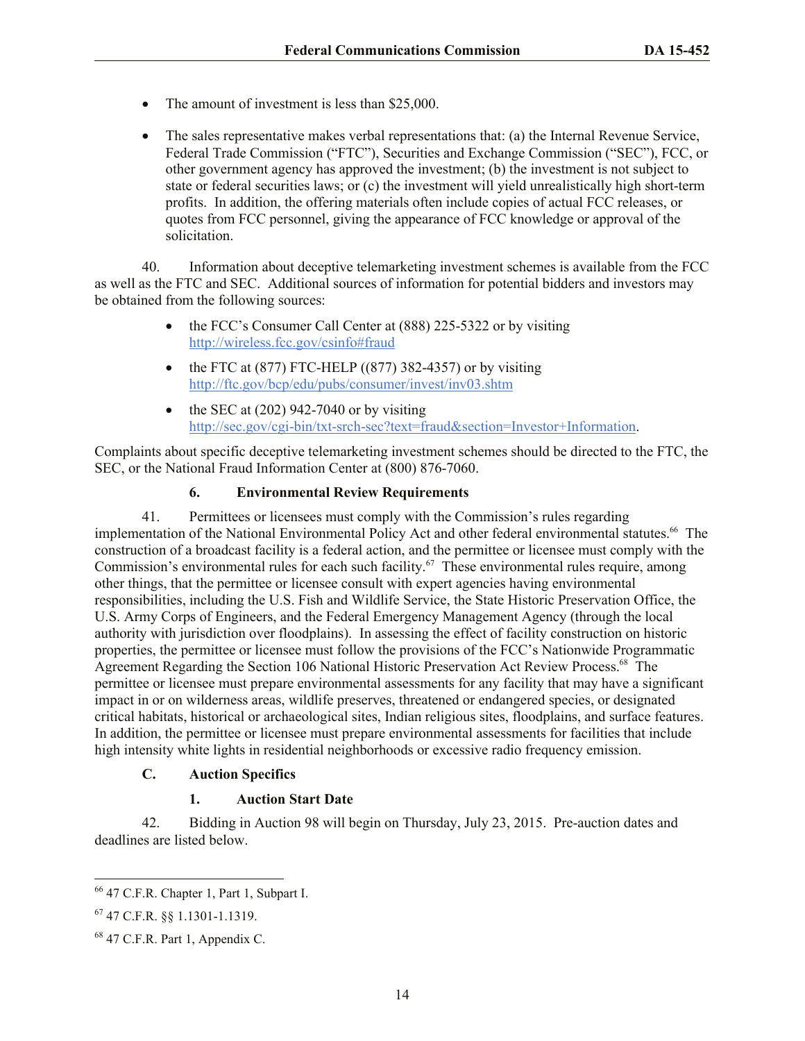- The amount of investment is less than \$25,000.
- The sales representative makes verbal representations that: (a) the Internal Revenue Service, Federal Trade Commission ("FTC"), Securities and Exchange Commission ("SEC"), FCC, or other government agency has approved the investment; (b) the investment is not subject to state or federal securities laws; or (c) the investment will yield unrealistically high short-term profits. In addition, the offering materials often include copies of actual FCC releases, or quotes from FCC personnel, giving the appearance of FCC knowledge or approval of the solicitation.

40. Information about deceptive telemarketing investment schemes is available from the FCC as well as the FTC and SEC. Additional sources of information for potential bidders and investors may be obtained from the following sources:

- the FCC's Consumer Call Center at (888) 225-5322 or by visiting http://wireless.fcc.gov/csinfo#fraud
- $\bullet$  the FTC at (877) FTC-HELP ((877) 382-4357) or by visiting http://ftc.gov/bcp/edu/pubs/consumer/invest/inv03.shtm
- $\bullet$  the SEC at (202) 942-7040 or by visiting http://sec.gov/cgi-bin/txt-srch-sec?text=fraud&section=Investor+Information.

Complaints about specific deceptive telemarketing investment schemes should be directed to the FTC, the SEC, or the National Fraud Information Center at (800) 876-7060.

## **6. Environmental Review Requirements**

41. Permittees or licensees must comply with the Commission's rules regarding implementation of the National Environmental Policy Act and other federal environmental statutes.<sup>66</sup> The construction of a broadcast facility is a federal action, and the permittee or licensee must comply with the Commission's environmental rules for each such facility.<sup>67</sup> These environmental rules require, among other things, that the permittee or licensee consult with expert agencies having environmental responsibilities, including the U.S. Fish and Wildlife Service, the State Historic Preservation Office, the U.S. Army Corps of Engineers, and the Federal Emergency Management Agency (through the local authority with jurisdiction over floodplains). In assessing the effect of facility construction on historic properties, the permittee or licensee must follow the provisions of the FCC's Nationwide Programmatic Agreement Regarding the Section 106 National Historic Preservation Act Review Process.<sup>68</sup> The permittee or licensee must prepare environmental assessments for any facility that may have a significant impact in or on wilderness areas, wildlife preserves, threatened or endangered species, or designated critical habitats, historical or archaeological sites, Indian religious sites, floodplains, and surface features. In addition, the permittee or licensee must prepare environmental assessments for facilities that include high intensity white lights in residential neighborhoods or excessive radio frequency emission.

## **C. Auction Specifics**

## **1. Auction Start Date**

42. Bidding in Auction 98 will begin on Thursday, July 23, 2015. Pre-auction dates and deadlines are listed below.

<sup>66</sup> 47 C.F.R. Chapter 1, Part 1, Subpart I.

<sup>67</sup> 47 C.F.R. §§ 1.1301-1.1319.

 $68$  47 C.F.R. Part 1, Appendix C.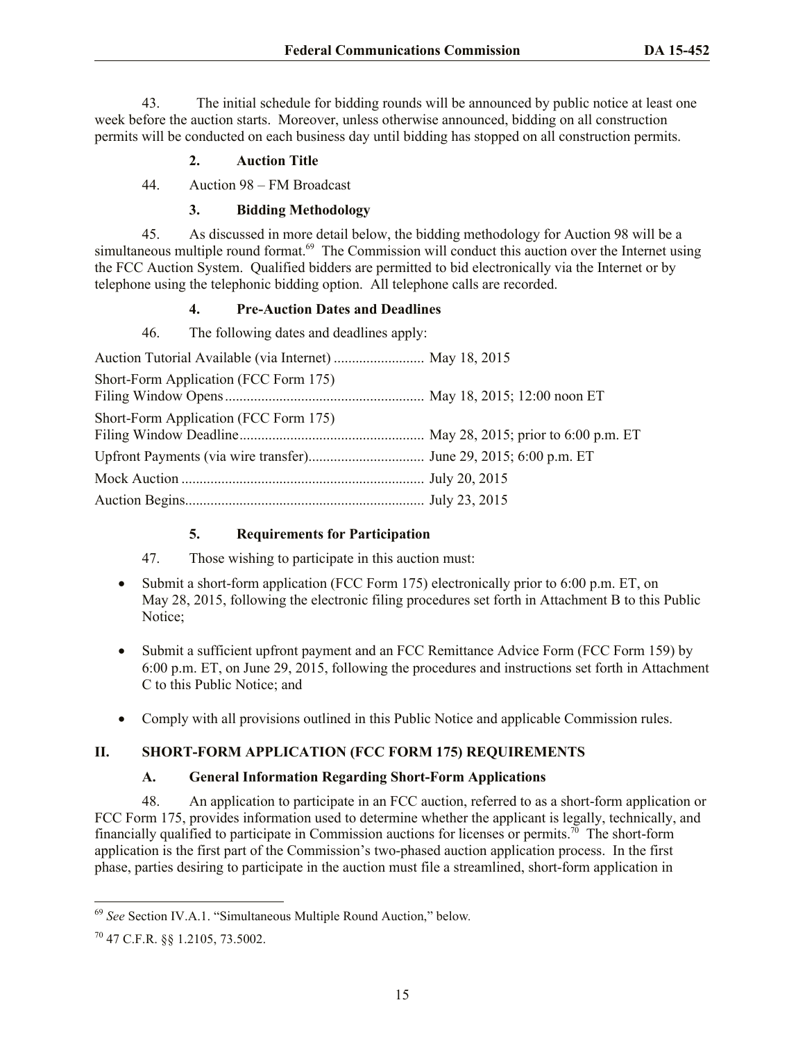43. The initial schedule for bidding rounds will be announced by public notice at least one week before the auction starts. Moreover, unless otherwise announced, bidding on all construction permits will be conducted on each business day until bidding has stopped on all construction permits.

## **2. Auction Title**

44. Auction 98 – FM Broadcast

## **3. Bidding Methodology**

45. As discussed in more detail below, the bidding methodology for Auction 98 will be a simultaneous multiple round format.<sup>69</sup> The Commission will conduct this auction over the Internet using the FCC Auction System. Qualified bidders are permitted to bid electronically via the Internet or by telephone using the telephonic bidding option. All telephone calls are recorded.

## **4. Pre-Auction Dates and Deadlines**

46. The following dates and deadlines apply:

| Short-Form Application (FCC Form 175) |  |
|---------------------------------------|--|
| Short-Form Application (FCC Form 175) |  |
|                                       |  |
|                                       |  |
|                                       |  |

## **5. Requirements for Participation**

47. Those wishing to participate in this auction must:

- Submit a short-form application (FCC Form 175) electronically prior to 6:00 p.m. ET, on May 28, 2015, following the electronic filing procedures set forth in Attachment B to this Public Notice;
- Submit a sufficient upfront payment and an FCC Remittance Advice Form (FCC Form 159) by 6:00 p.m. ET, on June 29, 2015, following the procedures and instructions set forth in Attachment C to this Public Notice; and
- Comply with all provisions outlined in this Public Notice and applicable Commission rules.

## **II. SHORT-FORM APPLICATION (FCC FORM 175) REQUIREMENTS**

## **A. General Information Regarding Short-Form Applications**

48. An application to participate in an FCC auction, referred to as a short-form application or FCC Form 175, provides information used to determine whether the applicant is legally, technically, and financially qualified to participate in Commission auctions for licenses or permits.<sup>70</sup> The short-form application is the first part of the Commission's two-phased auction application process. In the first phase, parties desiring to participate in the auction must file a streamlined, short-form application in

<sup>69</sup> *See* Section IV.A.1. "Simultaneous Multiple Round Auction," below*.*

<sup>70</sup> 47 C.F.R. §§ 1.2105, 73.5002.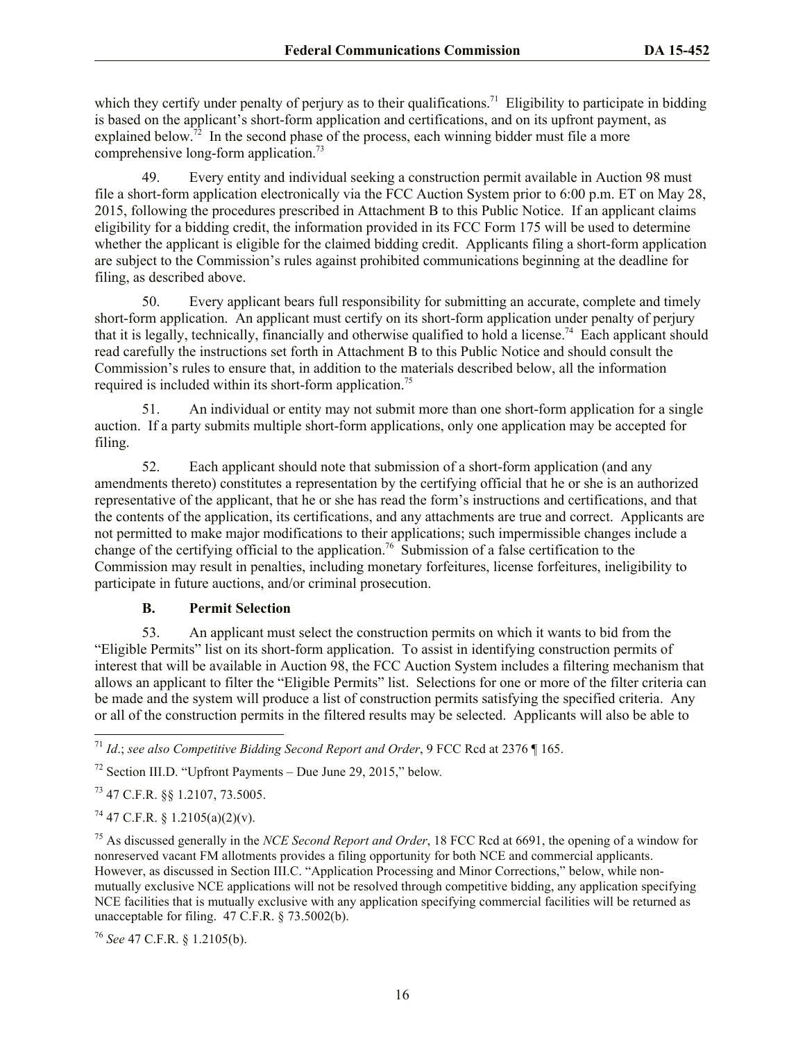which they certify under penalty of perjury as to their qualifications.<sup>71</sup> Eligibility to participate in bidding is based on the applicant's short-form application and certifications, and on its upfront payment, as explained below.<sup>72</sup> In the second phase of the process, each winning bidder must file a more comprehensive long-form application.<sup>73</sup>

49. Every entity and individual seeking a construction permit available in Auction 98 must file a short-form application electronically via the FCC Auction System prior to 6:00 p.m. ET on May 28, 2015, following the procedures prescribed in Attachment B to this Public Notice. If an applicant claims eligibility for a bidding credit, the information provided in its FCC Form 175 will be used to determine whether the applicant is eligible for the claimed bidding credit. Applicants filing a short-form application are subject to the Commission's rules against prohibited communications beginning at the deadline for filing, as described above.

50. Every applicant bears full responsibility for submitting an accurate, complete and timely short-form application. An applicant must certify on its short-form application under penalty of perjury that it is legally, technically, financially and otherwise qualified to hold a license.<sup>74</sup> Each applicant should read carefully the instructions set forth in Attachment B to this Public Notice and should consult the Commission's rules to ensure that, in addition to the materials described below, all the information required is included within its short-form application.<sup>75</sup>

51. An individual or entity may not submit more than one short-form application for a single auction. If a party submits multiple short-form applications, only one application may be accepted for filing.

52. Each applicant should note that submission of a short-form application (and any amendments thereto) constitutes a representation by the certifying official that he or she is an authorized representative of the applicant, that he or she has read the form's instructions and certifications, and that the contents of the application, its certifications, and any attachments are true and correct. Applicants are not permitted to make major modifications to their applications; such impermissible changes include a change of the certifying official to the application.<sup>76</sup> Submission of a false certification to the Commission may result in penalties, including monetary forfeitures, license forfeitures, ineligibility to participate in future auctions, and/or criminal prosecution.

#### **B. Permit Selection**

53. An applicant must select the construction permits on which it wants to bid from the "Eligible Permits" list on its short-form application. To assist in identifying construction permits of interest that will be available in Auction 98, the FCC Auction System includes a filtering mechanism that allows an applicant to filter the "Eligible Permits" list. Selections for one or more of the filter criteria can be made and the system will produce a list of construction permits satisfying the specified criteria. Any or all of the construction permits in the filtered results may be selected. Applicants will also be able to

<sup>73</sup> 47 C.F.R. §§ 1.2107, 73.5005.

 $74$  47 C.F.R. § 1.2105(a)(2)(v).

<sup>75</sup> As discussed generally in the *NCE Second Report and Order*, 18 FCC Rcd at 6691, the opening of a window for nonreserved vacant FM allotments provides a filing opportunity for both NCE and commercial applicants. However, as discussed in Section III.C. "Application Processing and Minor Corrections," below, while nonmutually exclusive NCE applications will not be resolved through competitive bidding, any application specifying NCE facilities that is mutually exclusive with any application specifying commercial facilities will be returned as unacceptable for filing. 47 C.F.R. § 73.5002(b).

<sup>76</sup> *See* 47 C.F.R. § 1.2105(b).

l <sup>71</sup> *Id*.; *see also Competitive Bidding Second Report and Order*, 9 FCC Rcd at 2376 ¶ 165.

<sup>72</sup> Section III.D. "Upfront Payments – Due June 29, 2015," below*.*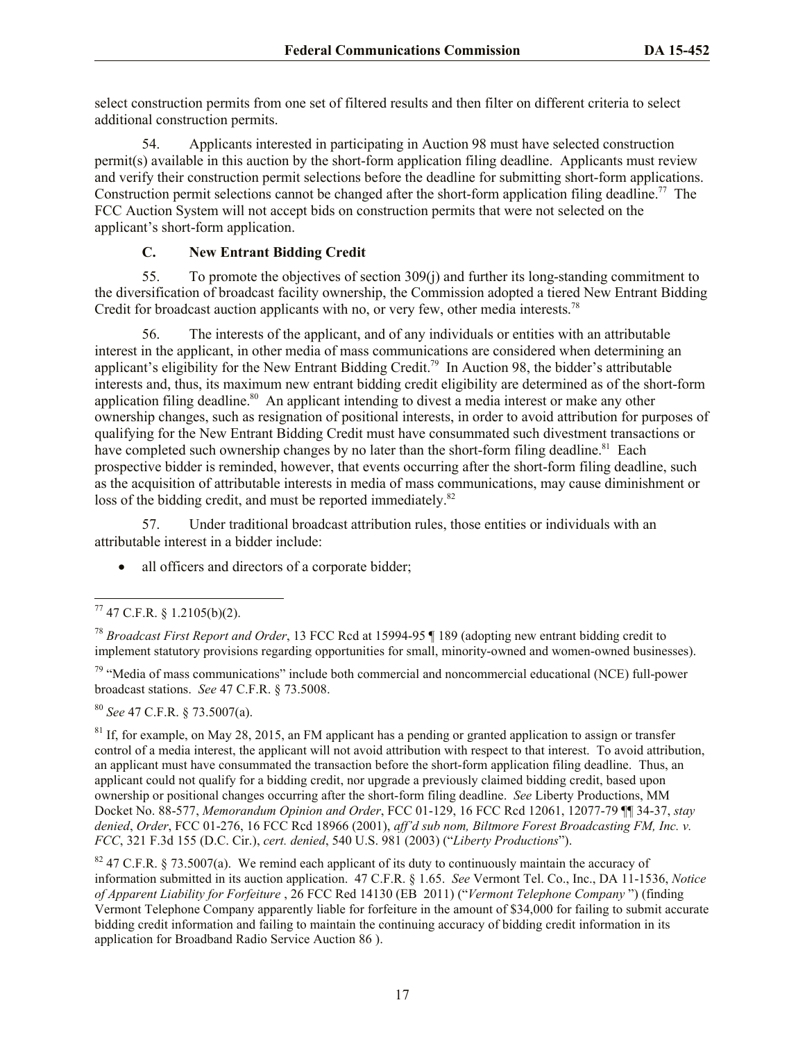select construction permits from one set of filtered results and then filter on different criteria to select additional construction permits.

54. Applicants interested in participating in Auction 98 must have selected construction permit(s) available in this auction by the short-form application filing deadline. Applicants must review and verify their construction permit selections before the deadline for submitting short-form applications. Construction permit selections cannot be changed after the short-form application filing deadline.<sup>77</sup> The FCC Auction System will not accept bids on construction permits that were not selected on the applicant's short-form application.

## **C. New Entrant Bidding Credit**

55. To promote the objectives of section 309(j) and further its long-standing commitment to the diversification of broadcast facility ownership, the Commission adopted a tiered New Entrant Bidding Credit for broadcast auction applicants with no, or very few, other media interests.<sup>78</sup>

56. The interests of the applicant, and of any individuals or entities with an attributable interest in the applicant, in other media of mass communications are considered when determining an applicant's eligibility for the New Entrant Bidding Credit.<sup>79</sup> In Auction 98, the bidder's attributable interests and, thus, its maximum new entrant bidding credit eligibility are determined as of the short-form application filing deadline.<sup>80</sup> An applicant intending to divest a media interest or make any other ownership changes, such as resignation of positional interests, in order to avoid attribution for purposes of qualifying for the New Entrant Bidding Credit must have consummated such divestment transactions or have completed such ownership changes by no later than the short-form filing deadline.<sup>81</sup> Each prospective bidder is reminded, however, that events occurring after the short-form filing deadline, such as the acquisition of attributable interests in media of mass communications, may cause diminishment or loss of the bidding credit, and must be reported immediately.<sup>82</sup>

57. Under traditional broadcast attribution rules, those entities or individuals with an attributable interest in a bidder include:

• all officers and directors of a corporate bidder;

<sup>79</sup> "Media of mass communications" include both commercial and noncommercial educational (NCE) full-power broadcast stations. *See* 47 C.F.R. § 73.5008.

<sup>80</sup> *See* 47 C.F.R. § 73.5007(a).

 $81$  If, for example, on May 28, 2015, an FM applicant has a pending or granted application to assign or transfer control of a media interest, the applicant will not avoid attribution with respect to that interest. To avoid attribution, an applicant must have consummated the transaction before the short-form application filing deadline. Thus, an applicant could not qualify for a bidding credit, nor upgrade a previously claimed bidding credit, based upon ownership or positional changes occurring after the short-form filing deadline. *See* Liberty Productions, MM Docket No. 88-577, *Memorandum Opinion and Order*, FCC 01-129, 16 FCC Rcd 12061, 12077-79 ¶¶ 34-37, *stay denied*, *Order*, FCC 01-276, 16 FCC Rcd 18966 (2001), *aff'd sub nom, Biltmore Forest Broadcasting FM, Inc. v. FCC*, 321 F.3d 155 (D.C. Cir.), *cert. denied*, 540 U.S. 981 (2003) ("*Liberty Productions*").

 $82$  47 C.F.R. § 73.5007(a). We remind each applicant of its duty to continuously maintain the accuracy of information submitted in its auction application. 47 C.F.R. § 1.65. *See* Vermont Tel. Co., Inc., DA 11-1536, *Notice of Apparent Liability for Forfeiture* , 26 FCC Red 14130 (EB 2011) ("*Vermont Telephone Company* ") (finding Vermont Telephone Company apparently liable for forfeiture in the amount of \$34,000 for failing to submit accurate bidding credit information and failing to maintain the continuing accuracy of bidding credit information in its application for Broadband Radio Service Auction 86 ).

l  $77$  47 C.F.R. § 1.2105(b)(2).

<sup>78</sup> *Broadcast First Report and Order*, 13 FCC Rcd at 15994-95 ¶ 189 (adopting new entrant bidding credit to implement statutory provisions regarding opportunities for small, minority-owned and women-owned businesses).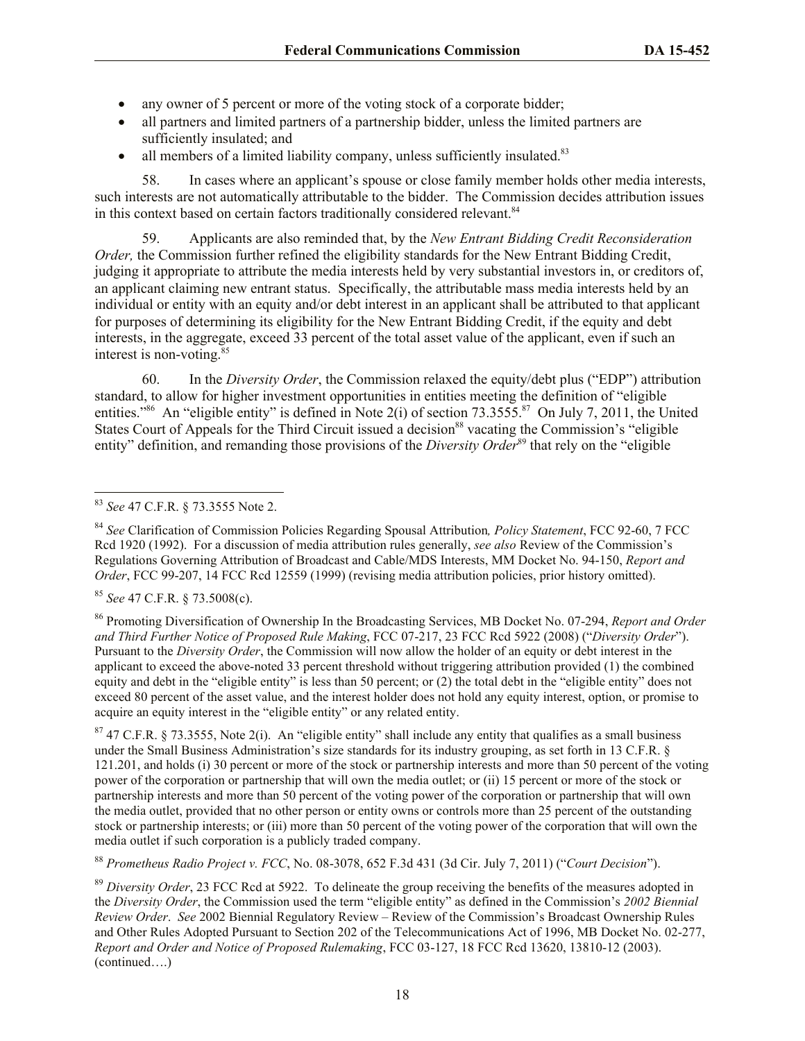- any owner of 5 percent or more of the voting stock of a corporate bidder;
- all partners and limited partners of a partnership bidder, unless the limited partners are sufficiently insulated; and
- all members of a limited liability company, unless sufficiently insulated.<sup>83</sup>

58. In cases where an applicant's spouse or close family member holds other media interests, such interests are not automatically attributable to the bidder. The Commission decides attribution issues in this context based on certain factors traditionally considered relevant.<sup>84</sup>

59. Applicants are also reminded that, by the *New Entrant Bidding Credit Reconsideration Order*, the Commission further refined the eligibility standards for the New Entrant Bidding Credit, judging it appropriate to attribute the media interests held by very substantial investors in, or creditors of, an applicant claiming new entrant status. Specifically, the attributable mass media interests held by an individual or entity with an equity and/or debt interest in an applicant shall be attributed to that applicant for purposes of determining its eligibility for the New Entrant Bidding Credit, if the equity and debt interests, in the aggregate, exceed 33 percent of the total asset value of the applicant, even if such an interest is non-voting.<sup>85</sup>

60. In the *Diversity Order*, the Commission relaxed the equity/debt plus ("EDP") attribution standard, to allow for higher investment opportunities in entities meeting the definition of "eligible entities."<sup>86</sup> An "eligible entity" is defined in Note 2(i) of section  $73.3555$ .<sup>87</sup> On July 7, 2011, the United States Court of Appeals for the Third Circuit issued a decision<sup>88</sup> vacating the Commission's "eligible" entity" definition, and remanding those provisions of the *Diversity Order*<sup>89</sup> that rely on the "eligible"

<sup>85</sup> *See* 47 C.F.R. § 73.5008(c).

<sup>86</sup> Promoting Diversification of Ownership In the Broadcasting Services, MB Docket No. 07-294, *Report and Order and Third Further Notice of Proposed Rule Making*, FCC 07-217, 23 FCC Rcd 5922 (2008) ("*Diversity Order*"). Pursuant to the *Diversity Order*, the Commission will now allow the holder of an equity or debt interest in the applicant to exceed the above-noted 33 percent threshold without triggering attribution provided (1) the combined equity and debt in the "eligible entity" is less than 50 percent; or (2) the total debt in the "eligible entity" does not exceed 80 percent of the asset value, and the interest holder does not hold any equity interest, option, or promise to acquire an equity interest in the "eligible entity" or any related entity.

 $87$  47 C.F.R. § 73.3555, Note 2(i). An "eligible entity" shall include any entity that qualifies as a small business under the Small Business Administration's size standards for its industry grouping, as set forth in 13 C.F.R. § 121.201, and holds (i) 30 percent or more of the stock or partnership interests and more than 50 percent of the voting power of the corporation or partnership that will own the media outlet; or (ii) 15 percent or more of the stock or partnership interests and more than 50 percent of the voting power of the corporation or partnership that will own the media outlet, provided that no other person or entity owns or controls more than 25 percent of the outstanding stock or partnership interests; or (iii) more than 50 percent of the voting power of the corporation that will own the media outlet if such corporation is a publicly traded company.

<sup>88</sup> *Prometheus Radio Project v. FCC*, No. 08-3078, 652 F.3d 431 (3d Cir. July 7, 2011) ("*Court Decision*").

<sup>89</sup> *Diversity Order*, 23 FCC Rcd at 5922. To delineate the group receiving the benefits of the measures adopted in the *Diversity Order*, the Commission used the term "eligible entity" as defined in the Commission's *2002 Biennial Review Order*. *See* 2002 Biennial Regulatory Review – Review of the Commission's Broadcast Ownership Rules and Other Rules Adopted Pursuant to Section 202 of the Telecommunications Act of 1996, MB Docket No. 02-277, *Report and Order and Notice of Proposed Rulemaking*, FCC 03-127, 18 FCC Rcd 13620, 13810-12 (2003). (continued….)

l <sup>83</sup> *See* 47 C.F.R. § 73.3555 Note 2.

<sup>84</sup> *See* Clarification of Commission Policies Regarding Spousal Attribution*, Policy Statement*, FCC 92-60, 7 FCC Rcd 1920 (1992). For a discussion of media attribution rules generally, *see also* Review of the Commission's Regulations Governing Attribution of Broadcast and Cable/MDS Interests, MM Docket No. 94-150, *Report and Order*, FCC 99-207, 14 FCC Rcd 12559 (1999) (revising media attribution policies, prior history omitted).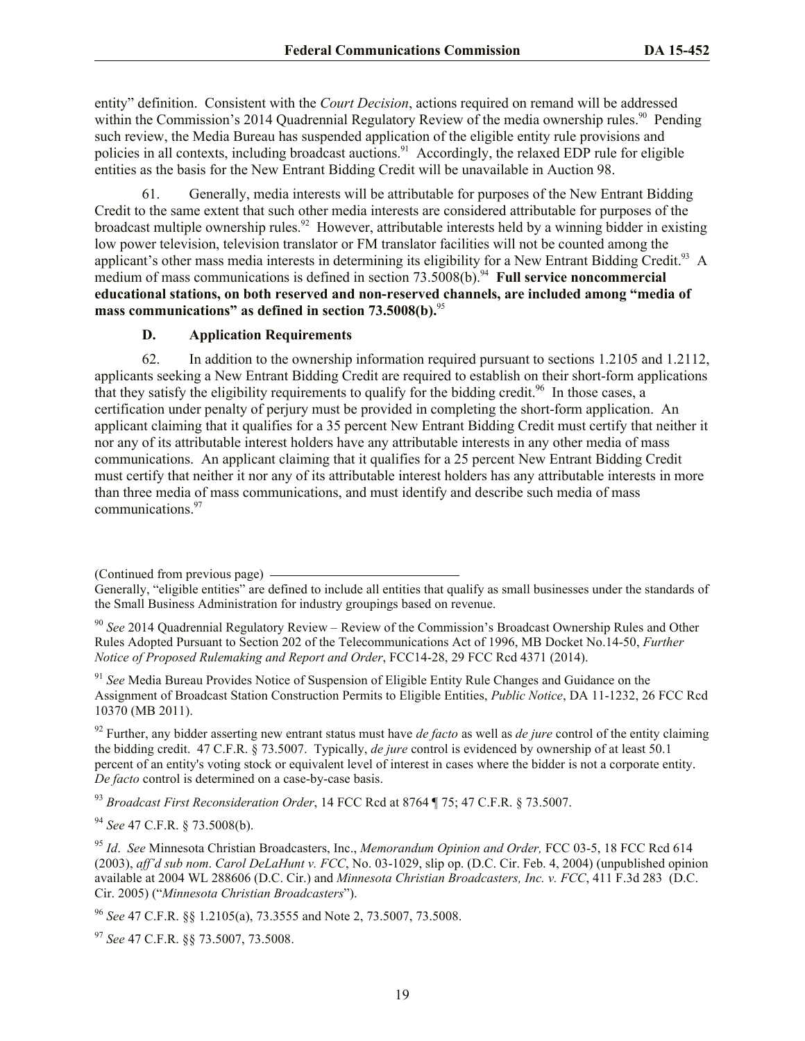entity" definition. Consistent with the *Court Decision*, actions required on remand will be addressed within the Commission's 2014 Quadrennial Regulatory Review of the media ownership rules.<sup>90</sup> Pending such review, the Media Bureau has suspended application of the eligible entity rule provisions and policies in all contexts, including broadcast auctions.<sup>91</sup> Accordingly, the relaxed EDP rule for eligible entities as the basis for the New Entrant Bidding Credit will be unavailable in Auction 98.

61. Generally, media interests will be attributable for purposes of the New Entrant Bidding Credit to the same extent that such other media interests are considered attributable for purposes of the broadcast multiple ownership rules.<sup>92</sup> However, attributable interests held by a winning bidder in existing low power television, television translator or FM translator facilities will not be counted among the applicant's other mass media interests in determining its eligibility for a New Entrant Bidding Credit.<sup>93</sup> A medium of mass communications is defined in section 73.5008(b).<sup>94</sup> Full service noncommercial **educational stations, on both reserved and non-reserved channels, are included among "media of mass communications" as defined in section 73.5008(b).**<sup>95</sup>

#### **D. Application Requirements**

62. In addition to the ownership information required pursuant to sections 1.2105 and 1.2112, applicants seeking a New Entrant Bidding Credit are required to establish on their short-form applications that they satisfy the eligibility requirements to qualify for the bidding credit.<sup>96</sup> In those cases, a certification under penalty of perjury must be provided in completing the short-form application. An applicant claiming that it qualifies for a 35 percent New Entrant Bidding Credit must certify that neither it nor any of its attributable interest holders have any attributable interests in any other media of mass communications. An applicant claiming that it qualifies for a 25 percent New Entrant Bidding Credit must certify that neither it nor any of its attributable interest holders has any attributable interests in more than three media of mass communications, and must identify and describe such media of mass communications. 97

<sup>91</sup> *See* Media Bureau Provides Notice of Suspension of Eligible Entity Rule Changes and Guidance on the Assignment of Broadcast Station Construction Permits to Eligible Entities, *Public Notice*, DA 11-1232, 26 FCC Rcd 10370 (MB 2011).

<sup>92</sup> Further, any bidder asserting new entrant status must have *de facto* as well as *de jure* control of the entity claiming the bidding credit. 47 C.F.R. § 73.5007. Typically, *de jure* control is evidenced by ownership of at least 50.1 percent of an entity's voting stock or equivalent level of interest in cases where the bidder is not a corporate entity. *De facto* control is determined on a case-by-case basis.

<sup>93</sup> *Broadcast First Reconsideration Order*, 14 FCC Rcd at 8764 ¶ 75; 47 C.F.R. § 73.5007.

<sup>94</sup> *See* 47 C.F.R. § 73.5008(b).

<sup>95</sup> *Id*. *See* Minnesota Christian Broadcasters, Inc., *Memorandum Opinion and Order,* FCC 03-5, 18 FCC Rcd 614 (2003), *aff'd sub nom*. *Carol DeLaHunt v. FCC*, No. 03-1029, slip op. (D.C. Cir. Feb. 4, 2004) (unpublished opinion available at 2004 WL 288606 (D.C. Cir.) and *Minnesota Christian Broadcasters, Inc. v. FCC*, 411 F.3d 283 (D.C. Cir. 2005) ("*Minnesota Christian Broadcasters*").

<sup>96</sup> *See* 47 C.F.R. §§ 1.2105(a), 73.3555 and Note 2, 73.5007, 73.5008.

<sup>97</sup> *See* 47 C.F.R. §§ 73.5007, 73.5008.

<sup>(</sup>Continued from previous page)

Generally, "eligible entities" are defined to include all entities that qualify as small businesses under the standards of the Small Business Administration for industry groupings based on revenue.

<sup>90</sup> *See* 2014 Quadrennial Regulatory Review – Review of the Commission's Broadcast Ownership Rules and Other Rules Adopted Pursuant to Section 202 of the Telecommunications Act of 1996, MB Docket No.14-50, *Further Notice of Proposed Rulemaking and Report and Order*, FCC14-28, 29 FCC Rcd 4371 (2014).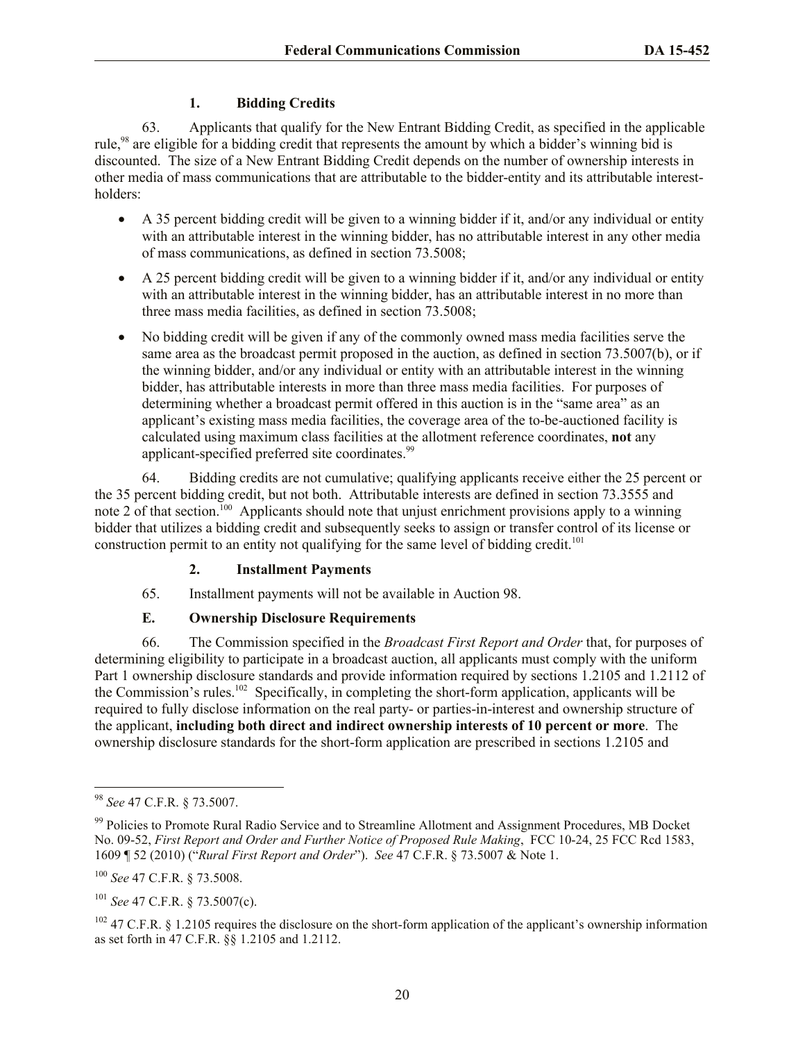## **1. Bidding Credits**

63. Applicants that qualify for the New Entrant Bidding Credit, as specified in the applicable rule,<sup>98</sup> are eligible for a bidding credit that represents the amount by which a bidder's winning bid is discounted. The size of a New Entrant Bidding Credit depends on the number of ownership interests in other media of mass communications that are attributable to the bidder-entity and its attributable interestholders:

- A 35 percent bidding credit will be given to a winning bidder if it, and/or any individual or entity with an attributable interest in the winning bidder, has no attributable interest in any other media of mass communications, as defined in section 73.5008;
- A 25 percent bidding credit will be given to a winning bidder if it, and/or any individual or entity with an attributable interest in the winning bidder, has an attributable interest in no more than three mass media facilities, as defined in section 73.5008;
- No bidding credit will be given if any of the commonly owned mass media facilities serve the same area as the broadcast permit proposed in the auction, as defined in section 73.5007(b), or if the winning bidder, and/or any individual or entity with an attributable interest in the winning bidder, has attributable interests in more than three mass media facilities. For purposes of determining whether a broadcast permit offered in this auction is in the "same area" as an applicant's existing mass media facilities, the coverage area of the to-be-auctioned facility is calculated using maximum class facilities at the allotment reference coordinates, **not** any applicant-specified preferred site coordinates.<sup>99</sup>

64. Bidding credits are not cumulative; qualifying applicants receive either the 25 percent or the 35 percent bidding credit, but not both. Attributable interests are defined in section 73.3555 and note 2 of that section.<sup>100</sup> Applicants should note that unjust enrichment provisions apply to a winning bidder that utilizes a bidding credit and subsequently seeks to assign or transfer control of its license or construction permit to an entity not qualifying for the same level of bidding credit.<sup>101</sup>

## **2. Installment Payments**

65. Installment payments will not be available in Auction 98.

## **E. Ownership Disclosure Requirements**

66. The Commission specified in the *Broadcast First Report and Order* that, for purposes of determining eligibility to participate in a broadcast auction, all applicants must comply with the uniform Part 1 ownership disclosure standards and provide information required by sections 1.2105 and 1.2112 of the Commission's rules.<sup>102</sup> Specifically, in completing the short-form application, applicants will be required to fully disclose information on the real party- or parties-in-interest and ownership structure of the applicant, **including both direct and indirect ownership interests of 10 percent or more**. The ownership disclosure standards for the short-form application are prescribed in sections 1.2105 and

l <sup>98</sup> *See* 47 C.F.R. § 73.5007.

<sup>&</sup>lt;sup>99</sup> Policies to Promote Rural Radio Service and to Streamline Allotment and Assignment Procedures, MB Docket No. 09-52, *First Report and Order and Further Notice of Proposed Rule Making*, FCC 10-24, 25 FCC Rcd 1583, 1609 ¶ 52 (2010) ("*Rural First Report and Order*"). *See* 47 C.F.R. § 73.5007 & Note 1.

<sup>100</sup> *See* 47 C.F.R. § 73.5008.

<sup>101</sup> *See* 47 C.F.R. § 73.5007(c).

<sup>&</sup>lt;sup>102</sup> 47 C.F.R. § 1.2105 requires the disclosure on the short-form application of the applicant's ownership information as set forth in 47 C.F.R. §§ 1.2105 and 1.2112.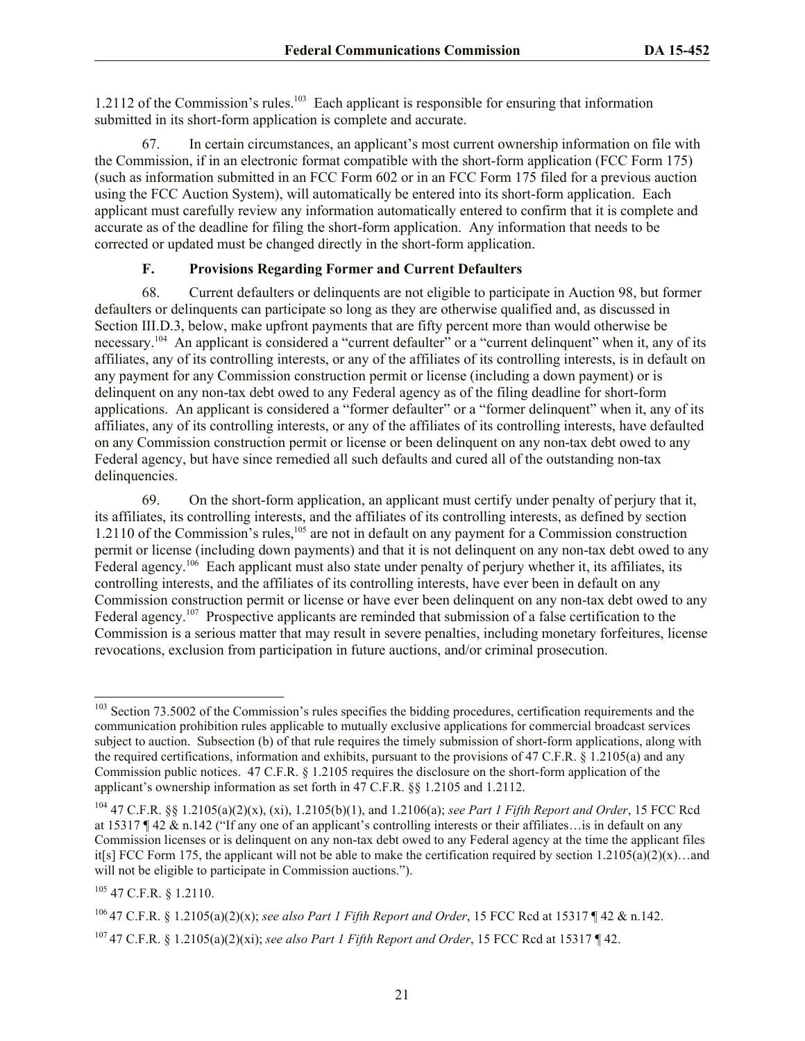1.2112 of the Commission's rules.<sup>103</sup> Each applicant is responsible for ensuring that information submitted in its short-form application is complete and accurate.

67. In certain circumstances, an applicant's most current ownership information on file with the Commission, if in an electronic format compatible with the short-form application (FCC Form 175) (such as information submitted in an FCC Form 602 or in an FCC Form 175 filed for a previous auction using the FCC Auction System), will automatically be entered into its short-form application. Each applicant must carefully review any information automatically entered to confirm that it is complete and accurate as of the deadline for filing the short-form application. Any information that needs to be corrected or updated must be changed directly in the short-form application.

## **F. Provisions Regarding Former and Current Defaulters**

68. Current defaulters or delinquents are not eligible to participate in Auction 98, but former defaulters or delinquents can participate so long as they are otherwise qualified and, as discussed in Section III.D.3, below, make upfront payments that are fifty percent more than would otherwise be necessary.<sup>104</sup> An applicant is considered a "current defaulter" or a "current delinquent" when it, any of its affiliates, any of its controlling interests, or any of the affiliates of its controlling interests, is in default on any payment for any Commission construction permit or license (including a down payment) or is delinquent on any non-tax debt owed to any Federal agency as of the filing deadline for short-form applications. An applicant is considered a "former defaulter" or a "former delinquent" when it, any of its affiliates, any of its controlling interests, or any of the affiliates of its controlling interests, have defaulted on any Commission construction permit or license or been delinquent on any non-tax debt owed to any Federal agency, but have since remedied all such defaults and cured all of the outstanding non-tax delinquencies.

69. On the short-form application, an applicant must certify under penalty of perjury that it, its affiliates, its controlling interests, and the affiliates of its controlling interests, as defined by section 1.2110 of the Commission's rules,<sup>105</sup> are not in default on any payment for a Commission construction permit or license (including down payments) and that it is not delinquent on any non-tax debt owed to any Federal agency.<sup>106</sup> Each applicant must also state under penalty of perjury whether it, its affiliates, its controlling interests, and the affiliates of its controlling interests, have ever been in default on any Commission construction permit or license or have ever been delinquent on any non-tax debt owed to any Federal agency.<sup>107</sup> Prospective applicants are reminded that submission of a false certification to the Commission is a serious matter that may result in severe penalties, including monetary forfeitures, license revocations, exclusion from participation in future auctions, and/or criminal prosecution.

l

<sup>106</sup> 47 C.F.R. § 1.2105(a)(2)(x); *see also Part 1 Fifth Report and Order*, 15 FCC Rcd at 15317 ¶ 42 & n.142.

<sup>&</sup>lt;sup>103</sup> Section 73.5002 of the Commission's rules specifies the bidding procedures, certification requirements and the communication prohibition rules applicable to mutually exclusive applications for commercial broadcast services subject to auction. Subsection (b) of that rule requires the timely submission of short-form applications, along with the required certifications, information and exhibits, pursuant to the provisions of 47 C.F.R. § 1.2105(a) and any Commission public notices. 47 C.F.R. § 1.2105 requires the disclosure on the short-form application of the applicant's ownership information as set forth in 47 C.F.R. §§ 1.2105 and 1.2112.

<sup>104</sup> 47 C.F.R. §§ 1.2105(a)(2)(x), (xi), 1.2105(b)(1), and 1.2106(a); *see Part 1 Fifth Report and Order*, 15 FCC Rcd at 15317  $\parallel$  42 & n.142 ("If any one of an applicant's controlling interests or their affiliates... is in default on any Commission licenses or is delinquent on any non-tax debt owed to any Federal agency at the time the applicant files it[s] FCC Form 175, the applicant will not be able to make the certification required by section  $1.2105(a)(2)(x)$ …and will not be eligible to participate in Commission auctions.").

<sup>105</sup> 47 C.F.R. § 1.2110.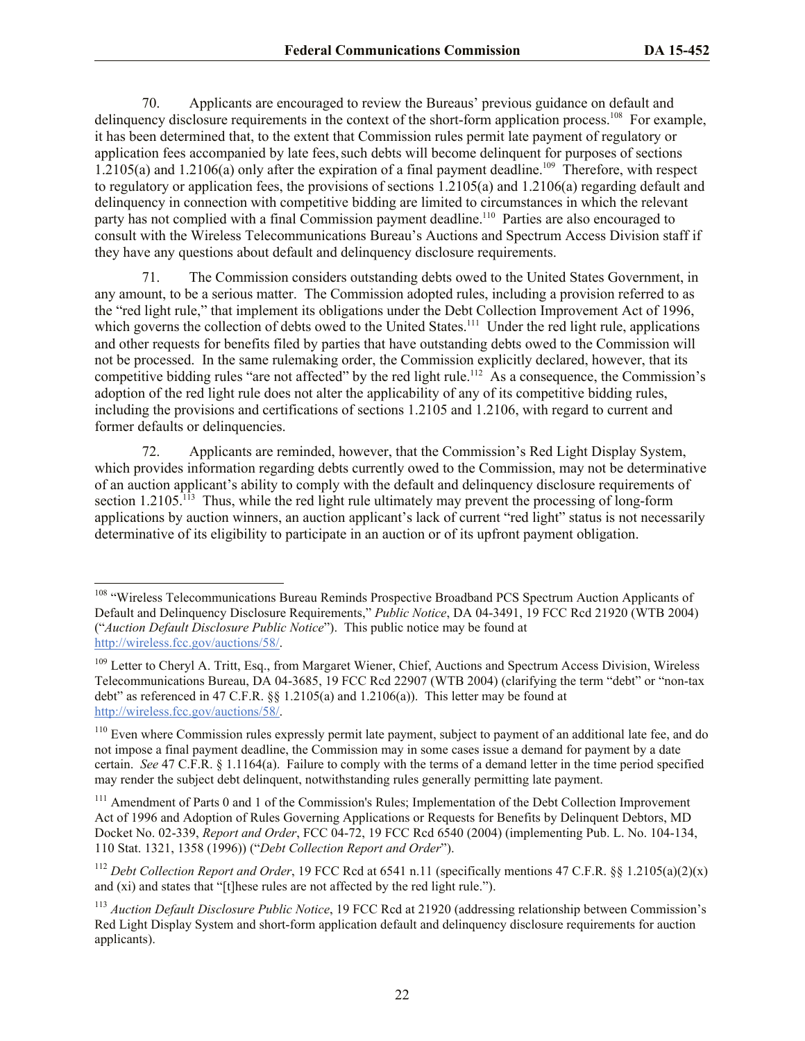70. Applicants are encouraged to review the Bureaus' previous guidance on default and delinquency disclosure requirements in the context of the short-form application process.<sup>108</sup> For example, it has been determined that, to the extent that Commission rules permit late payment of regulatory or application fees accompanied by late fees, such debts will become delinquent for purposes of sections  $1.2105(a)$  and  $1.2106(a)$  only after the expiration of a final payment deadline.<sup>109</sup> Therefore, with respect to regulatory or application fees, the provisions of sections 1.2105(a) and 1.2106(a) regarding default and delinquency in connection with competitive bidding are limited to circumstances in which the relevant party has not complied with a final Commission payment deadline.<sup>110</sup> Parties are also encouraged to consult with the Wireless Telecommunications Bureau's Auctions and Spectrum Access Division staff if they have any questions about default and delinquency disclosure requirements.

71. The Commission considers outstanding debts owed to the United States Government, in any amount, to be a serious matter. The Commission adopted rules, including a provision referred to as the "red light rule," that implement its obligations under the Debt Collection Improvement Act of 1996, which governs the collection of debts owed to the United States.<sup>111</sup> Under the red light rule, applications and other requests for benefits filed by parties that have outstanding debts owed to the Commission will not be processed. In the same rulemaking order, the Commission explicitly declared, however, that its competitive bidding rules "are not affected" by the red light rule.<sup>112</sup> As a consequence, the Commission's adoption of the red light rule does not alter the applicability of any of its competitive bidding rules, including the provisions and certifications of sections 1.2105 and 1.2106, with regard to current and former defaults or delinquencies.

72. Applicants are reminded, however, that the Commission's Red Light Display System, which provides information regarding debts currently owed to the Commission, may not be determinative of an auction applicant's ability to comply with the default and delinquency disclosure requirements of section 1.2105.<sup>113</sup> Thus, while the red light rule ultimately may prevent the processing of long-form applications by auction winners, an auction applicant's lack of current "red light" status is not necessarily determinative of its eligibility to participate in an auction or of its upfront payment obligation.

<sup>&</sup>lt;sup>108</sup> "Wireless Telecommunications Bureau Reminds Prospective Broadband PCS Spectrum Auction Applicants of Default and Delinquency Disclosure Requirements," *Public Notice*, DA 04-3491, 19 FCC Rcd 21920 (WTB 2004) ("*Auction Default Disclosure Public Notice*"). This public notice may be found at http://wireless.fcc.gov/auctions/58/.

<sup>&</sup>lt;sup>109</sup> Letter to Cheryl A. Tritt, Esq., from Margaret Wiener, Chief, Auctions and Spectrum Access Division, Wireless Telecommunications Bureau, DA 04-3685, 19 FCC Rcd 22907 (WTB 2004) (clarifying the term "debt" or "non-tax debt" as referenced in 47 C.F.R. §§ 1.2105(a) and 1.2106(a)). This letter may be found at http://wireless.fcc.gov/auctions/58/.

<sup>&</sup>lt;sup>110</sup> Even where Commission rules expressly permit late payment, subject to payment of an additional late fee, and do not impose a final payment deadline, the Commission may in some cases issue a demand for payment by a date certain. *See* 47 C.F.R. § 1.1164(a). Failure to comply with the terms of a demand letter in the time period specified may render the subject debt delinquent, notwithstanding rules generally permitting late payment.

<sup>&</sup>lt;sup>111</sup> Amendment of Parts 0 and 1 of the Commission's Rules; Implementation of the Debt Collection Improvement Act of 1996 and Adoption of Rules Governing Applications or Requests for Benefits by Delinquent Debtors, MD Docket No. 02-339, *Report and Order*, FCC 04-72, 19 FCC Rcd 6540 (2004) (implementing Pub. L. No. 104-134, 110 Stat. 1321, 1358 (1996)) ("*Debt Collection Report and Order*").

<sup>&</sup>lt;sup>112</sup> *Debt Collection Report and Order*, 19 FCC Rcd at 6541 n.11 (specifically mentions 47 C.F.R. §§ 1.2105(a)(2)(x) and (xi) and states that "[t]hese rules are not affected by the red light rule.").

<sup>113</sup> *Auction Default Disclosure Public Notice*, 19 FCC Rcd at 21920 (addressing relationship between Commission's Red Light Display System and short-form application default and delinquency disclosure requirements for auction applicants).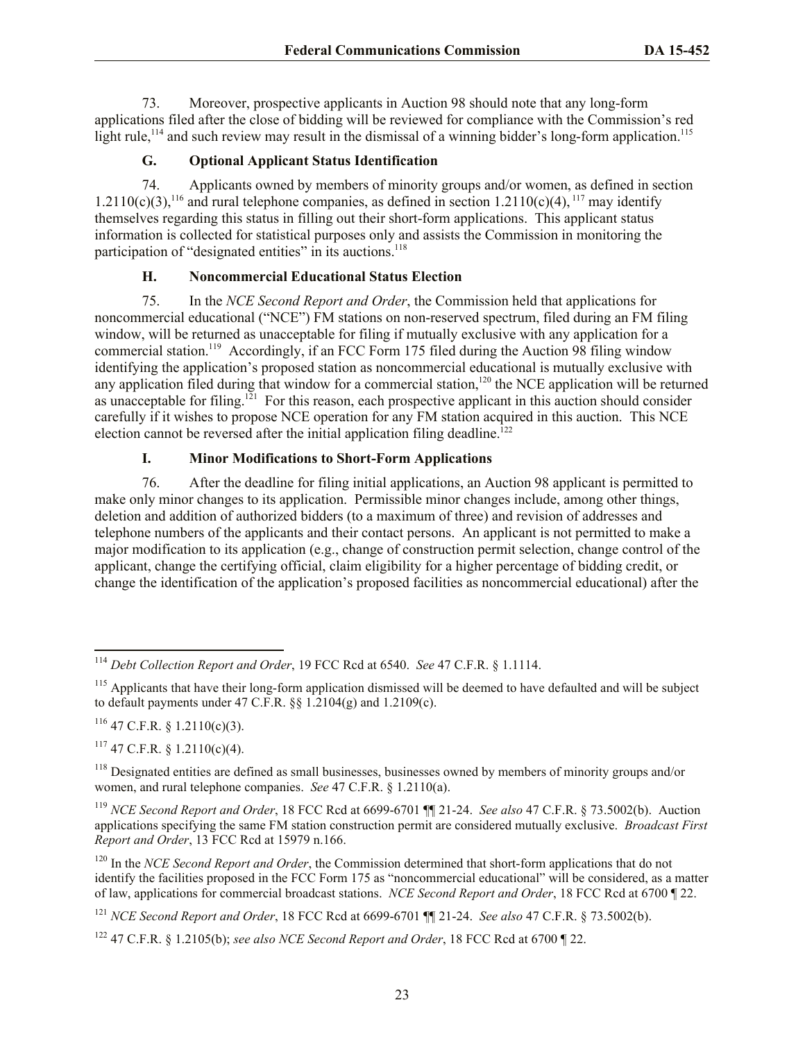73. Moreover, prospective applicants in Auction 98 should note that any long-form applications filed after the close of bidding will be reviewed for compliance with the Commission's red light rule,<sup>114</sup> and such review may result in the dismissal of a winning bidder's long-form application.<sup>115</sup>

## **G. Optional Applicant Status Identification**

74. Applicants owned by members of minority groups and/or women, as defined in section 1.2110(c)(3),<sup>116</sup> and rural telephone companies, as defined in section 1.2110(c)(4),<sup>117</sup> may identify themselves regarding this status in filling out their short-form applications. This applicant status information is collected for statistical purposes only and assists the Commission in monitoring the participation of "designated entities" in its auctions.<sup>118</sup>

## **H. Noncommercial Educational Status Election**

75. In the *NCE Second Report and Order*, the Commission held that applications for noncommercial educational ("NCE") FM stations on non-reserved spectrum, filed during an FM filing window, will be returned as unacceptable for filing if mutually exclusive with any application for a commercial station.<sup>119</sup> Accordingly, if an FCC Form 175 filed during the Auction 98 filing window identifying the application's proposed station as noncommercial educational is mutually exclusive with any application filed during that window for a commercial station,<sup>120</sup> the NCE application will be returned as unacceptable for filing.<sup>121</sup> For this reason, each prospective applicant in this auction should consider carefully if it wishes to propose NCE operation for any FM station acquired in this auction. This NCE election cannot be reversed after the initial application filing deadline.<sup> $122$ </sup>

## **I. Minor Modifications to Short-Form Applications**

76. After the deadline for filing initial applications, an Auction 98 applicant is permitted to make only minor changes to its application. Permissible minor changes include, among other things, deletion and addition of authorized bidders (to a maximum of three) and revision of addresses and telephone numbers of the applicants and their contact persons. An applicant is not permitted to make a major modification to its application (e.g., change of construction permit selection, change control of the applicant, change the certifying official, claim eligibility for a higher percentage of bidding credit, or change the identification of the application's proposed facilities as noncommercial educational) after the

 $116$  47 C.F.R. § 1.2110(c)(3).

 $117$  47 C.F.R. § 1.2110(c)(4).

l <sup>114</sup> *Debt Collection Report and Order*, 19 FCC Rcd at 6540. *See* 47 C.F.R. § 1.1114.

<sup>&</sup>lt;sup>115</sup> Applicants that have their long-form application dismissed will be deemed to have defaulted and will be subject to default payments under 47 C.F.R. §§ 1.2104(g) and 1.2109(c).

<sup>&</sup>lt;sup>118</sup> Designated entities are defined as small businesses, businesses owned by members of minority groups and/or women, and rural telephone companies. *See* 47 C.F.R. § 1.2110(a).

<sup>119</sup> *NCE Second Report and Order*, 18 FCC Rcd at 6699-6701 ¶¶ 21-24. *See also* 47 C.F.R. § 73.5002(b). Auction applications specifying the same FM station construction permit are considered mutually exclusive. *Broadcast First Report and Order*, 13 FCC Rcd at 15979 n.166.

<sup>&</sup>lt;sup>120</sup> In the *NCE Second Report and Order*, the Commission determined that short-form applications that do not identify the facilities proposed in the FCC Form 175 as "noncommercial educational" will be considered, as a matter of law, applications for commercial broadcast stations. *NCE Second Report and Order*, 18 FCC Rcd at 6700 ¶ 22.

<sup>121</sup> *NCE Second Report and Order*, 18 FCC Rcd at 6699-6701 ¶¶ 21-24. *See also* 47 C.F.R. § 73.5002(b).

<sup>122</sup> 47 C.F.R. § 1.2105(b); *see also NCE Second Report and Order*, 18 FCC Rcd at 6700 ¶ 22.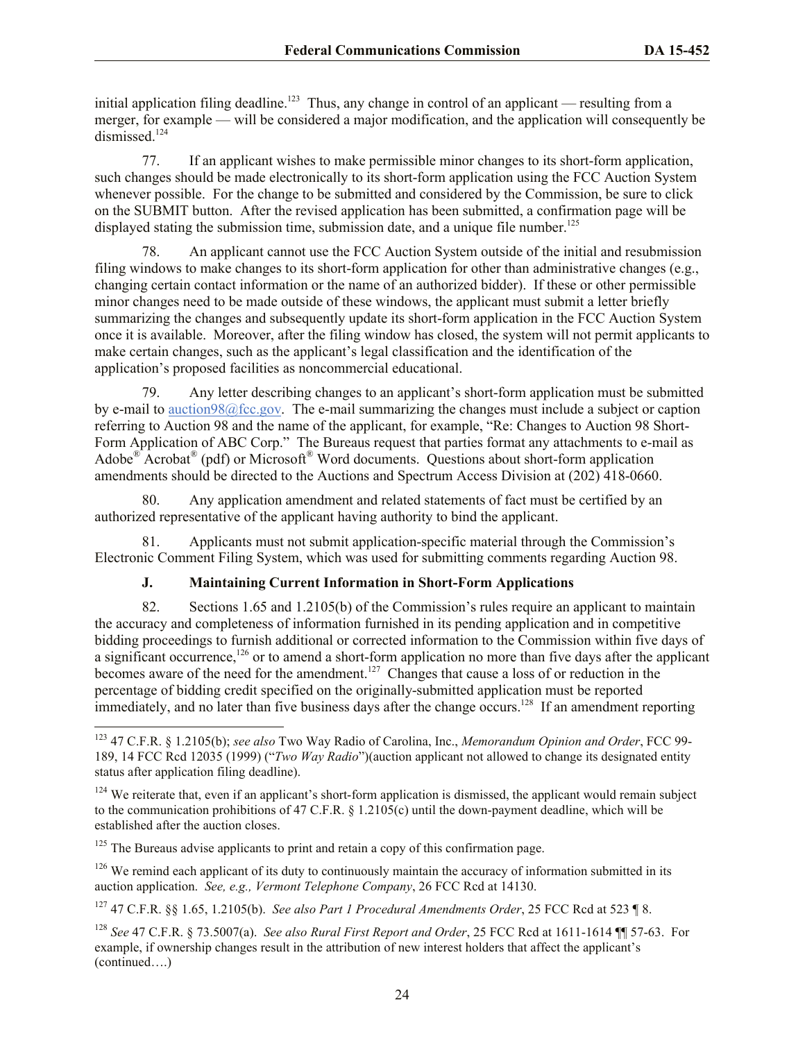initial application filing deadline.<sup>123</sup> Thus, any change in control of an applicant — resulting from a merger, for example — will be considered a major modification, and the application will consequently be dismissed.<sup>124</sup>

77. If an applicant wishes to make permissible minor changes to its short-form application, such changes should be made electronically to its short-form application using the FCC Auction System whenever possible. For the change to be submitted and considered by the Commission, be sure to click on the SUBMIT button. After the revised application has been submitted, a confirmation page will be displayed stating the submission time, submission date, and a unique file number.<sup>125</sup>

78. An applicant cannot use the FCC Auction System outside of the initial and resubmission filing windows to make changes to its short-form application for other than administrative changes (e.g., changing certain contact information or the name of an authorized bidder). If these or other permissible minor changes need to be made outside of these windows, the applicant must submit a letter briefly summarizing the changes and subsequently update its short-form application in the FCC Auction System once it is available. Moreover, after the filing window has closed, the system will not permit applicants to make certain changes, such as the applicant's legal classification and the identification of the application's proposed facilities as noncommercial educational.

79. Any letter describing changes to an applicant's short-form application must be submitted by e-mail to auction98@fcc.gov. The e-mail summarizing the changes must include a subject or caption referring to Auction 98 and the name of the applicant, for example, "Re: Changes to Auction 98 Short-Form Application of ABC Corp." The Bureaus request that parties format any attachments to e-mail as Adobe $\mathbb{P}^{\infty}$  Acrobat $\mathbb{P}$  (pdf) or Microsoft<sup>®</sup> Word documents. Questions about short-form application amendments should be directed to the Auctions and Spectrum Access Division at (202) 418-0660.

80. Any application amendment and related statements of fact must be certified by an authorized representative of the applicant having authority to bind the applicant.

81. Applicants must not submit application-specific material through the Commission's Electronic Comment Filing System, which was used for submitting comments regarding Auction 98.

## **J. Maintaining Current Information in Short-Form Applications**

82. Sections 1.65 and 1.2105(b) of the Commission's rules require an applicant to maintain the accuracy and completeness of information furnished in its pending application and in competitive bidding proceedings to furnish additional or corrected information to the Commission within five days of a significant occurrence, $126$  or to amend a short-form application no more than five days after the applicant becomes aware of the need for the amendment.<sup>127</sup> Changes that cause a loss of or reduction in the percentage of bidding credit specified on the originally-submitted application must be reported immediately, and no later than five business days after the change occurs.<sup>128</sup> If an amendment reporting

<sup>125</sup> The Bureaus advise applicants to print and retain a copy of this confirmation page.

l

 $126$  We remind each applicant of its duty to continuously maintain the accuracy of information submitted in its auction application. *See, e.g., Vermont Telephone Company*, 26 FCC Rcd at 14130.

<sup>127</sup> 47 C.F.R. §§ 1.65, 1.2105(b). *See also Part 1 Procedural Amendments Order*, 25 FCC Rcd at 523 ¶ 8.

<sup>128</sup> *See* 47 C.F.R. § 73.5007(a). *See also Rural First Report and Order*, 25 FCC Rcd at 1611-1614 ¶¶ 57-63. For example, if ownership changes result in the attribution of new interest holders that affect the applicant's (continued….)

<sup>123</sup> 47 C.F.R. § 1.2105(b); *see also* Two Way Radio of Carolina, Inc., *Memorandum Opinion and Order*, FCC 99- 189, 14 FCC Rcd 12035 (1999) ("*Two Way Radio*")(auction applicant not allowed to change its designated entity status after application filing deadline).

 $124$  We reiterate that, even if an applicant's short-form application is dismissed, the applicant would remain subject to the communication prohibitions of 47 C.F.R. § 1.2105(c) until the down-payment deadline, which will be established after the auction closes.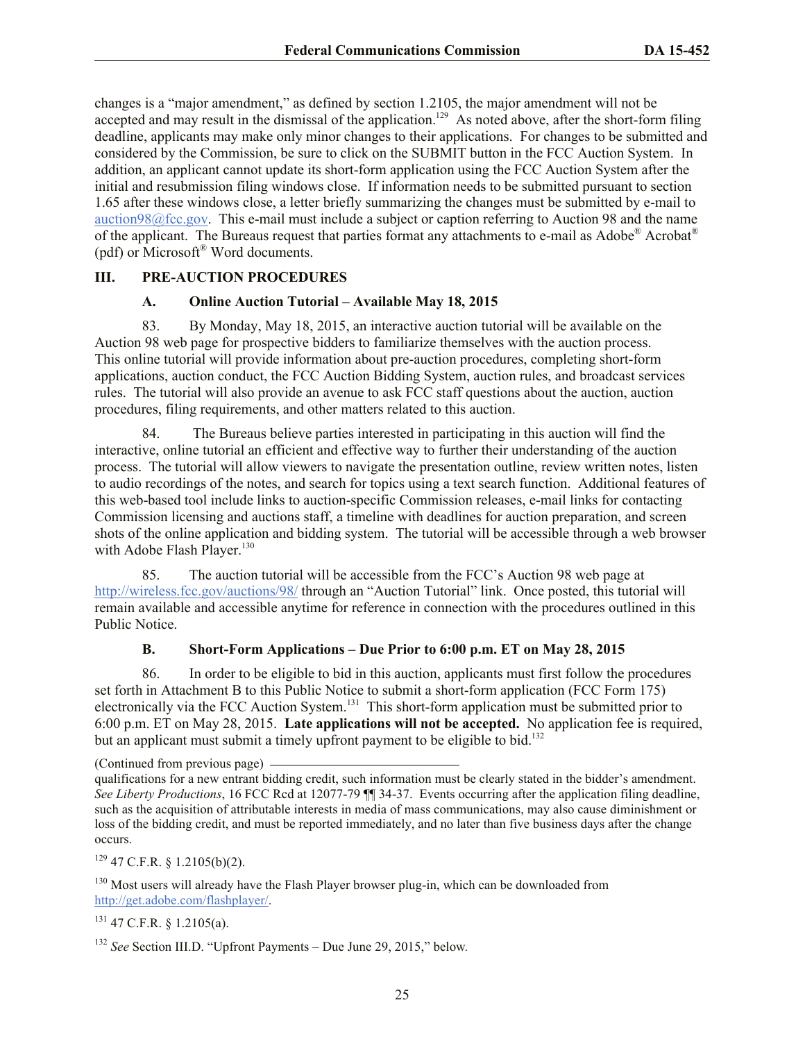changes is a "major amendment," as defined by section 1.2105, the major amendment will not be accepted and may result in the dismissal of the application.<sup>129</sup> As noted above, after the short-form filing deadline, applicants may make only minor changes to their applications. For changes to be submitted and considered by the Commission, be sure to click on the SUBMIT button in the FCC Auction System. In addition, an applicant cannot update its short-form application using the FCC Auction System after the initial and resubmission filing windows close. If information needs to be submitted pursuant to section 1.65 after these windows close, a letter briefly summarizing the changes must be submitted by e-mail to auction98@fcc.gov. This e-mail must include a subject or caption referring to Auction 98 and the name of the applicant. The Bureaus request that parties format any attachments to e-mail as Adobe® Acrobat® (pdf) or Microsoft® Word documents.

#### **III. PRE-AUCTION PROCEDURES**

#### **A. Online Auction Tutorial – Available May 18, 2015**

83. By Monday, May 18, 2015, an interactive auction tutorial will be available on the Auction 98 web page for prospective bidders to familiarize themselves with the auction process. This online tutorial will provide information about pre-auction procedures, completing short-form applications, auction conduct, the FCC Auction Bidding System, auction rules, and broadcast services rules. The tutorial will also provide an avenue to ask FCC staff questions about the auction, auction procedures, filing requirements, and other matters related to this auction.

84. The Bureaus believe parties interested in participating in this auction will find the interactive, online tutorial an efficient and effective way to further their understanding of the auction process. The tutorial will allow viewers to navigate the presentation outline, review written notes, listen to audio recordings of the notes, and search for topics using a text search function. Additional features of this web-based tool include links to auction-specific Commission releases, e-mail links for contacting Commission licensing and auctions staff, a timeline with deadlines for auction preparation, and screen shots of the online application and bidding system. The tutorial will be accessible through a web browser with Adobe Flash Player.<sup>130</sup>

85. The auction tutorial will be accessible from the FCC's Auction 98 web page at http://wireless.fcc.gov/auctions/98/ through an "Auction Tutorial" link. Once posted, this tutorial will remain available and accessible anytime for reference in connection with the procedures outlined in this Public Notice.

#### **B. Short-Form Applications – Due Prior to 6:00 p.m. ET on May 28, 2015**

86. In order to be eligible to bid in this auction, applicants must first follow the procedures set forth in Attachment B to this Public Notice to submit a short-form application (FCC Form 175) electronically via the FCC Auction System.<sup>131</sup> This short-form application must be submitted prior to 6:00 p.m. ET on May 28, 2015. **Late applications will not be accepted.** No application fee is required, but an applicant must submit a timely upfront payment to be eligible to bid.<sup>132</sup>

 $129$  47 C.F.R. § 1.2105(b)(2).

<sup>130</sup> Most users will already have the Flash Player browser plug-in, which can be downloaded from http://get.adobe.com/flashplayer/.

 $131$  47 C.F.R. § 1.2105(a).

<sup>132</sup> *See* Section III.D. "Upfront Payments – Due June 29, 2015," below*.* 

<sup>(</sup>Continued from previous page)

qualifications for a new entrant bidding credit, such information must be clearly stated in the bidder's amendment. *See Liberty Productions*, 16 FCC Rcd at 12077-79 ¶¶ 34-37. Events occurring after the application filing deadline, such as the acquisition of attributable interests in media of mass communications, may also cause diminishment or loss of the bidding credit, and must be reported immediately, and no later than five business days after the change occurs.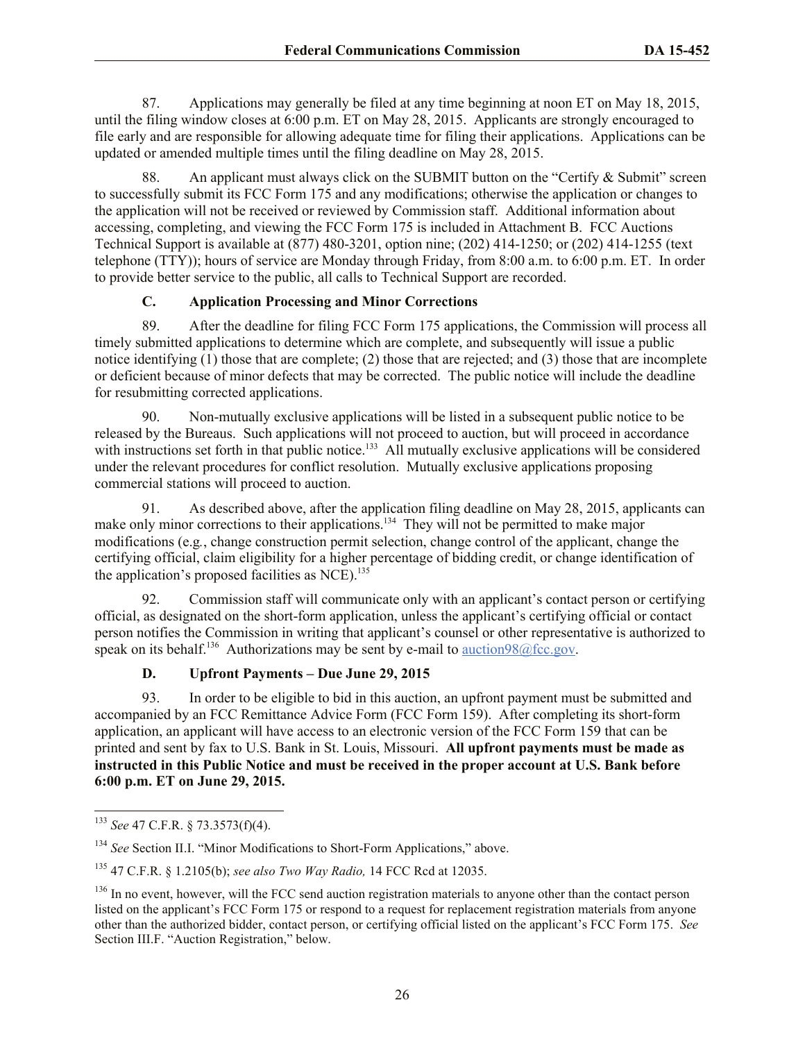87. Applications may generally be filed at any time beginning at noon ET on May 18, 2015, until the filing window closes at 6:00 p.m. ET on May 28, 2015. Applicants are strongly encouraged to file early and are responsible for allowing adequate time for filing their applications. Applications can be updated or amended multiple times until the filing deadline on May 28, 2015.

88. An applicant must always click on the SUBMIT button on the "Certify & Submit" screen to successfully submit its FCC Form 175 and any modifications; otherwise the application or changes to the application will not be received or reviewed by Commission staff. Additional information about accessing, completing, and viewing the FCC Form 175 is included in Attachment B. FCC Auctions Technical Support is available at (877) 480-3201, option nine; (202) 414-1250; or (202) 414-1255 (text telephone (TTY)); hours of service are Monday through Friday, from 8:00 a.m. to 6:00 p.m. ET. In order to provide better service to the public, all calls to Technical Support are recorded.

#### **C. Application Processing and Minor Corrections**

89. After the deadline for filing FCC Form 175 applications, the Commission will process all timely submitted applications to determine which are complete, and subsequently will issue a public notice identifying (1) those that are complete; (2) those that are rejected; and (3) those that are incomplete or deficient because of minor defects that may be corrected. The public notice will include the deadline for resubmitting corrected applications.

90. Non-mutually exclusive applications will be listed in a subsequent public notice to be released by the Bureaus. Such applications will not proceed to auction, but will proceed in accordance with instructions set forth in that public notice.<sup>133</sup> All mutually exclusive applications will be considered under the relevant procedures for conflict resolution. Mutually exclusive applications proposing commercial stations will proceed to auction.

91. As described above, after the application filing deadline on May 28, 2015, applicants can make only minor corrections to their applications.<sup>134</sup> They will not be permitted to make major modifications (e.g*.*, change construction permit selection, change control of the applicant, change the certifying official, claim eligibility for a higher percentage of bidding credit, or change identification of the application's proposed facilities as  $NCE$ ).<sup>135</sup>

92. Commission staff will communicate only with an applicant's contact person or certifying official, as designated on the short-form application, unless the applicant's certifying official or contact person notifies the Commission in writing that applicant's counsel or other representative is authorized to speak on its behalf.<sup>136</sup> Authorizations may be sent by e-mail to **auction98@fcc.gov**.

## **D. Upfront Payments – Due June 29, 2015**

93. In order to be eligible to bid in this auction, an upfront payment must be submitted and accompanied by an FCC Remittance Advice Form (FCC Form 159). After completing its short-form application, an applicant will have access to an electronic version of the FCC Form 159 that can be printed and sent by fax to U.S. Bank in St. Louis, Missouri. **All upfront payments must be made as instructed in this Public Notice and must be received in the proper account at U.S. Bank before 6:00 p.m. ET on June 29, 2015.**

l <sup>133</sup> *See* 47 C.F.R. § 73.3573(f)(4).

<sup>&</sup>lt;sup>134</sup> See Section II.I. "Minor Modifications to Short-Form Applications," above.

<sup>135</sup> 47 C.F.R. § 1.2105(b); *see also Two Way Radio,* 14 FCC Rcd at 12035.

<sup>&</sup>lt;sup>136</sup> In no event, however, will the FCC send auction registration materials to anyone other than the contact person listed on the applicant's FCC Form 175 or respond to a request for replacement registration materials from anyone other than the authorized bidder, contact person, or certifying official listed on the applicant's FCC Form 175. *See*  Section III.F. "Auction Registration," below.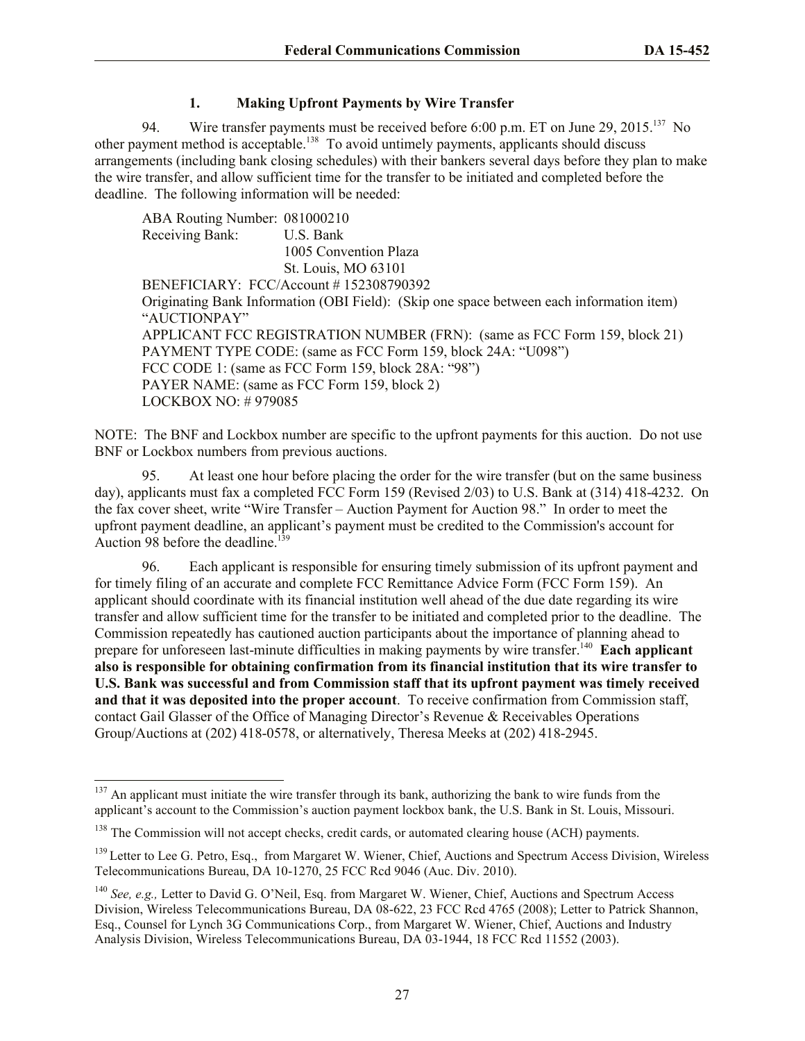## **1. Making Upfront Payments by Wire Transfer**

94. Wire transfer payments must be received before 6:00 p.m. ET on June 29, 2015.<sup>137</sup> No other payment method is acceptable.<sup>138</sup> To avoid untimely payments, applicants should discuss arrangements (including bank closing schedules) with their bankers several days before they plan to make the wire transfer, and allow sufficient time for the transfer to be initiated and completed before the deadline. The following information will be needed:

ABA Routing Number: 081000210 Receiving Bank: U.S. Bank 1005 Convention Plaza St. Louis, MO 63101 BENEFICIARY: FCC/Account # 152308790392 Originating Bank Information (OBI Field): (Skip one space between each information item) "AUCTIONPAY" APPLICANT FCC REGISTRATION NUMBER (FRN): (same as FCC Form 159, block 21) PAYMENT TYPE CODE: (same as FCC Form 159, block 24A: "U098") FCC CODE 1: (same as FCC Form 159, block 28A: "98") PAYER NAME: (same as FCC Form 159, block 2) LOCKBOX NO: # 979085

NOTE: The BNF and Lockbox number are specific to the upfront payments for this auction. Do not use BNF or Lockbox numbers from previous auctions.

95. At least one hour before placing the order for the wire transfer (but on the same business day), applicants must fax a completed FCC Form 159 (Revised 2/03) to U.S. Bank at (314) 418-4232. On the fax cover sheet, write "Wire Transfer – Auction Payment for Auction 98." In order to meet the upfront payment deadline, an applicant's payment must be credited to the Commission's account for Auction 98 before the deadline.<sup>139</sup>

96. Each applicant is responsible for ensuring timely submission of its upfront payment and for timely filing of an accurate and complete FCC Remittance Advice Form (FCC Form 159). An applicant should coordinate with its financial institution well ahead of the due date regarding its wire transfer and allow sufficient time for the transfer to be initiated and completed prior to the deadline. The Commission repeatedly has cautioned auction participants about the importance of planning ahead to prepare for unforeseen last-minute difficulties in making payments by wire transfer.<sup>140</sup> Each applicant **also is responsible for obtaining confirmation from its financial institution that its wire transfer to U.S. Bank was successful and from Commission staff that its upfront payment was timely received and that it was deposited into the proper account**. To receive confirmation from Commission staff, contact Gail Glasser of the Office of Managing Director's Revenue & Receivables Operations Group/Auctions at (202) 418-0578, or alternatively, Theresa Meeks at (202) 418-2945.

<sup>&</sup>lt;sup>137</sup> An applicant must initiate the wire transfer through its bank, authorizing the bank to wire funds from the applicant's account to the Commission's auction payment lockbox bank, the U.S. Bank in St. Louis, Missouri.

<sup>&</sup>lt;sup>138</sup> The Commission will not accept checks, credit cards, or automated clearing house (ACH) payments.

<sup>&</sup>lt;sup>139</sup> Letter to Lee G. Petro, Esq., from Margaret W. Wiener, Chief, Auctions and Spectrum Access Division, Wireless Telecommunications Bureau, DA 10-1270, 25 FCC Rcd 9046 (Auc. Div. 2010).

<sup>&</sup>lt;sup>140</sup> *See, e.g., Letter to David G. O'Neil, Esq. from Margaret W. Wiener, Chief, Auctions and Spectrum Access* Division, Wireless Telecommunications Bureau, DA 08-622, 23 FCC Rcd 4765 (2008); Letter to Patrick Shannon, Esq., Counsel for Lynch 3G Communications Corp., from Margaret W. Wiener, Chief, Auctions and Industry Analysis Division, Wireless Telecommunications Bureau, DA 03-1944, 18 FCC Rcd 11552 (2003).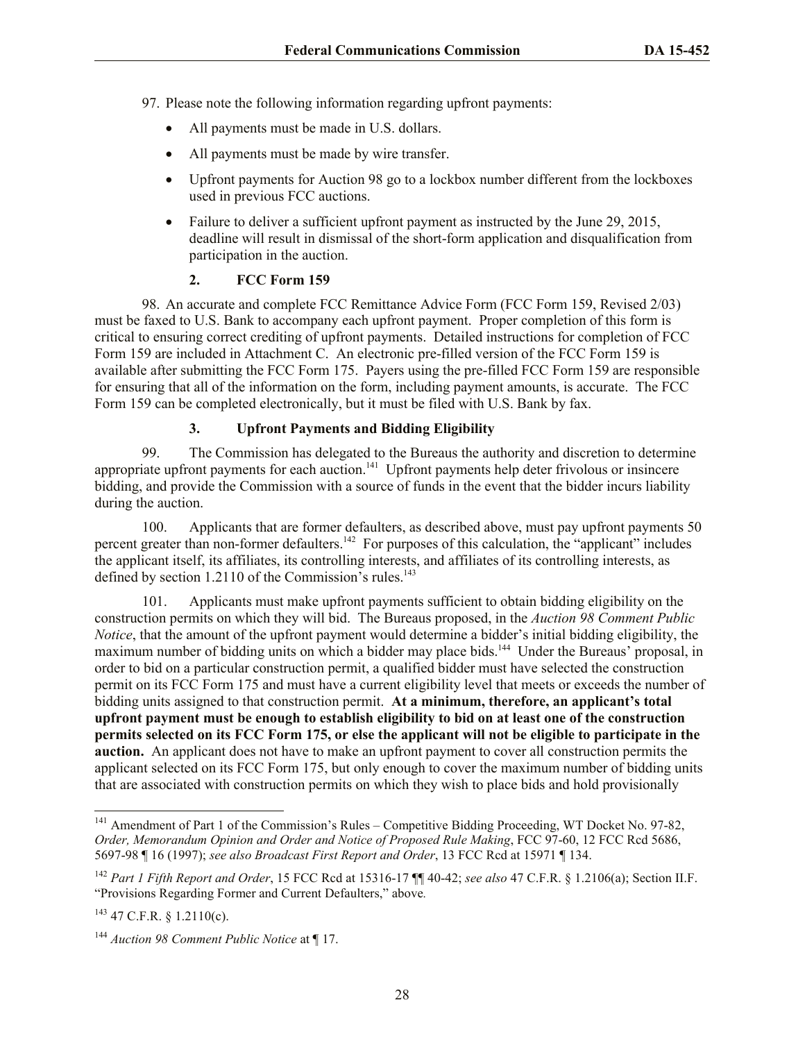- 97. Please note the following information regarding upfront payments:
	- All payments must be made in U.S. dollars.
	- All payments must be made by wire transfer.
	- Upfront payments for Auction 98 go to a lockbox number different from the lockboxes used in previous FCC auctions.
	- Failure to deliver a sufficient upfront payment as instructed by the June 29, 2015, deadline will result in dismissal of the short-form application and disqualification from participation in the auction.

## **2. FCC Form 159**

98. An accurate and complete FCC Remittance Advice Form (FCC Form 159, Revised 2/03) must be faxed to U.S. Bank to accompany each upfront payment. Proper completion of this form is critical to ensuring correct crediting of upfront payments. Detailed instructions for completion of FCC Form 159 are included in Attachment C. An electronic pre-filled version of the FCC Form 159 is available after submitting the FCC Form 175. Payers using the pre-filled FCC Form 159 are responsible for ensuring that all of the information on the form, including payment amounts, is accurate. The FCC Form 159 can be completed electronically, but it must be filed with U.S. Bank by fax.

## **3. Upfront Payments and Bidding Eligibility**

99. The Commission has delegated to the Bureaus the authority and discretion to determine appropriate upfront payments for each auction.<sup>141</sup> Upfront payments help deter frivolous or insincere bidding, and provide the Commission with a source of funds in the event that the bidder incurs liability during the auction.

100. Applicants that are former defaulters, as described above, must pay upfront payments 50 percent greater than non-former defaulters.<sup>142</sup> For purposes of this calculation, the "applicant" includes the applicant itself, its affiliates, its controlling interests, and affiliates of its controlling interests, as defined by section  $1.2110$  of the Commission's rules.<sup>143</sup>

101. Applicants must make upfront payments sufficient to obtain bidding eligibility on the construction permits on which they will bid. The Bureaus proposed, in the *Auction 98 Comment Public Notice*, that the amount of the upfront payment would determine a bidder's initial bidding eligibility, the maximum number of bidding units on which a bidder may place bids.<sup>144</sup> Under the Bureaus' proposal, in order to bid on a particular construction permit, a qualified bidder must have selected the construction permit on its FCC Form 175 and must have a current eligibility level that meets or exceeds the number of bidding units assigned to that construction permit. **At a minimum, therefore, an applicant's total upfront payment must be enough to establish eligibility to bid on at least one of the construction permits selected on its FCC Form 175, or else the applicant will not be eligible to participate in the auction.** An applicant does not have to make an upfront payment to cover all construction permits the applicant selected on its FCC Form 175, but only enough to cover the maximum number of bidding units that are associated with construction permits on which they wish to place bids and hold provisionally

l  $141$  Amendment of Part 1 of the Commission's Rules – Competitive Bidding Proceeding, WT Docket No. 97-82, *Order, Memorandum Opinion and Order and Notice of Proposed Rule Making*, FCC 97-60, 12 FCC Rcd 5686, 5697-98 ¶ 16 (1997); *see also Broadcast First Report and Order*, 13 FCC Rcd at 15971 ¶ 134.

<sup>142</sup> *Part 1 Fifth Report and Order*, 15 FCC Rcd at 15316-17 ¶¶ 40-42; *see also* 47 C.F.R. § 1.2106(a); Section II.F. "Provisions Regarding Former and Current Defaulters," above*.* 

 $143$  47 C.F.R. § 1.2110(c).

<sup>144</sup> *Auction 98 Comment Public Notice* at ¶ 17.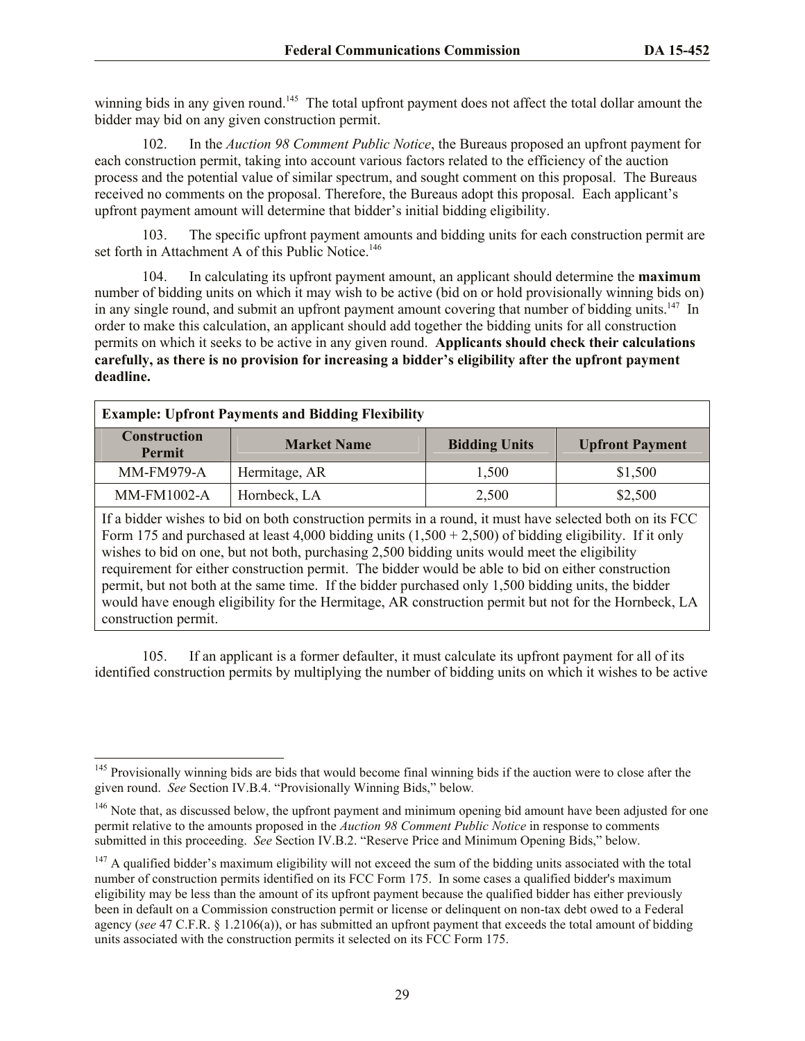winning bids in any given round.<sup>145</sup> The total upfront payment does not affect the total dollar amount the bidder may bid on any given construction permit.

102. In the *Auction 98 Comment Public Notice*, the Bureaus proposed an upfront payment for each construction permit, taking into account various factors related to the efficiency of the auction process and the potential value of similar spectrum, and sought comment on this proposal. The Bureaus received no comments on the proposal. Therefore, the Bureaus adopt this proposal. Each applicant's upfront payment amount will determine that bidder's initial bidding eligibility.

103. The specific upfront payment amounts and bidding units for each construction permit are set forth in Attachment A of this Public Notice.<sup>146</sup>

104. In calculating its upfront payment amount, an applicant should determine the **maximum** number of bidding units on which it may wish to be active (bid on or hold provisionally winning bids on) in any single round, and submit an upfront payment amount covering that number of bidding units.<sup>147</sup> In order to make this calculation, an applicant should add together the bidding units for all construction permits on which it seeks to be active in any given round. **Applicants should check their calculations carefully, as there is no provision for increasing a bidder's eligibility after the upfront payment deadline.**

| <b>Example: Upfront Payments and Bidding Flexibility</b>                                                                                                                                                                                                                                                                                                                                                                    |                    |                      |                        |  |  |  |  |  |  |  |
|-----------------------------------------------------------------------------------------------------------------------------------------------------------------------------------------------------------------------------------------------------------------------------------------------------------------------------------------------------------------------------------------------------------------------------|--------------------|----------------------|------------------------|--|--|--|--|--|--|--|
| <b>Construction</b><br>Permit                                                                                                                                                                                                                                                                                                                                                                                               | <b>Market Name</b> | <b>Bidding Units</b> | <b>Upfront Payment</b> |  |  |  |  |  |  |  |
| <b>MM-FM979-A</b>                                                                                                                                                                                                                                                                                                                                                                                                           | Hermitage, AR      | 1,500                | \$1,500                |  |  |  |  |  |  |  |
| MM-FM1002-A                                                                                                                                                                                                                                                                                                                                                                                                                 | Hornbeck, LA       | 2,500                | \$2,500                |  |  |  |  |  |  |  |
| If a bidder wishes to bid on both construction permits in a round, it must have selected both on its FCC<br>Form 175 and purchased at least 4,000 bidding units $(1,500 + 2,500)$ of bidding eligibility. If it only<br>wishes to bid on one, but not both, purchasing 2,500 bidding units would meet the eligibility<br>requirement for either construction permit. The bidder would be able to bid on either construction |                    |                      |                        |  |  |  |  |  |  |  |

permit, but not both at the same time. If the bidder purchased only 1,500 bidding units, the bidder would have enough eligibility for the Hermitage, AR construction permit but not for the Hornbeck, LA construction permit.

105. If an applicant is a former defaulter, it must calculate its upfront payment for all of its identified construction permits by multiplying the number of bidding units on which it wishes to be active

l <sup>145</sup> Provisionally winning bids are bids that would become final winning bids if the auction were to close after the given round. *See* Section IV.B.4. "Provisionally Winning Bids," below*.* 

<sup>&</sup>lt;sup>146</sup> Note that, as discussed below, the upfront payment and minimum opening bid amount have been adjusted for one permit relative to the amounts proposed in the *Auction 98 Comment Public Notice* in response to comments submitted in this proceeding. *See* Section IV.B.2. "Reserve Price and Minimum Opening Bids," below.

 $147$  A qualified bidder's maximum eligibility will not exceed the sum of the bidding units associated with the total number of construction permits identified on its FCC Form 175. In some cases a qualified bidder's maximum eligibility may be less than the amount of its upfront payment because the qualified bidder has either previously been in default on a Commission construction permit or license or delinquent on non-tax debt owed to a Federal agency (*see* 47 C.F.R. § 1.2106(a)), or has submitted an upfront payment that exceeds the total amount of bidding units associated with the construction permits it selected on its FCC Form 175.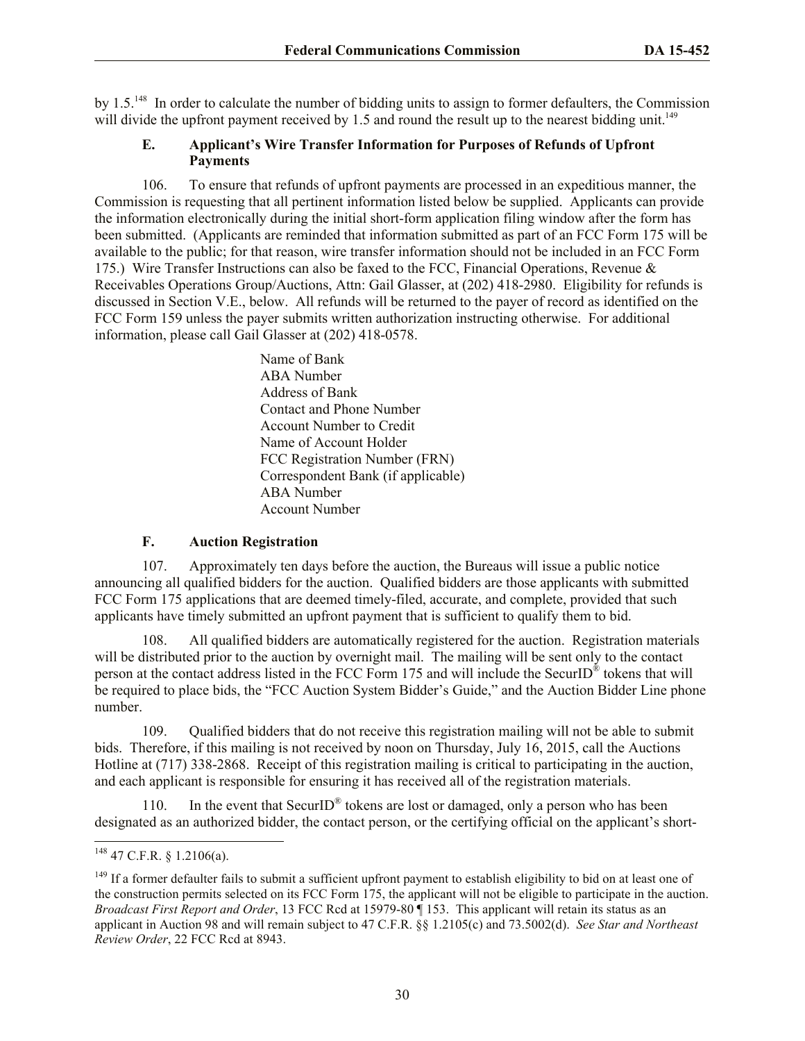by 1.5.<sup>148</sup> In order to calculate the number of bidding units to assign to former defaulters, the Commission will divide the upfront payment received by 1.5 and round the result up to the nearest bidding unit.<sup>149</sup>

#### **E. Applicant's Wire Transfer Information for Purposes of Refunds of Upfront Payments**

106. To ensure that refunds of upfront payments are processed in an expeditious manner, the Commission is requesting that all pertinent information listed below be supplied. Applicants can provide the information electronically during the initial short-form application filing window after the form has been submitted. (Applicants are reminded that information submitted as part of an FCC Form 175 will be available to the public; for that reason, wire transfer information should not be included in an FCC Form 175.) Wire Transfer Instructions can also be faxed to the FCC, Financial Operations, Revenue & Receivables Operations Group/Auctions, Attn: Gail Glasser, at (202) 418-2980. Eligibility for refunds is discussed in Section V.E., below. All refunds will be returned to the payer of record as identified on the FCC Form 159 unless the payer submits written authorization instructing otherwise. For additional information, please call Gail Glasser at (202) 418-0578.

> Name of Bank ABA Number Address of Bank Contact and Phone Number Account Number to Credit Name of Account Holder FCC Registration Number (FRN) Correspondent Bank (if applicable) ABA Number Account Number

#### **F. Auction Registration**

107. Approximately ten days before the auction, the Bureaus will issue a public notice announcing all qualified bidders for the auction. Qualified bidders are those applicants with submitted FCC Form 175 applications that are deemed timely-filed, accurate, and complete, provided that such applicants have timely submitted an upfront payment that is sufficient to qualify them to bid.

108. All qualified bidders are automatically registered for the auction. Registration materials will be distributed prior to the auction by overnight mail. The mailing will be sent only to the contact person at the contact address listed in the FCC Form 175 and will include the SecurID<sup>®</sup> tokens that will be required to place bids, the "FCC Auction System Bidder's Guide," and the Auction Bidder Line phone number.

109. Qualified bidders that do not receive this registration mailing will not be able to submit bids. Therefore, if this mailing is not received by noon on Thursday, July 16, 2015, call the Auctions Hotline at (717) 338-2868. Receipt of this registration mailing is critical to participating in the auction, and each applicant is responsible for ensuring it has received all of the registration materials.

110. In the event that SecurID<sup>®</sup> tokens are lost or damaged, only a person who has been designated as an authorized bidder, the contact person, or the certifying official on the applicant's short-

 $148$  47 C.F.R. § 1.2106(a).

<sup>&</sup>lt;sup>149</sup> If a former defaulter fails to submit a sufficient upfront payment to establish eligibility to bid on at least one of the construction permits selected on its FCC Form 175, the applicant will not be eligible to participate in the auction. *Broadcast First Report and Order*, 13 FCC Rcd at 15979-80 ¶ 153. This applicant will retain its status as an applicant in Auction 98 and will remain subject to 47 C.F.R. §§ 1.2105(c) and 73.5002(d). *See Star and Northeast Review Order*, 22 FCC Rcd at 8943.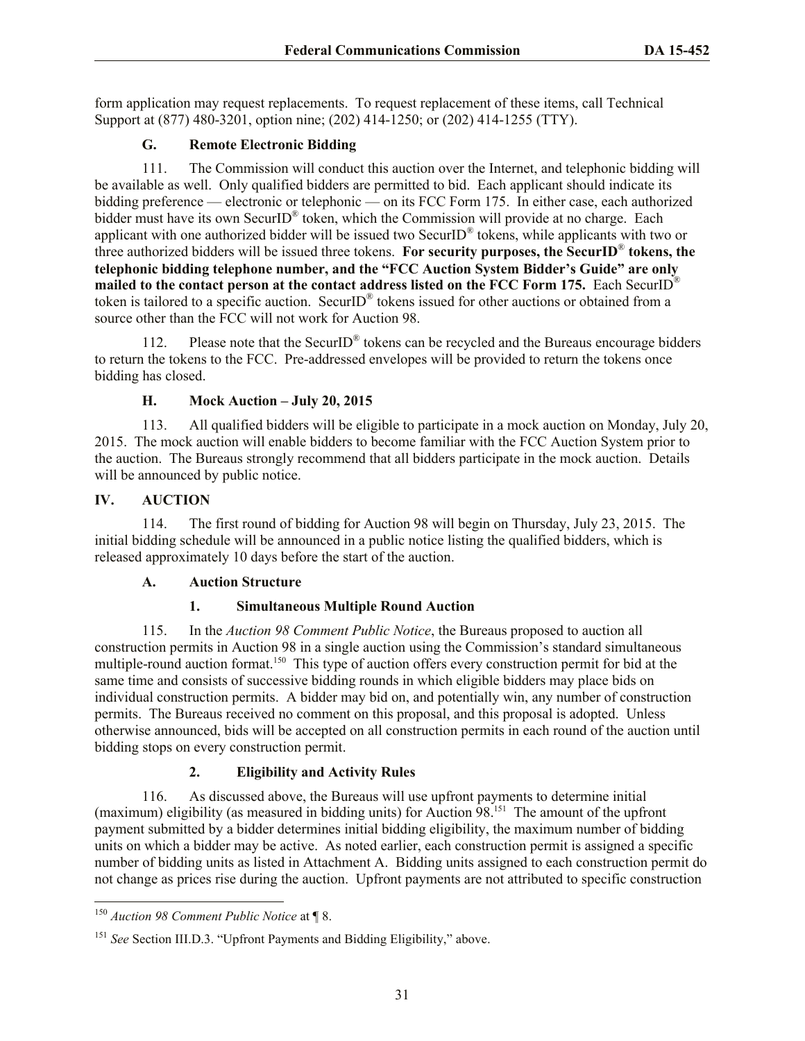form application may request replacements. To request replacement of these items, call Technical Support at (877) 480-3201, option nine; (202) 414-1250; or (202) 414-1255 (TTY).

## **G. Remote Electronic Bidding**

111. The Commission will conduct this auction over the Internet, and telephonic bidding will be available as well. Only qualified bidders are permitted to bid. Each applicant should indicate its bidding preference — electronic or telephonic — on its FCC Form 175. In either case, each authorized bidder must have its own SecurID<sup>®</sup> token, which the Commission will provide at no charge. Each applicant with one authorized bidder will be issued two SecurID<sup>®</sup> tokens, while applicants with two or three authorized bidders will be issued three tokens. **For security purposes, the SecurID**® **tokens, the telephonic bidding telephone number, and the "FCC Auction System Bidder's Guide" are only mailed to the contact person at the contact address listed on the FCC Form 175.** Each SecurID® token is tailored to a specific auction. SecurID<sup>®</sup> tokens issued for other auctions or obtained from a source other than the FCC will not work for Auction 98.

112. Please note that the SecurID<sup>®</sup> tokens can be recycled and the Bureaus encourage bidders to return the tokens to the FCC. Pre-addressed envelopes will be provided to return the tokens once bidding has closed.

## **H. Mock Auction – July 20, 2015**

113. All qualified bidders will be eligible to participate in a mock auction on Monday, July 20, 2015. The mock auction will enable bidders to become familiar with the FCC Auction System prior to the auction. The Bureaus strongly recommend that all bidders participate in the mock auction. Details will be announced by public notice.

## **IV. AUCTION**

114. The first round of bidding for Auction 98 will begin on Thursday, July 23, 2015. The initial bidding schedule will be announced in a public notice listing the qualified bidders, which is released approximately 10 days before the start of the auction.

## **A. Auction Structure**

## **1. Simultaneous Multiple Round Auction**

115. In the *Auction 98 Comment Public Notice*, the Bureaus proposed to auction all construction permits in Auction 98 in a single auction using the Commission's standard simultaneous multiple-round auction format.<sup>150</sup> This type of auction offers every construction permit for bid at the same time and consists of successive bidding rounds in which eligible bidders may place bids on individual construction permits. A bidder may bid on, and potentially win, any number of construction permits. The Bureaus received no comment on this proposal, and this proposal is adopted. Unless otherwise announced, bids will be accepted on all construction permits in each round of the auction until bidding stops on every construction permit.

## **2. Eligibility and Activity Rules**

116. As discussed above, the Bureaus will use upfront payments to determine initial (maximum) eligibility (as measured in bidding units) for Auction 98.<sup>151</sup> The amount of the upfront payment submitted by a bidder determines initial bidding eligibility, the maximum number of bidding units on which a bidder may be active. As noted earlier, each construction permit is assigned a specific number of bidding units as listed in Attachment A. Bidding units assigned to each construction permit do not change as prices rise during the auction. Upfront payments are not attributed to specific construction

l <sup>150</sup> *Auction 98 Comment Public Notice* at ¶ 8.

<sup>151</sup> *See* Section III.D.3. "Upfront Payments and Bidding Eligibility," above.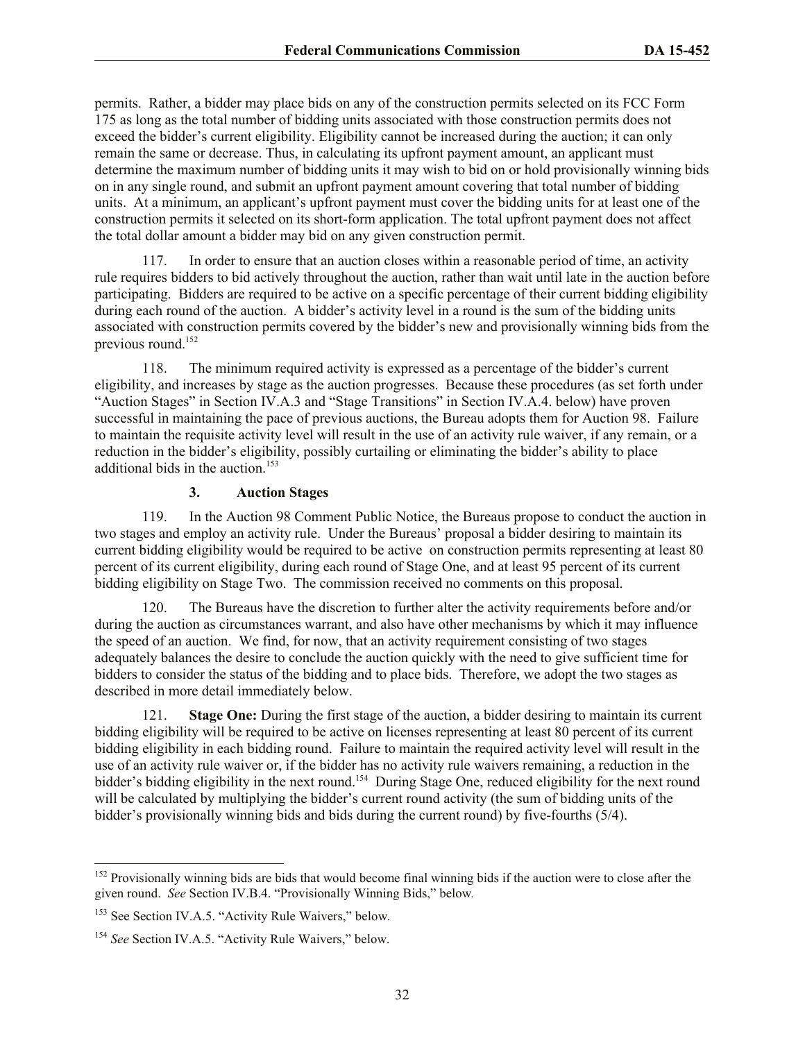permits. Rather, a bidder may place bids on any of the construction permits selected on its FCC Form 175 as long as the total number of bidding units associated with those construction permits does not exceed the bidder's current eligibility. Eligibility cannot be increased during the auction; it can only remain the same or decrease. Thus, in calculating its upfront payment amount, an applicant must determine the maximum number of bidding units it may wish to bid on or hold provisionally winning bids on in any single round, and submit an upfront payment amount covering that total number of bidding units. At a minimum, an applicant's upfront payment must cover the bidding units for at least one of the construction permits it selected on its short-form application. The total upfront payment does not affect the total dollar amount a bidder may bid on any given construction permit.

117. In order to ensure that an auction closes within a reasonable period of time, an activity rule requires bidders to bid actively throughout the auction, rather than wait until late in the auction before participating. Bidders are required to be active on a specific percentage of their current bidding eligibility during each round of the auction. A bidder's activity level in a round is the sum of the bidding units associated with construction permits covered by the bidder's new and provisionally winning bids from the previous round. 152

118. The minimum required activity is expressed as a percentage of the bidder's current eligibility, and increases by stage as the auction progresses. Because these procedures (as set forth under "Auction Stages" in Section IV.A.3 and "Stage Transitions" in Section IV.A.4. below) have proven successful in maintaining the pace of previous auctions, the Bureau adopts them for Auction 98. Failure to maintain the requisite activity level will result in the use of an activity rule waiver, if any remain, or a reduction in the bidder's eligibility, possibly curtailing or eliminating the bidder's ability to place additional bids in the auction.<sup>153</sup>

## **3. Auction Stages**

119. In the Auction 98 Comment Public Notice, the Bureaus propose to conduct the auction in two stages and employ an activity rule. Under the Bureaus' proposal a bidder desiring to maintain its current bidding eligibility would be required to be active on construction permits representing at least 80 percent of its current eligibility, during each round of Stage One, and at least 95 percent of its current bidding eligibility on Stage Two. The commission received no comments on this proposal.

The Bureaus have the discretion to further alter the activity requirements before and/or during the auction as circumstances warrant, and also have other mechanisms by which it may influence the speed of an auction. We find, for now, that an activity requirement consisting of two stages adequately balances the desire to conclude the auction quickly with the need to give sufficient time for bidders to consider the status of the bidding and to place bids. Therefore, we adopt the two stages as described in more detail immediately below.

121. **Stage One:** During the first stage of the auction, a bidder desiring to maintain its current bidding eligibility will be required to be active on licenses representing at least 80 percent of its current bidding eligibility in each bidding round. Failure to maintain the required activity level will result in the use of an activity rule waiver or, if the bidder has no activity rule waivers remaining, a reduction in the bidder's bidding eligibility in the next round.<sup>154</sup> During Stage One, reduced eligibility for the next round will be calculated by multiplying the bidder's current round activity (the sum of bidding units of the bidder's provisionally winning bids and bids during the current round) by five-fourths (5/4).

 $\overline{a}$ 

 $152$  Provisionally winning bids are bids that would become final winning bids if the auction were to close after the given round. *See* Section IV.B.4. "Provisionally Winning Bids," below*.* 

<sup>&</sup>lt;sup>153</sup> See Section IV.A.5. "Activity Rule Waivers," below.

<sup>154</sup> *See* Section IV.A.5. "Activity Rule Waivers," below.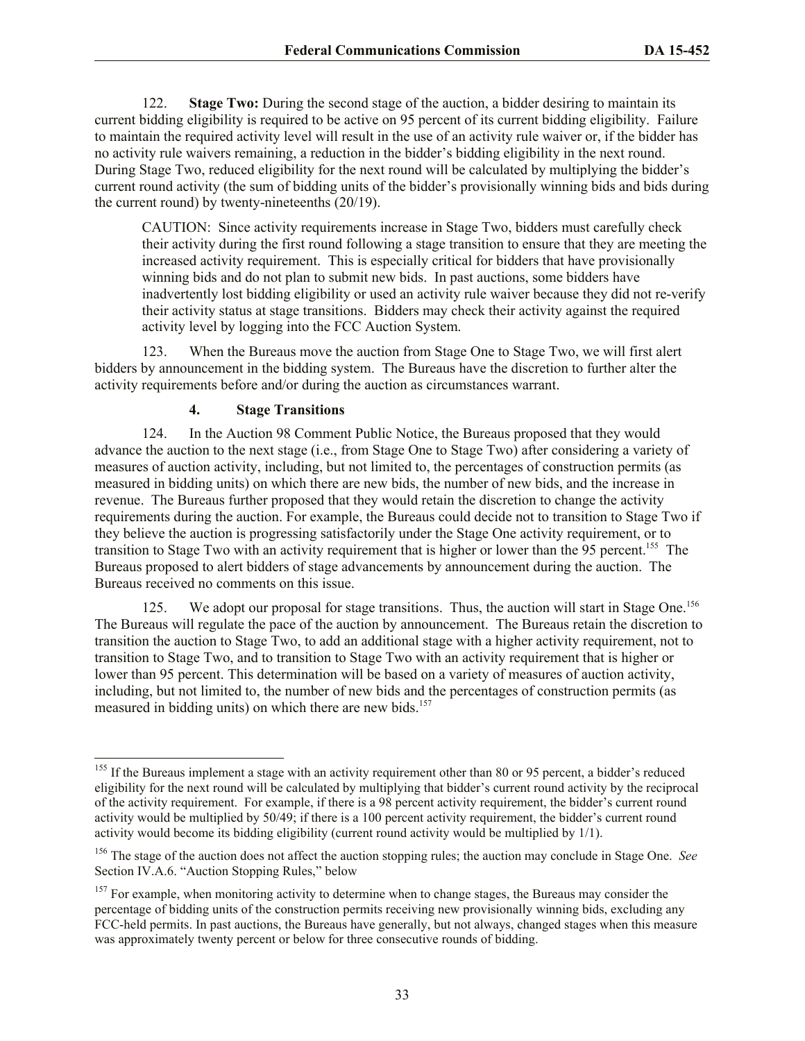122. **Stage Two:** During the second stage of the auction, a bidder desiring to maintain its current bidding eligibility is required to be active on 95 percent of its current bidding eligibility. Failure to maintain the required activity level will result in the use of an activity rule waiver or, if the bidder has no activity rule waivers remaining, a reduction in the bidder's bidding eligibility in the next round. During Stage Two, reduced eligibility for the next round will be calculated by multiplying the bidder's current round activity (the sum of bidding units of the bidder's provisionally winning bids and bids during the current round) by twenty-nineteenths (20/19).

CAUTION: Since activity requirements increase in Stage Two, bidders must carefully check their activity during the first round following a stage transition to ensure that they are meeting the increased activity requirement. This is especially critical for bidders that have provisionally winning bids and do not plan to submit new bids. In past auctions, some bidders have inadvertently lost bidding eligibility or used an activity rule waiver because they did not re-verify their activity status at stage transitions. Bidders may check their activity against the required activity level by logging into the FCC Auction System.

123. When the Bureaus move the auction from Stage One to Stage Two, we will first alert bidders by announcement in the bidding system. The Bureaus have the discretion to further alter the activity requirements before and/or during the auction as circumstances warrant.

#### **4. Stage Transitions**

l

124. In the Auction 98 Comment Public Notice, the Bureaus proposed that they would advance the auction to the next stage (i.e., from Stage One to Stage Two) after considering a variety of measures of auction activity, including, but not limited to, the percentages of construction permits (as measured in bidding units) on which there are new bids, the number of new bids, and the increase in revenue. The Bureaus further proposed that they would retain the discretion to change the activity requirements during the auction. For example, the Bureaus could decide not to transition to Stage Two if they believe the auction is progressing satisfactorily under the Stage One activity requirement, or to transition to Stage Two with an activity requirement that is higher or lower than the 95 percent.<sup>155</sup> The Bureaus proposed to alert bidders of stage advancements by announcement during the auction. The Bureaus received no comments on this issue.

125. We adopt our proposal for stage transitions. Thus, the auction will start in Stage One.<sup>156</sup> The Bureaus will regulate the pace of the auction by announcement. The Bureaus retain the discretion to transition the auction to Stage Two, to add an additional stage with a higher activity requirement, not to transition to Stage Two, and to transition to Stage Two with an activity requirement that is higher or lower than 95 percent. This determination will be based on a variety of measures of auction activity, including, but not limited to, the number of new bids and the percentages of construction permits (as measured in bidding units) on which there are new bids.<sup>157</sup>

<sup>&</sup>lt;sup>155</sup> If the Bureaus implement a stage with an activity requirement other than 80 or 95 percent, a bidder's reduced eligibility for the next round will be calculated by multiplying that bidder's current round activity by the reciprocal of the activity requirement. For example, if there is a 98 percent activity requirement, the bidder's current round activity would be multiplied by 50/49; if there is a 100 percent activity requirement, the bidder's current round activity would become its bidding eligibility (current round activity would be multiplied by 1/1).

<sup>156</sup> The stage of the auction does not affect the auction stopping rules; the auction may conclude in Stage One. *See* Section IV.A.6. "Auction Stopping Rules," below

<sup>&</sup>lt;sup>157</sup> For example, when monitoring activity to determine when to change stages, the Bureaus may consider the percentage of bidding units of the construction permits receiving new provisionally winning bids, excluding any FCC-held permits. In past auctions, the Bureaus have generally, but not always, changed stages when this measure was approximately twenty percent or below for three consecutive rounds of bidding.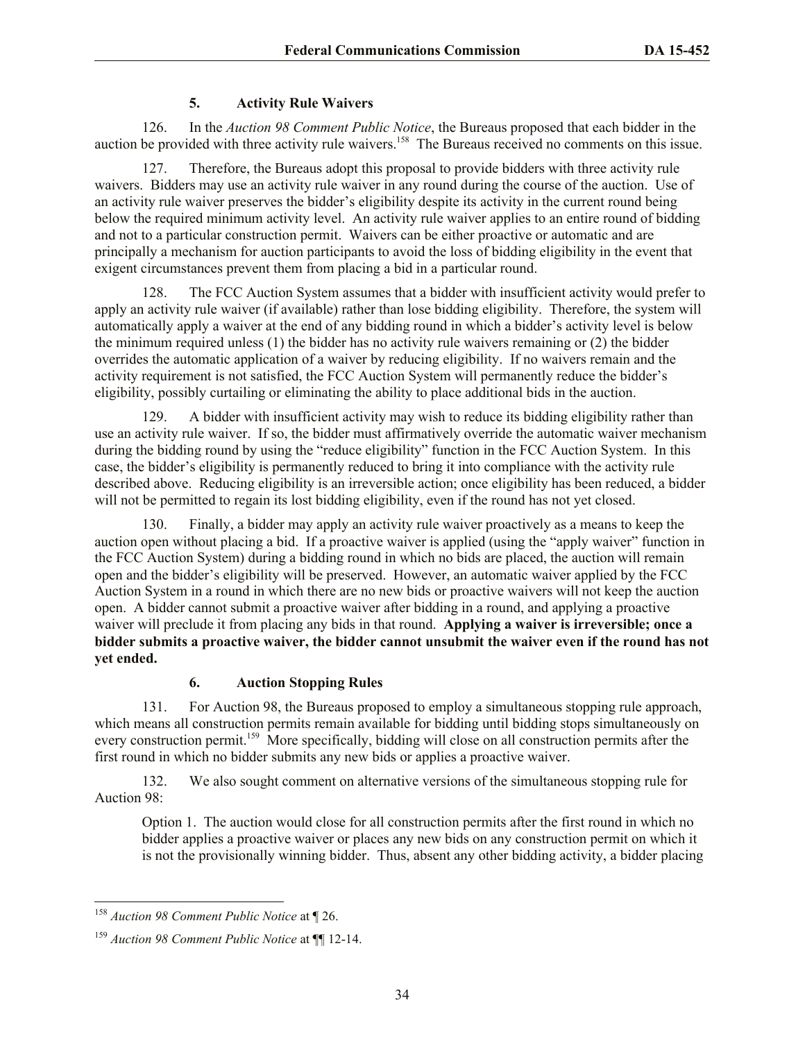## **5. Activity Rule Waivers**

126. In the *Auction 98 Comment Public Notice*, the Bureaus proposed that each bidder in the auction be provided with three activity rule waivers.<sup>158</sup> The Bureaus received no comments on this issue.

127. Therefore, the Bureaus adopt this proposal to provide bidders with three activity rule waivers. Bidders may use an activity rule waiver in any round during the course of the auction. Use of an activity rule waiver preserves the bidder's eligibility despite its activity in the current round being below the required minimum activity level. An activity rule waiver applies to an entire round of bidding and not to a particular construction permit. Waivers can be either proactive or automatic and are principally a mechanism for auction participants to avoid the loss of bidding eligibility in the event that exigent circumstances prevent them from placing a bid in a particular round.

128. The FCC Auction System assumes that a bidder with insufficient activity would prefer to apply an activity rule waiver (if available) rather than lose bidding eligibility. Therefore, the system will automatically apply a waiver at the end of any bidding round in which a bidder's activity level is below the minimum required unless (1) the bidder has no activity rule waivers remaining or (2) the bidder overrides the automatic application of a waiver by reducing eligibility. If no waivers remain and the activity requirement is not satisfied, the FCC Auction System will permanently reduce the bidder's eligibility, possibly curtailing or eliminating the ability to place additional bids in the auction.

129. A bidder with insufficient activity may wish to reduce its bidding eligibility rather than use an activity rule waiver. If so, the bidder must affirmatively override the automatic waiver mechanism during the bidding round by using the "reduce eligibility" function in the FCC Auction System. In this case, the bidder's eligibility is permanently reduced to bring it into compliance with the activity rule described above. Reducing eligibility is an irreversible action; once eligibility has been reduced, a bidder will not be permitted to regain its lost bidding eligibility, even if the round has not yet closed.

130. Finally, a bidder may apply an activity rule waiver proactively as a means to keep the auction open without placing a bid. If a proactive waiver is applied (using the "apply waiver" function in the FCC Auction System) during a bidding round in which no bids are placed, the auction will remain open and the bidder's eligibility will be preserved. However, an automatic waiver applied by the FCC Auction System in a round in which there are no new bids or proactive waivers will not keep the auction open. A bidder cannot submit a proactive waiver after bidding in a round, and applying a proactive waiver will preclude it from placing any bids in that round. **Applying a waiver is irreversible; once a bidder submits a proactive waiver, the bidder cannot unsubmit the waiver even if the round has not yet ended.**

## **6. Auction Stopping Rules**

131. For Auction 98, the Bureaus proposed to employ a simultaneous stopping rule approach, which means all construction permits remain available for bidding until bidding stops simultaneously on every construction permit.<sup>159</sup> More specifically, bidding will close on all construction permits after the first round in which no bidder submits any new bids or applies a proactive waiver.

132. We also sought comment on alternative versions of the simultaneous stopping rule for Auction 98:

Option 1. The auction would close for all construction permits after the first round in which no bidder applies a proactive waiver or places any new bids on any construction permit on which it is not the provisionally winning bidder. Thus, absent any other bidding activity, a bidder placing

l <sup>158</sup> *Auction 98 Comment Public Notice* at ¶ 26.

<sup>159</sup> *Auction 98 Comment Public Notice* at ¶¶ 12-14.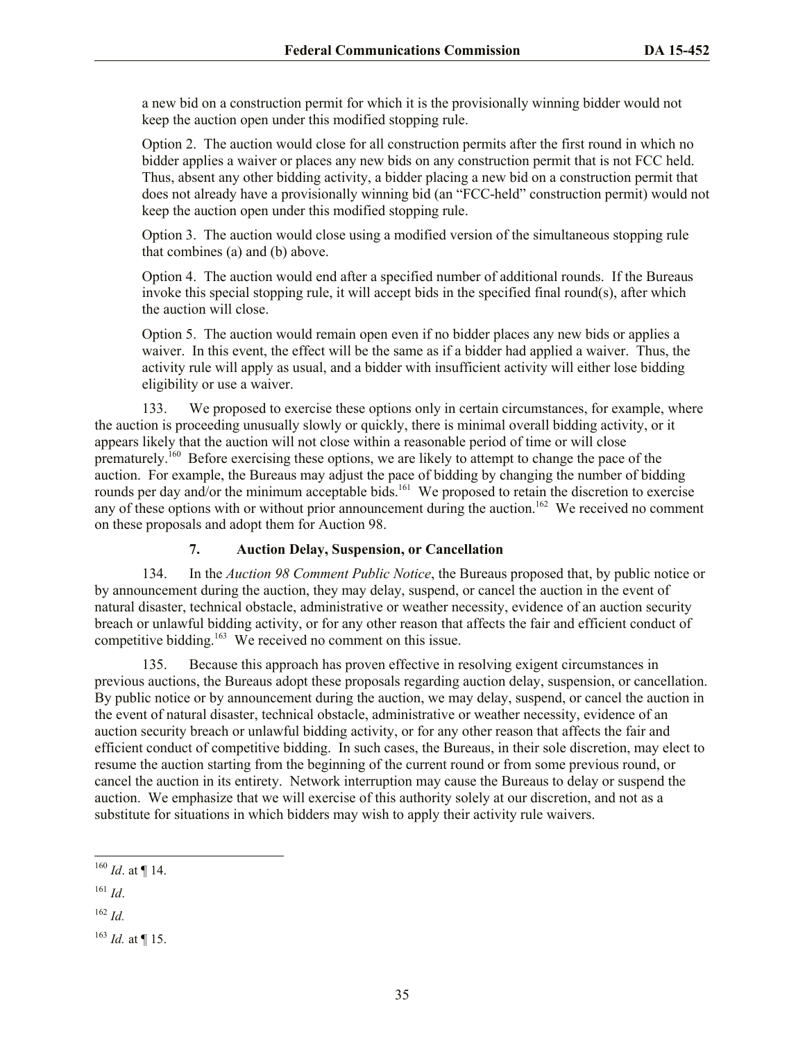a new bid on a construction permit for which it is the provisionally winning bidder would not keep the auction open under this modified stopping rule.

Option 2. The auction would close for all construction permits after the first round in which no bidder applies a waiver or places any new bids on any construction permit that is not FCC held. Thus, absent any other bidding activity, a bidder placing a new bid on a construction permit that does not already have a provisionally winning bid (an "FCC-held" construction permit) would not keep the auction open under this modified stopping rule.

Option 3. The auction would close using a modified version of the simultaneous stopping rule that combines (a) and (b) above.

Option 4. The auction would end after a specified number of additional rounds. If the Bureaus invoke this special stopping rule, it will accept bids in the specified final round(s), after which the auction will close.

Option 5. The auction would remain open even if no bidder places any new bids or applies a waiver. In this event, the effect will be the same as if a bidder had applied a waiver. Thus, the activity rule will apply as usual, and a bidder with insufficient activity will either lose bidding eligibility or use a waiver.

133. We proposed to exercise these options only in certain circumstances, for example, where the auction is proceeding unusually slowly or quickly, there is minimal overall bidding activity, or it appears likely that the auction will not close within a reasonable period of time or will close prematurely.<sup>160</sup> Before exercising these options, we are likely to attempt to change the pace of the auction. For example, the Bureaus may adjust the pace of bidding by changing the number of bidding rounds per day and/or the minimum acceptable bids.<sup>161</sup> We proposed to retain the discretion to exercise any of these options with or without prior announcement during the auction.<sup>162</sup> We received no comment on these proposals and adopt them for Auction 98.

## **7. Auction Delay, Suspension, or Cancellation**

134. In the *Auction 98 Comment Public Notice*, the Bureaus proposed that, by public notice or by announcement during the auction, they may delay, suspend, or cancel the auction in the event of natural disaster, technical obstacle, administrative or weather necessity, evidence of an auction security breach or unlawful bidding activity, or for any other reason that affects the fair and efficient conduct of competitive bidding.<sup>163</sup> We received no comment on this issue.

135. Because this approach has proven effective in resolving exigent circumstances in previous auctions, the Bureaus adopt these proposals regarding auction delay, suspension, or cancellation. By public notice or by announcement during the auction, we may delay, suspend, or cancel the auction in the event of natural disaster, technical obstacle, administrative or weather necessity, evidence of an auction security breach or unlawful bidding activity, or for any other reason that affects the fair and efficient conduct of competitive bidding. In such cases, the Bureaus, in their sole discretion, may elect to resume the auction starting from the beginning of the current round or from some previous round, or cancel the auction in its entirety. Network interruption may cause the Bureaus to delay or suspend the auction. We emphasize that we will exercise of this authority solely at our discretion, and not as a substitute for situations in which bidders may wish to apply their activity rule waivers.

 $\overline{a}$  $^{160}$  *Id.* at ¶ 14.

<sup>162</sup> *Id.*

 $^{163}$  *Id.* at ¶ 15.

<sup>161</sup> *Id*.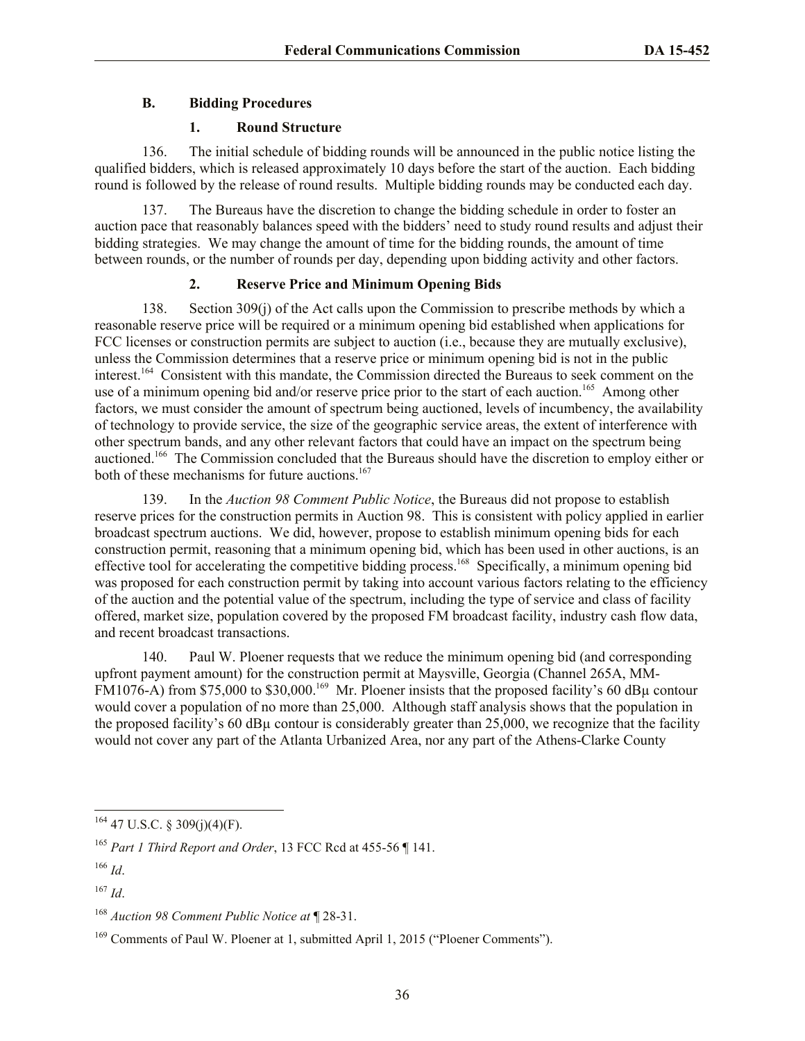## **B. Bidding Procedures**

#### **1. Round Structure**

136. The initial schedule of bidding rounds will be announced in the public notice listing the qualified bidders, which is released approximately 10 days before the start of the auction. Each bidding round is followed by the release of round results. Multiple bidding rounds may be conducted each day.

137. The Bureaus have the discretion to change the bidding schedule in order to foster an auction pace that reasonably balances speed with the bidders' need to study round results and adjust their bidding strategies. We may change the amount of time for the bidding rounds, the amount of time between rounds, or the number of rounds per day, depending upon bidding activity and other factors.

## **2. Reserve Price and Minimum Opening Bids**

138. Section 309(j) of the Act calls upon the Commission to prescribe methods by which a reasonable reserve price will be required or a minimum opening bid established when applications for FCC licenses or construction permits are subject to auction (i.e., because they are mutually exclusive), unless the Commission determines that a reserve price or minimum opening bid is not in the public interest.<sup>164</sup> Consistent with this mandate, the Commission directed the Bureaus to seek comment on the use of a minimum opening bid and/or reserve price prior to the start of each auction.<sup>165</sup> Among other factors, we must consider the amount of spectrum being auctioned, levels of incumbency, the availability of technology to provide service, the size of the geographic service areas, the extent of interference with other spectrum bands, and any other relevant factors that could have an impact on the spectrum being auctioned.<sup>166</sup> The Commission concluded that the Bureaus should have the discretion to employ either or both of these mechanisms for future auctions.<sup>167</sup>

139. In the *Auction 98 Comment Public Notice*, the Bureaus did not propose to establish reserve prices for the construction permits in Auction 98. This is consistent with policy applied in earlier broadcast spectrum auctions. We did, however, propose to establish minimum opening bids for each construction permit, reasoning that a minimum opening bid, which has been used in other auctions, is an effective tool for accelerating the competitive bidding process.<sup>168</sup> Specifically, a minimum opening bid was proposed for each construction permit by taking into account various factors relating to the efficiency of the auction and the potential value of the spectrum, including the type of service and class of facility offered, market size, population covered by the proposed FM broadcast facility, industry cash flow data, and recent broadcast transactions.

140. Paul W. Ploener requests that we reduce the minimum opening bid (and corresponding upfront payment amount) for the construction permit at Maysville, Georgia (Channel 265A, MM-FM1076-A) from \$75,000 to \$30,000.<sup>169</sup> Mr. Ploener insists that the proposed facility's 60 dB $\mu$  contour would cover a population of no more than 25,000. Although staff analysis shows that the population in the proposed facility's 60 dBµ contour is considerably greater than 25,000, we recognize that the facility would not cover any part of the Atlanta Urbanized Area, nor any part of the Athens-Clarke County

 $164$  47 U.S.C. § 309(j)(4)(F).

<sup>165</sup> *Part 1 Third Report and Order*, 13 FCC Rcd at 455-56 ¶ 141.

<sup>166</sup> *Id*.

<sup>167</sup> *Id*.

<sup>168</sup> *Auction 98 Comment Public Notice at* ¶ 28-31.

<sup>169</sup> Comments of Paul W. Ploener at 1, submitted April 1, 2015 ("Ploener Comments").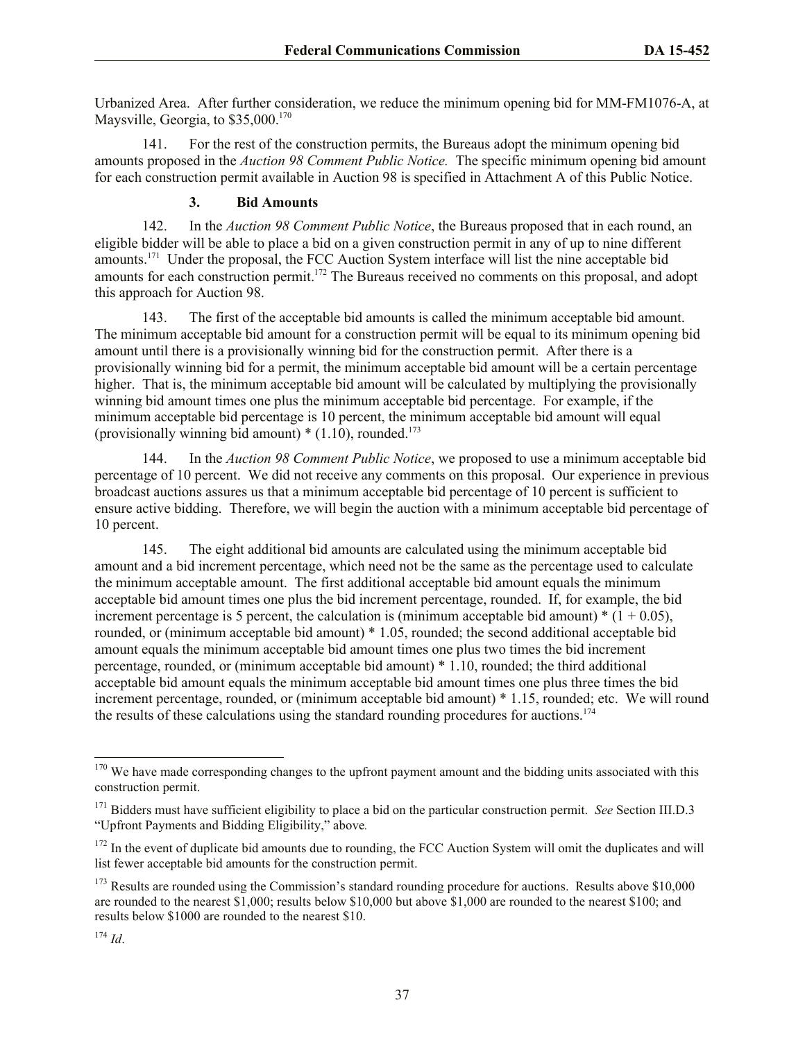Urbanized Area. After further consideration, we reduce the minimum opening bid for MM-FM1076-A, at Maysville, Georgia, to  $$35,000$ .<sup>170</sup>

141. For the rest of the construction permits, the Bureaus adopt the minimum opening bid amounts proposed in the *Auction 98 Comment Public Notice.* The specific minimum opening bid amount for each construction permit available in Auction 98 is specified in Attachment A of this Public Notice.

## **3. Bid Amounts**

142. In the *Auction 98 Comment Public Notice*, the Bureaus proposed that in each round, an eligible bidder will be able to place a bid on a given construction permit in any of up to nine different amounts.<sup>171</sup> Under the proposal, the FCC Auction System interface will list the nine acceptable bid amounts for each construction permit.<sup>172</sup> The Bureaus received no comments on this proposal, and adopt this approach for Auction 98.

143. The first of the acceptable bid amounts is called the minimum acceptable bid amount. The minimum acceptable bid amount for a construction permit will be equal to its minimum opening bid amount until there is a provisionally winning bid for the construction permit. After there is a provisionally winning bid for a permit, the minimum acceptable bid amount will be a certain percentage higher. That is, the minimum acceptable bid amount will be calculated by multiplying the provisionally winning bid amount times one plus the minimum acceptable bid percentage. For example, if the minimum acceptable bid percentage is 10 percent, the minimum acceptable bid amount will equal (provisionally winning bid amount)  $*(1.10)$ , rounded.<sup>173</sup>

144. In the *Auction 98 Comment Public Notice*, we proposed to use a minimum acceptable bid percentage of 10 percent. We did not receive any comments on this proposal. Our experience in previous broadcast auctions assures us that a minimum acceptable bid percentage of 10 percent is sufficient to ensure active bidding. Therefore, we will begin the auction with a minimum acceptable bid percentage of 10 percent.

145. The eight additional bid amounts are calculated using the minimum acceptable bid amount and a bid increment percentage, which need not be the same as the percentage used to calculate the minimum acceptable amount. The first additional acceptable bid amount equals the minimum acceptable bid amount times one plus the bid increment percentage, rounded. If, for example, the bid increment percentage is 5 percent, the calculation is (minimum acceptable bid amount)  $*(1 + 0.05)$ , rounded, or (minimum acceptable bid amount) \* 1.05, rounded; the second additional acceptable bid amount equals the minimum acceptable bid amount times one plus two times the bid increment percentage, rounded, or (minimum acceptable bid amount) \* 1.10, rounded; the third additional acceptable bid amount equals the minimum acceptable bid amount times one plus three times the bid increment percentage, rounded, or (minimum acceptable bid amount) \* 1.15, rounded; etc. We will round the results of these calculations using the standard rounding procedures for auctions.<sup>174</sup>

 $170$  We have made corresponding changes to the upfront payment amount and the bidding units associated with this construction permit.

<sup>171</sup> Bidders must have sufficient eligibility to place a bid on the particular construction permit. *See* Section III.D.3 "Upfront Payments and Bidding Eligibility," above*.* 

<sup>&</sup>lt;sup>172</sup> In the event of duplicate bid amounts due to rounding, the FCC Auction System will omit the duplicates and will list fewer acceptable bid amounts for the construction permit.

<sup>&</sup>lt;sup>173</sup> Results are rounded using the Commission's standard rounding procedure for auctions. Results above \$10,000 are rounded to the nearest \$1,000; results below \$10,000 but above \$1,000 are rounded to the nearest \$100; and results below \$1000 are rounded to the nearest \$10.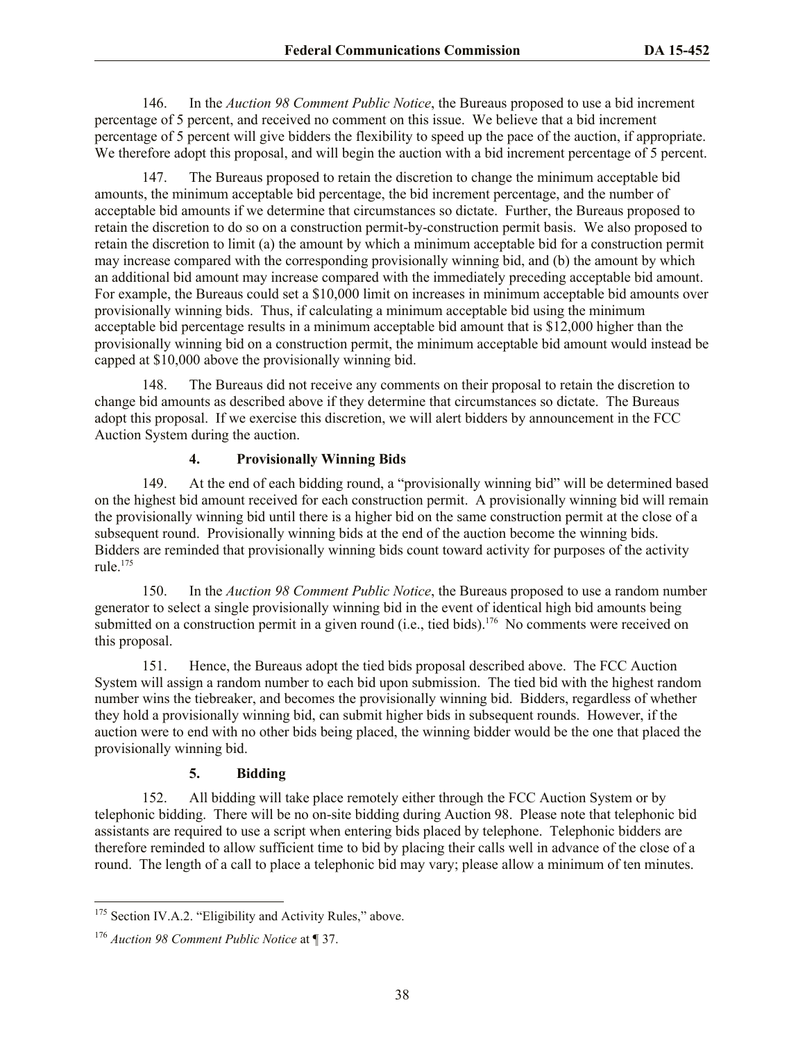146. In the *Auction 98 Comment Public Notice*, the Bureaus proposed to use a bid increment percentage of 5 percent, and received no comment on this issue. We believe that a bid increment percentage of 5 percent will give bidders the flexibility to speed up the pace of the auction, if appropriate. We therefore adopt this proposal, and will begin the auction with a bid increment percentage of 5 percent.

147. The Bureaus proposed to retain the discretion to change the minimum acceptable bid amounts, the minimum acceptable bid percentage, the bid increment percentage, and the number of acceptable bid amounts if we determine that circumstances so dictate. Further, the Bureaus proposed to retain the discretion to do so on a construction permit-by-construction permit basis. We also proposed to retain the discretion to limit (a) the amount by which a minimum acceptable bid for a construction permit may increase compared with the corresponding provisionally winning bid, and (b) the amount by which an additional bid amount may increase compared with the immediately preceding acceptable bid amount. For example, the Bureaus could set a \$10,000 limit on increases in minimum acceptable bid amounts over provisionally winning bids. Thus, if calculating a minimum acceptable bid using the minimum acceptable bid percentage results in a minimum acceptable bid amount that is \$12,000 higher than the provisionally winning bid on a construction permit, the minimum acceptable bid amount would instead be capped at \$10,000 above the provisionally winning bid.

148. The Bureaus did not receive any comments on their proposal to retain the discretion to change bid amounts as described above if they determine that circumstances so dictate. The Bureaus adopt this proposal. If we exercise this discretion, we will alert bidders by announcement in the FCC Auction System during the auction.

## **4. Provisionally Winning Bids**

149. At the end of each bidding round, a "provisionally winning bid" will be determined based on the highest bid amount received for each construction permit. A provisionally winning bid will remain the provisionally winning bid until there is a higher bid on the same construction permit at the close of a subsequent round. Provisionally winning bids at the end of the auction become the winning bids. Bidders are reminded that provisionally winning bids count toward activity for purposes of the activity rule $175$ 

150. In the *Auction 98 Comment Public Notice*, the Bureaus proposed to use a random number generator to select a single provisionally winning bid in the event of identical high bid amounts being submitted on a construction permit in a given round  $(i.e., tied bids).$ <sup>176</sup> No comments were received on this proposal.

151. Hence, the Bureaus adopt the tied bids proposal described above. The FCC Auction System will assign a random number to each bid upon submission. The tied bid with the highest random number wins the tiebreaker, and becomes the provisionally winning bid. Bidders, regardless of whether they hold a provisionally winning bid, can submit higher bids in subsequent rounds. However, if the auction were to end with no other bids being placed, the winning bidder would be the one that placed the provisionally winning bid.

## **5. Bidding**

152. All bidding will take place remotely either through the FCC Auction System or by telephonic bidding. There will be no on-site bidding during Auction 98. Please note that telephonic bid assistants are required to use a script when entering bids placed by telephone. Telephonic bidders are therefore reminded to allow sufficient time to bid by placing their calls well in advance of the close of a round. The length of a call to place a telephonic bid may vary; please allow a minimum of ten minutes.

<sup>&</sup>lt;sup>175</sup> Section IV.A.2. "Eligibility and Activity Rules," above.

<sup>176</sup> *Auction 98 Comment Public Notice* at ¶ 37.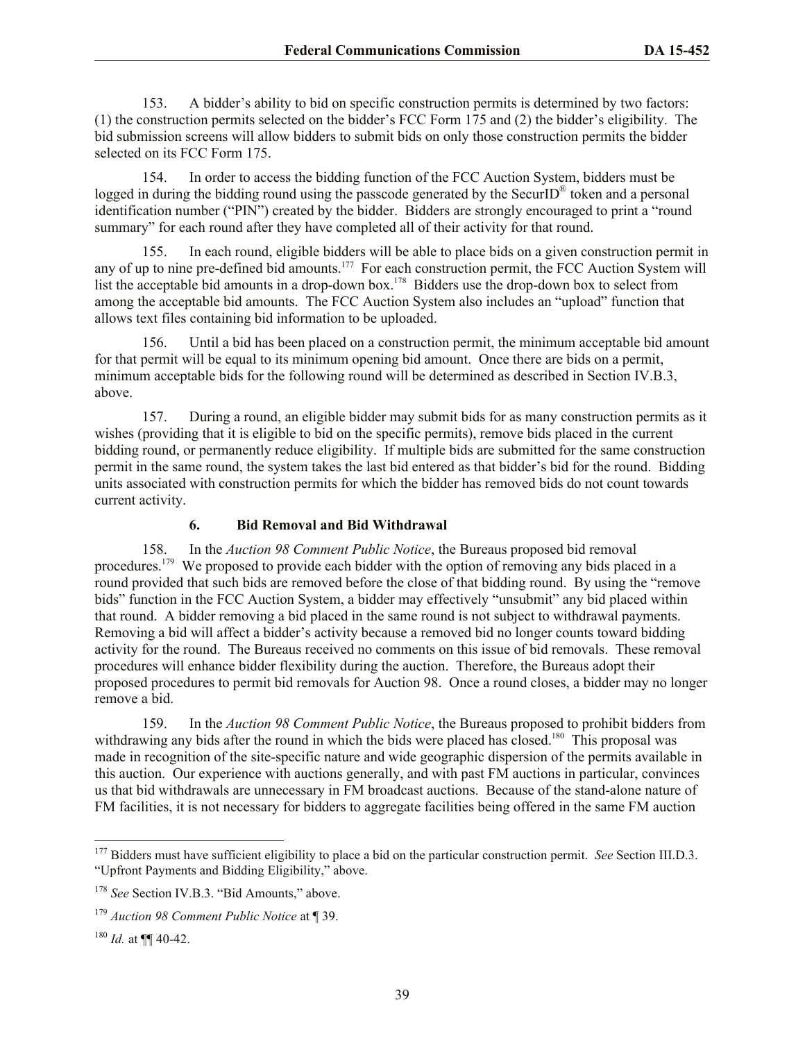153. A bidder's ability to bid on specific construction permits is determined by two factors: (1) the construction permits selected on the bidder's FCC Form 175 and (2) the bidder's eligibility. The bid submission screens will allow bidders to submit bids on only those construction permits the bidder selected on its FCC Form 175.

154. In order to access the bidding function of the FCC Auction System, bidders must be logged in during the bidding round using the passcode generated by the SecurID<sup>®</sup> token and a personal identification number ("PIN") created by the bidder. Bidders are strongly encouraged to print a "round summary" for each round after they have completed all of their activity for that round.

155. In each round, eligible bidders will be able to place bids on a given construction permit in any of up to nine pre-defined bid amounts.<sup>177</sup> For each construction permit, the FCC Auction System will list the acceptable bid amounts in a drop-down box.<sup>178</sup> Bidders use the drop-down box to select from among the acceptable bid amounts. The FCC Auction System also includes an "upload" function that allows text files containing bid information to be uploaded.

156. Until a bid has been placed on a construction permit, the minimum acceptable bid amount for that permit will be equal to its minimum opening bid amount. Once there are bids on a permit, minimum acceptable bids for the following round will be determined as described in Section IV.B.3, above.

157. During a round, an eligible bidder may submit bids for as many construction permits as it wishes (providing that it is eligible to bid on the specific permits), remove bids placed in the current bidding round, or permanently reduce eligibility. If multiple bids are submitted for the same construction permit in the same round, the system takes the last bid entered as that bidder's bid for the round. Bidding units associated with construction permits for which the bidder has removed bids do not count towards current activity.

## **6. Bid Removal and Bid Withdrawal**

158. In the *Auction 98 Comment Public Notice*, the Bureaus proposed bid removal procedures.<sup>179</sup> We proposed to provide each bidder with the option of removing any bids placed in a round provided that such bids are removed before the close of that bidding round. By using the "remove bids" function in the FCC Auction System, a bidder may effectively "unsubmit" any bid placed within that round. A bidder removing a bid placed in the same round is not subject to withdrawal payments. Removing a bid will affect a bidder's activity because a removed bid no longer counts toward bidding activity for the round. The Bureaus received no comments on this issue of bid removals. These removal procedures will enhance bidder flexibility during the auction. Therefore, the Bureaus adopt their proposed procedures to permit bid removals for Auction 98. Once a round closes, a bidder may no longer remove a bid.

159. In the *Auction 98 Comment Public Notice*, the Bureaus proposed to prohibit bidders from withdrawing any bids after the round in which the bids were placed has closed.<sup>180</sup> This proposal was made in recognition of the site-specific nature and wide geographic dispersion of the permits available in this auction. Our experience with auctions generally, and with past FM auctions in particular, convinces us that bid withdrawals are unnecessary in FM broadcast auctions. Because of the stand-alone nature of FM facilities, it is not necessary for bidders to aggregate facilities being offered in the same FM auction

<sup>177</sup> Bidders must have sufficient eligibility to place a bid on the particular construction permit. *See* Section III.D.3. "Upfront Payments and Bidding Eligibility," above.

<sup>&</sup>lt;sup>178</sup> See Section IV.B.3. "Bid Amounts," above.

<sup>179</sup> *Auction 98 Comment Public Notice* at ¶ 39.

 $^{180}$  *Id.* at ¶¶ 40-42.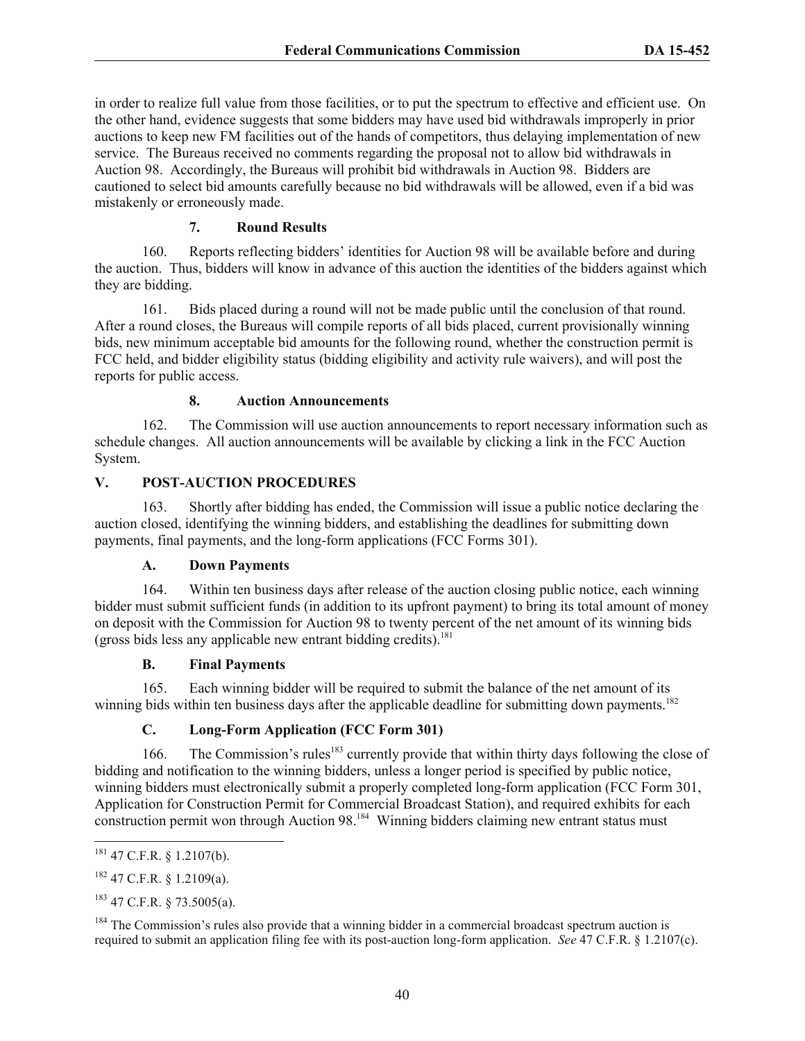in order to realize full value from those facilities, or to put the spectrum to effective and efficient use. On the other hand, evidence suggests that some bidders may have used bid withdrawals improperly in prior auctions to keep new FM facilities out of the hands of competitors, thus delaying implementation of new service. The Bureaus received no comments regarding the proposal not to allow bid withdrawals in Auction 98. Accordingly, the Bureaus will prohibit bid withdrawals in Auction 98. Bidders are cautioned to select bid amounts carefully because no bid withdrawals will be allowed, even if a bid was mistakenly or erroneously made.

## **7. Round Results**

160. Reports reflecting bidders' identities for Auction 98 will be available before and during the auction. Thus, bidders will know in advance of this auction the identities of the bidders against which they are bidding.

161. Bids placed during a round will not be made public until the conclusion of that round. After a round closes, the Bureaus will compile reports of all bids placed, current provisionally winning bids, new minimum acceptable bid amounts for the following round, whether the construction permit is FCC held, and bidder eligibility status (bidding eligibility and activity rule waivers), and will post the reports for public access.

## **8. Auction Announcements**

162. The Commission will use auction announcements to report necessary information such as schedule changes. All auction announcements will be available by clicking a link in the FCC Auction System.

#### **V. POST-AUCTION PROCEDURES**

163. Shortly after bidding has ended, the Commission will issue a public notice declaring the auction closed, identifying the winning bidders, and establishing the deadlines for submitting down payments, final payments, and the long-form applications (FCC Forms 301).

#### **A. Down Payments**

164. Within ten business days after release of the auction closing public notice, each winning bidder must submit sufficient funds (in addition to its upfront payment) to bring its total amount of money on deposit with the Commission for Auction 98 to twenty percent of the net amount of its winning bids (gross bids less any applicable new entrant bidding credits).<sup>181</sup>

#### **B. Final Payments**

165. Each winning bidder will be required to submit the balance of the net amount of its winning bids within ten business days after the applicable deadline for submitting down payments.<sup>182</sup>

## **C. Long-Form Application (FCC Form 301)**

166. The Commission's rules<sup>183</sup> currently provide that within thirty days following the close of bidding and notification to the winning bidders, unless a longer period is specified by public notice, winning bidders must electronically submit a properly completed long-form application (FCC Form 301, Application for Construction Permit for Commercial Broadcast Station), and required exhibits for each construction permit won through Auction 98.<sup>184</sup> Winning bidders claiming new entrant status must

 $^{181}$  47 C.F.R. § 1.2107(b).

 $182$  47 C.F.R. § 1.2109(a).

<sup>183</sup> 47 C.F.R. § 73.5005(a).

<sup>&</sup>lt;sup>184</sup> The Commission's rules also provide that a winning bidder in a commercial broadcast spectrum auction is required to submit an application filing fee with its post-auction long-form application. *See* 47 C.F.R. § 1.2107(c).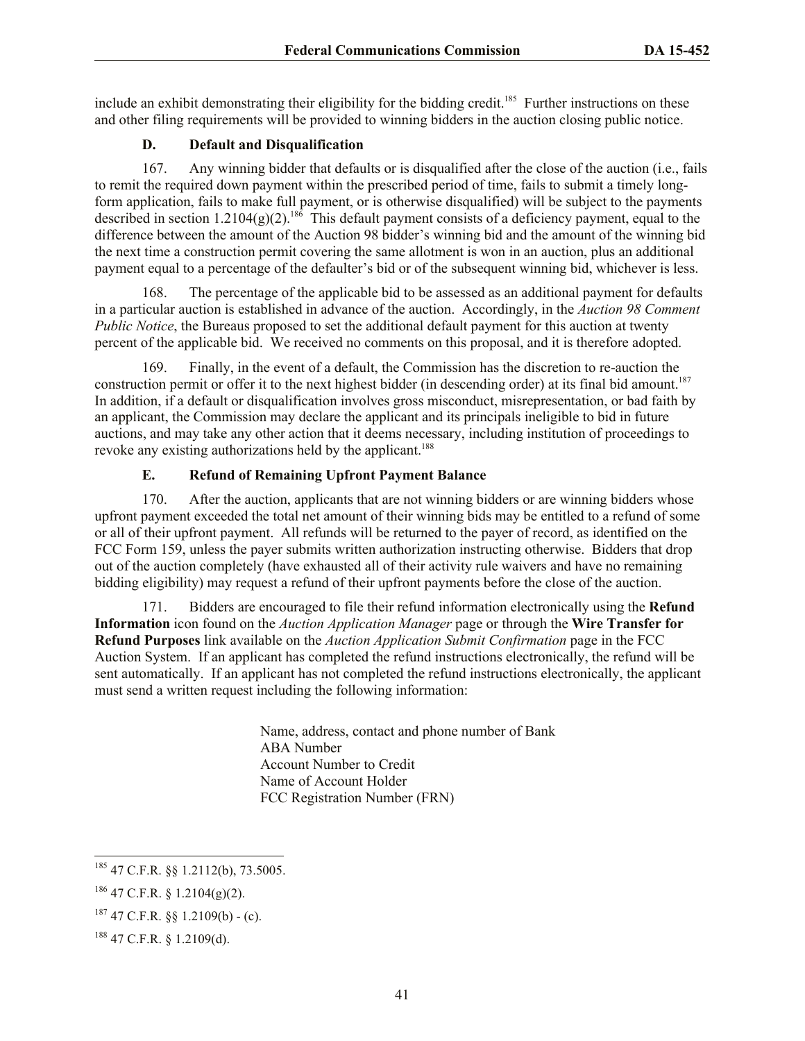include an exhibit demonstrating their eligibility for the bidding credit.<sup>185</sup> Further instructions on these and other filing requirements will be provided to winning bidders in the auction closing public notice.

## **D. Default and Disqualification**

167. Any winning bidder that defaults or is disqualified after the close of the auction (i.e., fails to remit the required down payment within the prescribed period of time, fails to submit a timely longform application, fails to make full payment, or is otherwise disqualified) will be subject to the payments described in section  $1.2104(g)(2)$ .<sup>186</sup> This default payment consists of a deficiency payment, equal to the difference between the amount of the Auction 98 bidder's winning bid and the amount of the winning bid the next time a construction permit covering the same allotment is won in an auction, plus an additional payment equal to a percentage of the defaulter's bid or of the subsequent winning bid, whichever is less.

168. The percentage of the applicable bid to be assessed as an additional payment for defaults in a particular auction is established in advance of the auction. Accordingly, in the *Auction 98 Comment Public Notice*, the Bureaus proposed to set the additional default payment for this auction at twenty percent of the applicable bid. We received no comments on this proposal, and it is therefore adopted.

169. Finally, in the event of a default, the Commission has the discretion to re-auction the construction permit or offer it to the next highest bidder (in descending order) at its final bid amount.<sup>187</sup> In addition, if a default or disqualification involves gross misconduct, misrepresentation, or bad faith by an applicant, the Commission may declare the applicant and its principals ineligible to bid in future auctions, and may take any other action that it deems necessary, including institution of proceedings to revoke any existing authorizations held by the applicant.<sup>188</sup>

## **E. Refund of Remaining Upfront Payment Balance**

170. After the auction, applicants that are not winning bidders or are winning bidders whose upfront payment exceeded the total net amount of their winning bids may be entitled to a refund of some or all of their upfront payment. All refunds will be returned to the payer of record, as identified on the FCC Form 159, unless the payer submits written authorization instructing otherwise. Bidders that drop out of the auction completely (have exhausted all of their activity rule waivers and have no remaining bidding eligibility) may request a refund of their upfront payments before the close of the auction.

171. Bidders are encouraged to file their refund information electronically using the **Refund Information** icon found on the *Auction Application Manager* page or through the **Wire Transfer for Refund Purposes** link available on the *Auction Application Submit Confirmation* page in the FCC Auction System. If an applicant has completed the refund instructions electronically, the refund will be sent automatically. If an applicant has not completed the refund instructions electronically, the applicant must send a written request including the following information:

> Name, address, contact and phone number of Bank ABA Number Account Number to Credit Name of Account Holder FCC Registration Number (FRN)

 $\overline{a}$ 

 $185$  47 C.F.R. §§ 1.2112(b), 73.5005.

 $186$  47 C.F.R. § 1.2104(g)(2).

 $187$  47 C.F.R. §§ 1.2109(b) - (c).

<sup>188</sup> 47 C.F.R. § 1.2109(d).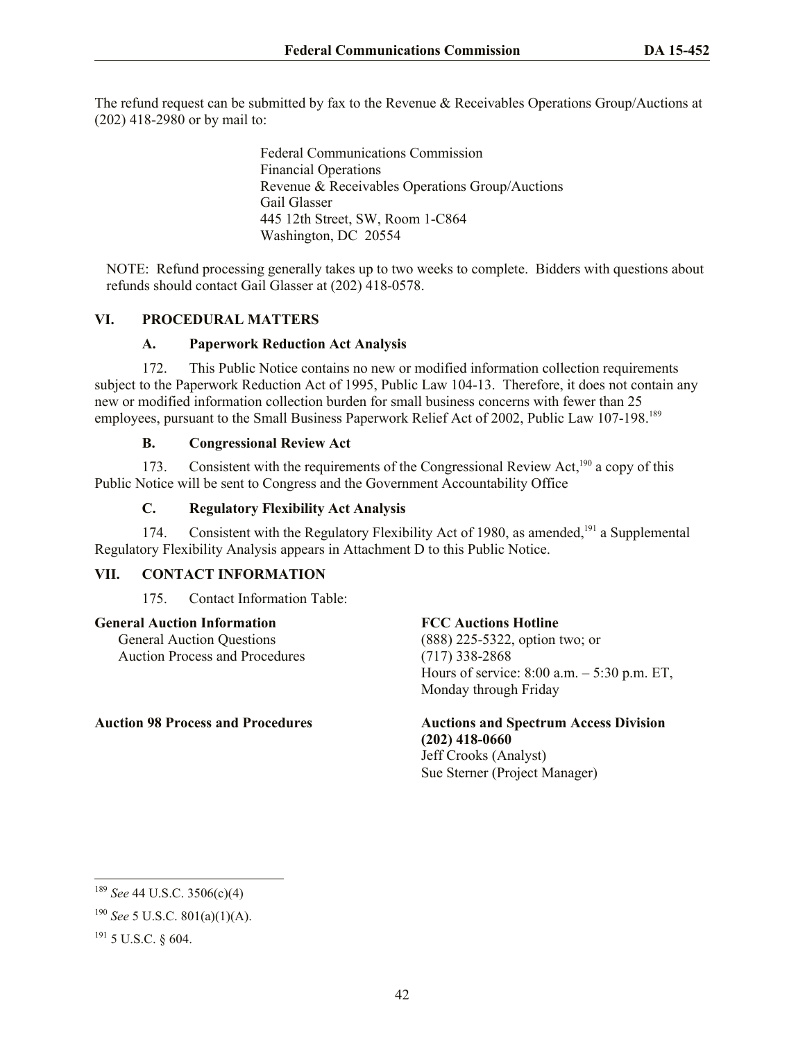The refund request can be submitted by fax to the Revenue & Receivables Operations Group/Auctions at (202) 418-2980 or by mail to:

> Federal Communications Commission Financial Operations Revenue & Receivables Operations Group/Auctions Gail Glasser 445 12th Street, SW, Room 1-C864 Washington, DC 20554

NOTE: Refund processing generally takes up to two weeks to complete. Bidders with questions about refunds should contact Gail Glasser at (202) 418-0578.

## **VI. PROCEDURAL MATTERS**

#### **A. Paperwork Reduction Act Analysis**

172. This Public Notice contains no new or modified information collection requirements subject to the Paperwork Reduction Act of 1995, Public Law 104-13. Therefore, it does not contain any new or modified information collection burden for small business concerns with fewer than 25 employees, pursuant to the Small Business Paperwork Relief Act of 2002, Public Law 107-198.<sup>189</sup>

## **B. Congressional Review Act**

173. Consistent with the requirements of the Congressional Review Act,<sup>190</sup> a copy of this Public Notice will be sent to Congress and the Government Accountability Office

## **C. Regulatory Flexibility Act Analysis**

174. Consistent with the Regulatory Flexibility Act of 1980, as amended,<sup>191</sup> a Supplemental Regulatory Flexibility Analysis appears in Attachment D to this Public Notice.

#### **VII. CONTACT INFORMATION**

175. Contact Information Table:

## **General Auction Information**

General Auction Questions Auction Process and Procedures

## **FCC Auctions Hotline**

(888) 225-5322, option two; or (717) 338-2868 Hours of service: 8:00 a.m. – 5:30 p.m. ET, Monday through Friday

# **Auction 98 Process and Procedures Auctions and Spectrum Access Division (202) 418-0660**

Jeff Crooks (Analyst) Sue Sterner (Project Manager)

<sup>189</sup> *See* 44 U.S.C. 3506(c)(4)

<sup>190</sup> *See* 5 U.S.C. 801(a)(1)(A).

 $191$  5 U.S.C. 8 604.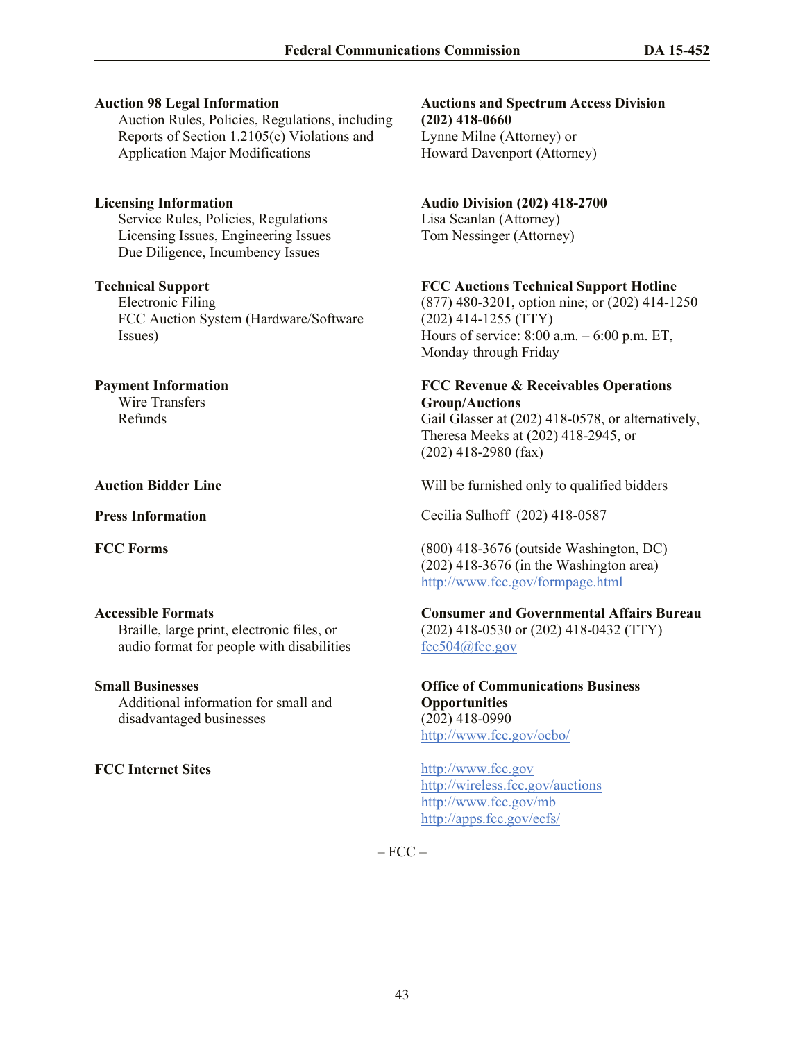#### **Auction 98 Legal Information**

Auction Rules, Policies, Regulations, including Reports of Section 1.2105(c) Violations and Application Major Modifications

**Licensing Information**  Service Rules, Policies, Regulations Licensing Issues, Engineering Issues Due Diligence, Incumbency Issues

#### **Technical Support**

Electronic Filing FCC Auction System (Hardware/Software Issues)

#### **Payment Information**

Wire Transfers Refunds

#### **Accessible Formats**

Braille, large print, electronic files, or audio format for people with disabilities

#### **Small Businesses**

Additional information for small and disadvantaged businesses

**Auctions and Spectrum Access Division (202) 418-0660** Lynne Milne (Attorney) or Howard Davenport (Attorney)

## **Audio Division (202) 418-2700**

Lisa Scanlan (Attorney) Tom Nessinger (Attorney)

## **FCC Auctions Technical Support Hotline**

(877) 480-3201, option nine; or (202) 414-1250 (202) 414-1255 (TTY) Hours of service: 8:00 a.m. – 6:00 p.m. ET, Monday through Friday

## **FCC Revenue & Receivables Operations Group/Auctions**

Gail Glasser at (202) 418-0578, or alternatively, Theresa Meeks at (202) 418-2945, or (202) 418-2980 (fax)

**Auction Bidder Line** Will be furnished only to qualified bidders

**Press Information** Cecilia Sulhoff (202) 418-0587

**FCC Forms** (800) 418-3676 (outside Washington, DC) (202) 418-3676 (in the Washington area) http://www.fcc.gov/formpage.html

#### **Consumer and Governmental Affairs Bureau** (202) 418-0530 or (202) 418-0432 (TTY) fcc504@fcc.gov

**Office of Communications Business Opportunities** (202) 418-0990 http://www.fcc.gov/ocbo/

**FCC Internet Sites** http://www.fcc.gov http://wireless.fcc.gov/auctions http://www.fcc.gov/mb http://apps.fcc.gov/ecfs/

 $-$  FCC  $-$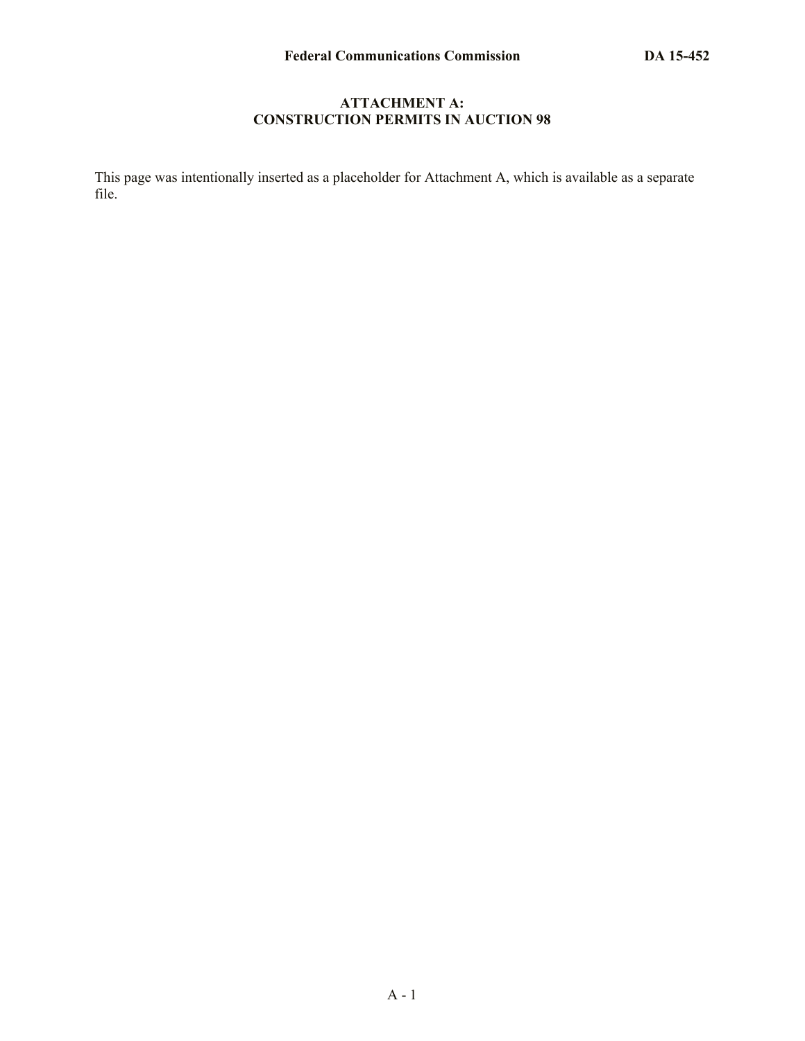#### **ATTACHMENT A: CONSTRUCTION PERMITS IN AUCTION 98**

This page was intentionally inserted as a placeholder for Attachment A, which is available as a separate file.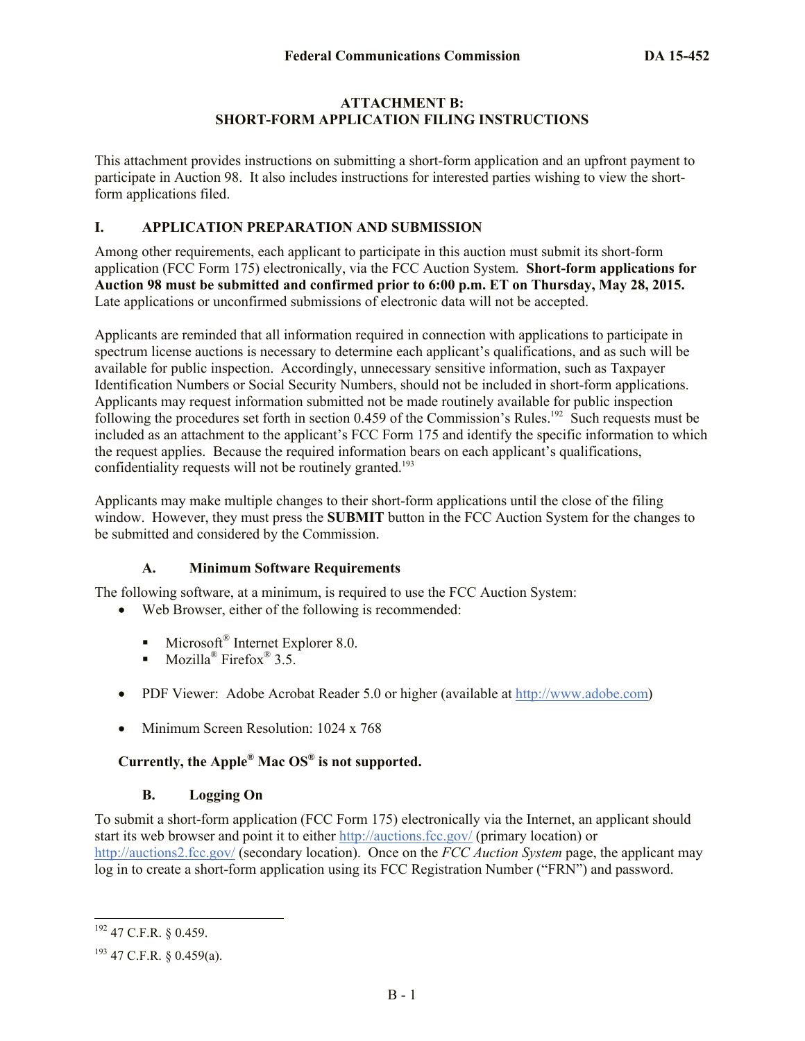#### **ATTACHMENT B: SHORT-FORM APPLICATION FILING INSTRUCTIONS**

This attachment provides instructions on submitting a short-form application and an upfront payment to participate in Auction 98. It also includes instructions for interested parties wishing to view the shortform applications filed.

## **I. APPLICATION PREPARATION AND SUBMISSION**

Among other requirements, each applicant to participate in this auction must submit its short-form application (FCC Form 175) electronically, via the FCC Auction System. **Short-form applications for Auction 98 must be submitted and confirmed prior to 6:00 p.m. ET on Thursday, May 28, 2015.** Late applications or unconfirmed submissions of electronic data will not be accepted.

Applicants are reminded that all information required in connection with applications to participate in spectrum license auctions is necessary to determine each applicant's qualifications, and as such will be available for public inspection. Accordingly, unnecessary sensitive information, such as Taxpayer Identification Numbers or Social Security Numbers, should not be included in short-form applications. Applicants may request information submitted not be made routinely available for public inspection following the procedures set forth in section  $0.459$  of the Commission's Rules.<sup>192</sup> Such requests must be included as an attachment to the applicant's FCC Form 175 and identify the specific information to which the request applies. Because the required information bears on each applicant's qualifications, confidentiality requests will not be routinely granted.<sup>193</sup>

Applicants may make multiple changes to their short-form applications until the close of the filing window. However, they must press the **SUBMIT** button in the FCC Auction System for the changes to be submitted and considered by the Commission.

## **A. Minimum Software Requirements**

The following software, at a minimum, is required to use the FCC Auction System:

- Web Browser, either of the following is recommended:
	- **Microsoft<sup>®</sup>** Internet Explorer 8.0.
	- Mozilla<sup>®</sup> Firefox<sup>®</sup> 3.5.
- PDF Viewer: Adobe Acrobat Reader 5.0 or higher (available at http://www.adobe.com)
- Minimum Screen Resolution: 1024 x 768

## **Currently, the Apple® Mac OS® is not supported.**

#### **B. Logging On**

To submit a short-form application (FCC Form 175) electronically via the Internet, an applicant should start its web browser and point it to either http://auctions.fcc.gov/ (primary location) or http://auctions2.fcc.gov/ (secondary location). Once on the *FCC Auction System* page, the applicant may log in to create a short-form application using its FCC Registration Number ("FRN") and password.

 $\overline{\phantom{a}}$ 

 $192$  47 C.F.R. § 0.459.

 $193$  47 C.F.R. § 0.459(a).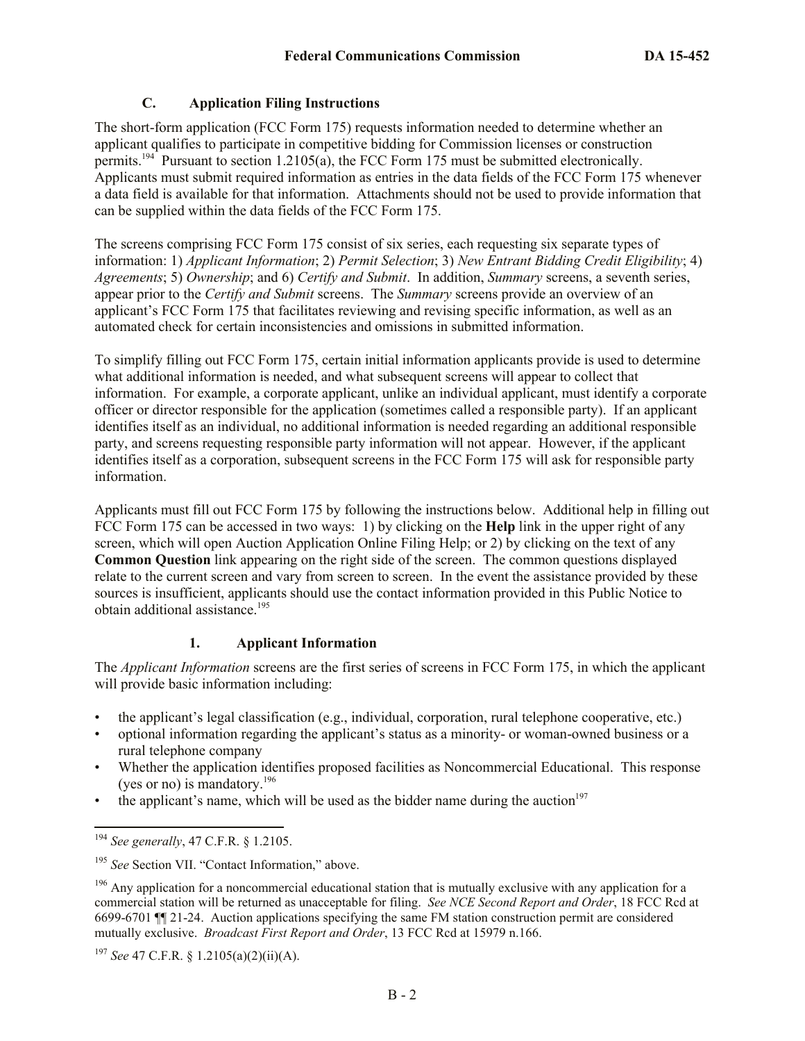## **C. Application Filing Instructions**

The short-form application (FCC Form 175) requests information needed to determine whether an applicant qualifies to participate in competitive bidding for Commission licenses or construction permits.<sup>194</sup> Pursuant to section 1.2105(a), the FCC Form 175 must be submitted electronically. Applicants must submit required information as entries in the data fields of the FCC Form 175 whenever a data field is available for that information. Attachments should not be used to provide information that can be supplied within the data fields of the FCC Form 175.

The screens comprising FCC Form 175 consist of six series, each requesting six separate types of information: 1) *Applicant Information*; 2) *Permit Selection*; 3) *New Entrant Bidding Credit Eligibility*; 4) *Agreements*; 5) *Ownership*; and 6) *Certify and Submit*. In addition, *Summary* screens, a seventh series, appear prior to the *Certify and Submit* screens. The *Summary* screens provide an overview of an applicant's FCC Form 175 that facilitates reviewing and revising specific information, as well as an automated check for certain inconsistencies and omissions in submitted information.

To simplify filling out FCC Form 175, certain initial information applicants provide is used to determine what additional information is needed, and what subsequent screens will appear to collect that information. For example, a corporate applicant, unlike an individual applicant, must identify a corporate officer or director responsible for the application (sometimes called a responsible party). If an applicant identifies itself as an individual, no additional information is needed regarding an additional responsible party, and screens requesting responsible party information will not appear. However, if the applicant identifies itself as a corporation, subsequent screens in the FCC Form 175 will ask for responsible party information.

Applicants must fill out FCC Form 175 by following the instructions below. Additional help in filling out FCC Form 175 can be accessed in two ways: 1) by clicking on the **Help** link in the upper right of any screen, which will open Auction Application Online Filing Help; or 2) by clicking on the text of any **Common Question** link appearing on the right side of the screen. The common questions displayed relate to the current screen and vary from screen to screen. In the event the assistance provided by these sources is insufficient, applicants should use the contact information provided in this Public Notice to obtain additional assistance.<sup>195</sup>

## **1. Applicant Information**

The *Applicant Information* screens are the first series of screens in FCC Form 175, in which the applicant will provide basic information including:

- the applicant's legal classification (e.g., individual, corporation, rural telephone cooperative, etc.)
- optional information regarding the applicant's status as a minority- or woman-owned business or a rural telephone company
- Whether the application identifies proposed facilities as Noncommercial Educational. This response (yes or no) is mandatory. $196$
- the applicant's name, which will be used as the bidder name during the auction<sup>197</sup>

<sup>194</sup> *See generally*, 47 C.F.R. § 1.2105.

<sup>195</sup> *See* Section VII. "Contact Information," above.

 $196$  Any application for a noncommercial educational station that is mutually exclusive with any application for a commercial station will be returned as unacceptable for filing. *See NCE Second Report and Order*, 18 FCC Rcd at 6699-6701 ¶¶ 21-24. Auction applications specifying the same FM station construction permit are considered mutually exclusive. *Broadcast First Report and Order*, 13 FCC Rcd at 15979 n.166.

<sup>197</sup> *See* 47 C.F.R. § 1.2105(a)(2)(ii)(A).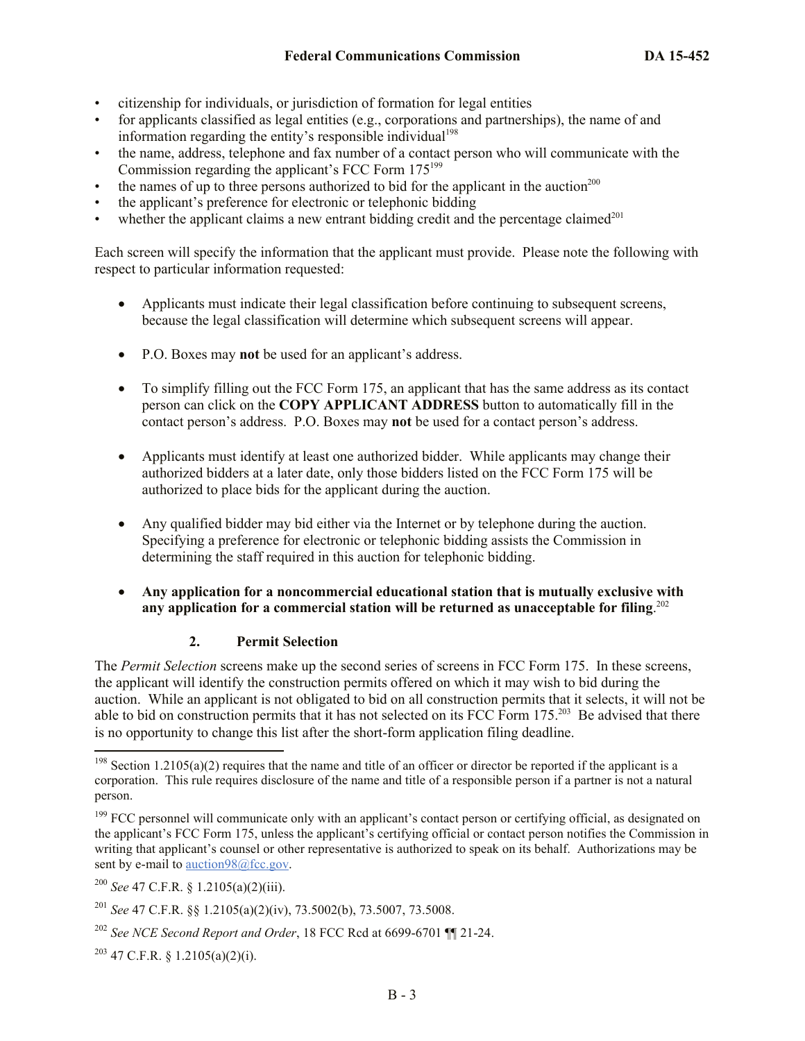- citizenship for individuals, or jurisdiction of formation for legal entities
- for applicants classified as legal entities (e.g., corporations and partnerships), the name of and information regarding the entity's responsible individual<sup>198</sup>
- the name, address, telephone and fax number of a contact person who will communicate with the Commission regarding the applicant's FCC Form 175<sup>199</sup>
- the names of up to three persons authorized to bid for the applicant in the auction<sup>200</sup>
- the applicant's preference for electronic or telephonic bidding
- whether the applicant claims a new entrant bidding credit and the percentage claimed $^{201}$

Each screen will specify the information that the applicant must provide. Please note the following with respect to particular information requested:

- Applicants must indicate their legal classification before continuing to subsequent screens, because the legal classification will determine which subsequent screens will appear.
- P.O. Boxes may **not** be used for an applicant's address.
- To simplify filling out the FCC Form 175, an applicant that has the same address as its contact person can click on the **COPY APPLICANT ADDRESS** button to automatically fill in the contact person's address. P.O. Boxes may **not** be used for a contact person's address.
- Applicants must identify at least one authorized bidder. While applicants may change their authorized bidders at a later date, only those bidders listed on the FCC Form 175 will be authorized to place bids for the applicant during the auction.
- Any qualified bidder may bid either via the Internet or by telephone during the auction. Specifying a preference for electronic or telephonic bidding assists the Commission in determining the staff required in this auction for telephonic bidding.
- **Any application for a noncommercial educational station that is mutually exclusive with any application for a commercial station will be returned as unacceptable for filing**. 202

#### **2. Permit Selection**

The *Permit Selection* screens make up the second series of screens in FCC Form 175. In these screens, the applicant will identify the construction permits offered on which it may wish to bid during the auction. While an applicant is not obligated to bid on all construction permits that it selects, it will not be able to bid on construction permits that it has not selected on its FCC Form 175.<sup>203</sup> Be advised that there is no opportunity to change this list after the short-form application filing deadline.

<sup>&</sup>lt;sup>198</sup> Section 1.2105(a)(2) requires that the name and title of an officer or director be reported if the applicant is a corporation. This rule requires disclosure of the name and title of a responsible person if a partner is not a natural person.

 $199$  FCC personnel will communicate only with an applicant's contact person or certifying official, as designated on the applicant's FCC Form 175, unless the applicant's certifying official or contact person notifies the Commission in writing that applicant's counsel or other representative is authorized to speak on its behalf. Authorizations may be sent by e-mail to auction98@fcc.gov.

<sup>200</sup> *See* 47 C.F.R. § 1.2105(a)(2)(iii).

<sup>201</sup> *See* 47 C.F.R. §§ 1.2105(a)(2)(iv), 73.5002(b), 73.5007, 73.5008.

<sup>202</sup> *See NCE Second Report and Order*, 18 FCC Rcd at 6699-6701 ¶¶ 21-24.

 $203$  47 C.F.R. § 1.2105(a)(2)(i).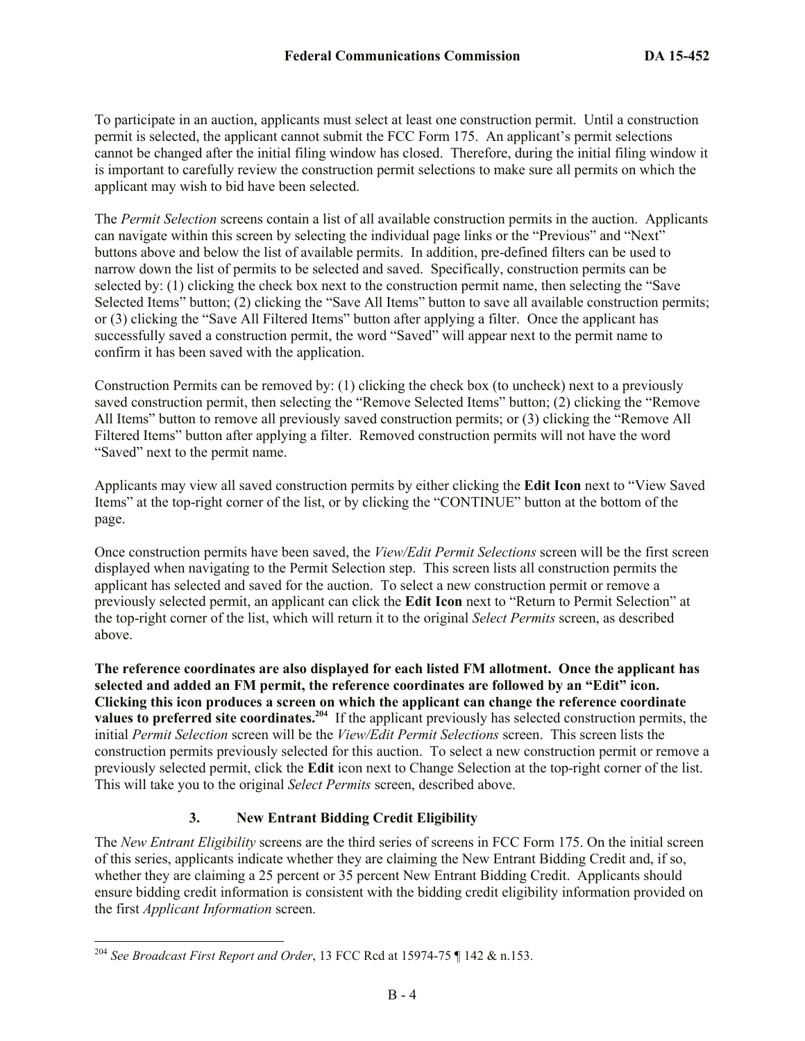To participate in an auction, applicants must select at least one construction permit. Until a construction permit is selected, the applicant cannot submit the FCC Form 175. An applicant's permit selections cannot be changed after the initial filing window has closed. Therefore, during the initial filing window it is important to carefully review the construction permit selections to make sure all permits on which the applicant may wish to bid have been selected.

The *Permit Selection* screens contain a list of all available construction permits in the auction. Applicants can navigate within this screen by selecting the individual page links or the "Previous" and "Next" buttons above and below the list of available permits. In addition, pre-defined filters can be used to narrow down the list of permits to be selected and saved. Specifically, construction permits can be selected by: (1) clicking the check box next to the construction permit name, then selecting the "Save Selected Items" button; (2) clicking the "Save All Items" button to save all available construction permits; or (3) clicking the "Save All Filtered Items" button after applying a filter. Once the applicant has successfully saved a construction permit, the word "Saved" will appear next to the permit name to confirm it has been saved with the application.

Construction Permits can be removed by: (1) clicking the check box (to uncheck) next to a previously saved construction permit, then selecting the "Remove Selected Items" button; (2) clicking the "Remove All Items" button to remove all previously saved construction permits; or (3) clicking the "Remove All Filtered Items" button after applying a filter. Removed construction permits will not have the word "Saved" next to the permit name.

Applicants may view all saved construction permits by either clicking the **Edit Icon** next to "View Saved Items" at the top-right corner of the list, or by clicking the "CONTINUE" button at the bottom of the page.

Once construction permits have been saved, the *View/Edit Permit Selections* screen will be the first screen displayed when navigating to the Permit Selection step. This screen lists all construction permits the applicant has selected and saved for the auction. To select a new construction permit or remove a previously selected permit, an applicant can click the **Edit Icon** next to "Return to Permit Selection" at the top-right corner of the list, which will return it to the original *Select Permits* screen, as described above.

**The reference coordinates are also displayed for each listed FM allotment. Once the applicant has selected and added an FM permit, the reference coordinates are followed by an "Edit" icon. Clicking this icon produces a screen on which the applicant can change the reference coordinate values to preferred site coordinates.<sup>204</sup>** If the applicant previously has selected construction permits, the initial *Permit Selection* screen will be the *View/Edit Permit Selections* screen. This screen lists the construction permits previously selected for this auction. To select a new construction permit or remove a previously selected permit, click the **Edit** icon next to Change Selection at the top-right corner of the list. This will take you to the original *Select Permits* screen, described above.

## **3. New Entrant Bidding Credit Eligibility**

The *New Entrant Eligibility* screens are the third series of screens in FCC Form 175. On the initial screen of this series, applicants indicate whether they are claiming the New Entrant Bidding Credit and, if so, whether they are claiming a 25 percent or 35 percent New Entrant Bidding Credit. Applicants should ensure bidding credit information is consistent with the bidding credit eligibility information provided on the first *Applicant Information* screen.

<sup>204</sup> *See Broadcast First Report and Order*, 13 FCC Rcd at 15974-75 ¶ 142 & n.153.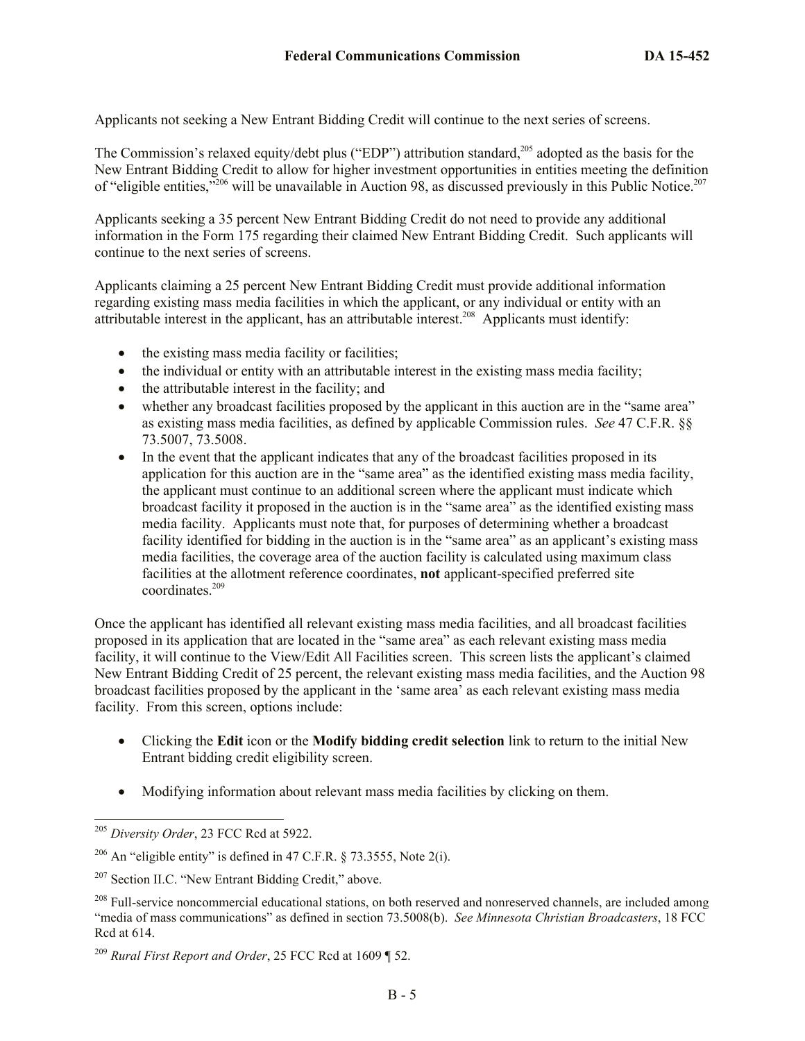Applicants not seeking a New Entrant Bidding Credit will continue to the next series of screens.

The Commission's relaxed equity/debt plus ("EDP") attribution standard,<sup>205</sup> adopted as the basis for the New Entrant Bidding Credit to allow for higher investment opportunities in entities meeting the definition of "eligible entities,"<sup>206</sup> will be unavailable in Auction 98, as discussed previously in this Public Notice.<sup>207</sup>

Applicants seeking a 35 percent New Entrant Bidding Credit do not need to provide any additional information in the Form 175 regarding their claimed New Entrant Bidding Credit. Such applicants will continue to the next series of screens.

Applicants claiming a 25 percent New Entrant Bidding Credit must provide additional information regarding existing mass media facilities in which the applicant, or any individual or entity with an attributable interest in the applicant, has an attributable interest.<sup>208</sup> Applicants must identify:

- the existing mass media facility or facilities;
- the individual or entity with an attributable interest in the existing mass media facility;
- the attributable interest in the facility; and
- whether any broadcast facilities proposed by the applicant in this auction are in the "same area" as existing mass media facilities, as defined by applicable Commission rules. *See* 47 C.F.R. §§ 73.5007, 73.5008.
- In the event that the applicant indicates that any of the broadcast facilities proposed in its application for this auction are in the "same area" as the identified existing mass media facility, the applicant must continue to an additional screen where the applicant must indicate which broadcast facility it proposed in the auction is in the "same area" as the identified existing mass media facility. Applicants must note that, for purposes of determining whether a broadcast facility identified for bidding in the auction is in the "same area" as an applicant's existing mass media facilities, the coverage area of the auction facility is calculated using maximum class facilities at the allotment reference coordinates, **not** applicant-specified preferred site coordinates.<sup>209</sup>

Once the applicant has identified all relevant existing mass media facilities, and all broadcast facilities proposed in its application that are located in the "same area" as each relevant existing mass media facility, it will continue to the View/Edit All Facilities screen. This screen lists the applicant's claimed New Entrant Bidding Credit of 25 percent, the relevant existing mass media facilities, and the Auction 98 broadcast facilities proposed by the applicant in the 'same area' as each relevant existing mass media facility. From this screen, options include:

- Clicking the **Edit** icon or the **Modify bidding credit selection** link to return to the initial New Entrant bidding credit eligibility screen.
- Modifying information about relevant mass media facilities by clicking on them.

l <sup>205</sup> *Diversity Order*, 23 FCC Rcd at 5922.

<sup>&</sup>lt;sup>206</sup> An "eligible entity" is defined in 47 C.F.R. § 73.3555, Note 2(i).

<sup>&</sup>lt;sup>207</sup> Section II.C. "New Entrant Bidding Credit," above.

<sup>&</sup>lt;sup>208</sup> Full-service noncommercial educational stations, on both reserved and nonreserved channels, are included among "media of mass communications" as defined in section 73.5008(b). *See Minnesota Christian Broadcasters*, 18 FCC Rcd at 614.

<sup>209</sup> *Rural First Report and Order*, 25 FCC Rcd at 1609 ¶ 52.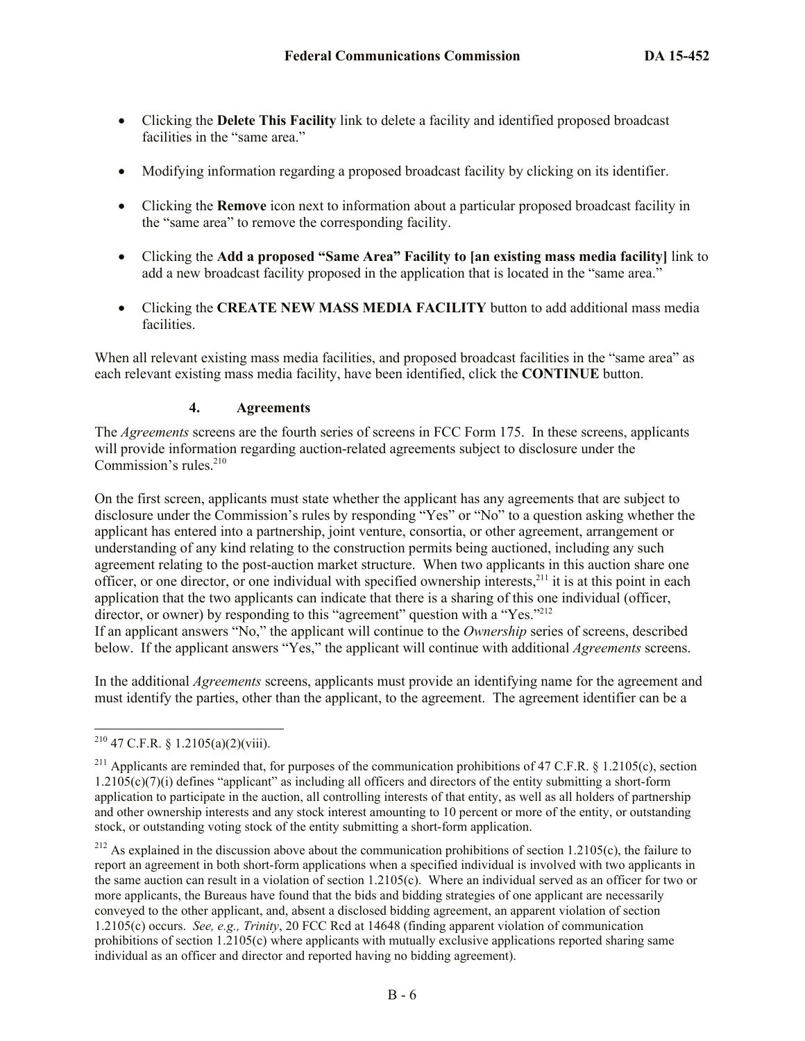- Clicking the **Delete This Facility** link to delete a facility and identified proposed broadcast facilities in the "same area."
- Modifying information regarding a proposed broadcast facility by clicking on its identifier.
- Clicking the **Remove** icon next to information about a particular proposed broadcast facility in the "same area" to remove the corresponding facility.
- Clicking the **Add a proposed "Same Area" Facility to [an existing mass media facility]** link to add a new broadcast facility proposed in the application that is located in the "same area."
- Clicking the **CREATE NEW MASS MEDIA FACILITY** button to add additional mass media facilities.

When all relevant existing mass media facilities, and proposed broadcast facilities in the "same area" as each relevant existing mass media facility, have been identified, click the **CONTINUE** button.

#### **4. Agreements**

The *Agreements* screens are the fourth series of screens in FCC Form 175. In these screens, applicants will provide information regarding auction-related agreements subject to disclosure under the Commission's rules.<sup>210</sup>

On the first screen, applicants must state whether the applicant has any agreements that are subject to disclosure under the Commission's rules by responding "Yes" or "No" to a question asking whether the applicant has entered into a partnership, joint venture, consortia, or other agreement, arrangement or understanding of any kind relating to the construction permits being auctioned, including any such agreement relating to the post-auction market structure. When two applicants in this auction share one officer, or one director, or one individual with specified ownership interests,<sup>211</sup> it is at this point in each application that the two applicants can indicate that there is a sharing of this one individual (officer, director, or owner) by responding to this "agreement" question with a "Yes."<sup>212</sup> If an applicant answers "No," the applicant will continue to the *Ownership* series of screens, described below. If the applicant answers "Yes," the applicant will continue with additional *Agreements* screens.

In the additional *Agreements* screens, applicants must provide an identifying name for the agreement and must identify the parties, other than the applicant, to the agreement. The agreement identifier can be a

 $\overline{\phantom{a}}$ <sup>210</sup> 47 C.F.R. § 1.2105(a)(2)(viii).

<sup>&</sup>lt;sup>211</sup> Applicants are reminded that, for purposes of the communication prohibitions of 47 C.F.R. § 1.2105(c), section  $1.2105(c)(7)(i)$  defines "applicant" as including all officers and directors of the entity submitting a short-form application to participate in the auction, all controlling interests of that entity, as well as all holders of partnership and other ownership interests and any stock interest amounting to 10 percent or more of the entity, or outstanding stock, or outstanding voting stock of the entity submitting a short-form application.

<sup>&</sup>lt;sup>212</sup> As explained in the discussion above about the communication prohibitions of section 1.2105(c), the failure to report an agreement in both short-form applications when a specified individual is involved with two applicants in the same auction can result in a violation of section 1.2105(c). Where an individual served as an officer for two or more applicants, the Bureaus have found that the bids and bidding strategies of one applicant are necessarily conveyed to the other applicant, and, absent a disclosed bidding agreement, an apparent violation of section 1.2105(c) occurs. *See, e.g., Trinity*, 20 FCC Rcd at 14648 (finding apparent violation of communication prohibitions of section 1.2105(c) where applicants with mutually exclusive applications reported sharing same individual as an officer and director and reported having no bidding agreement).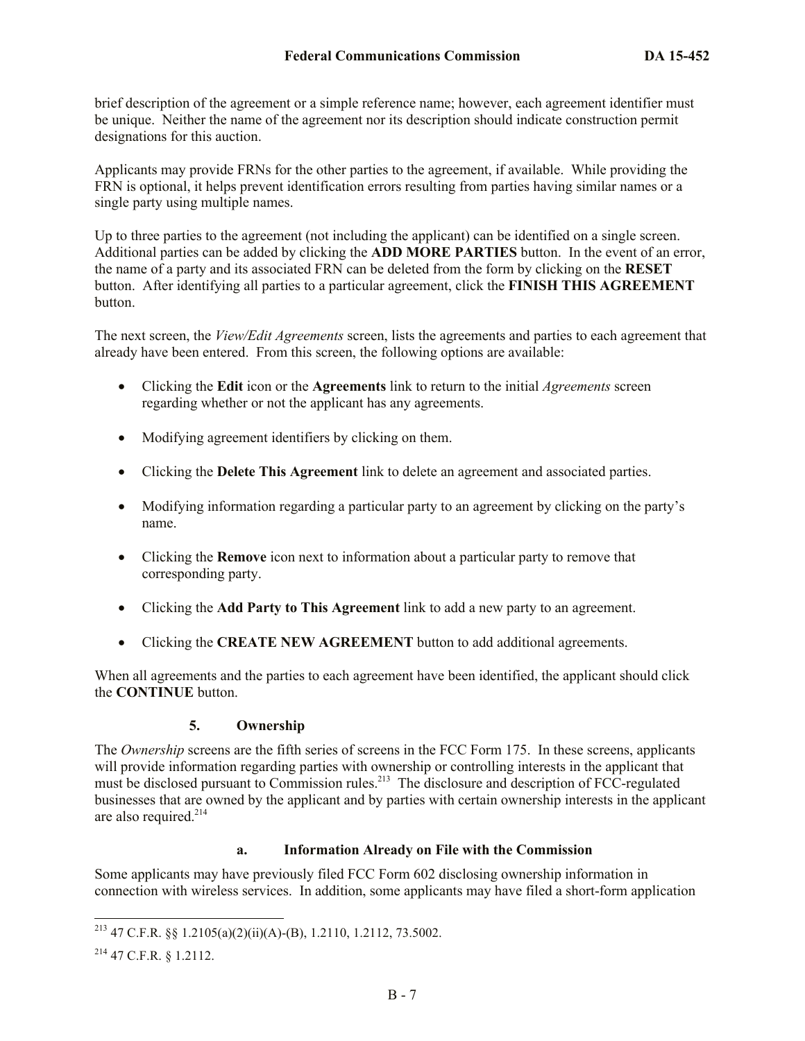brief description of the agreement or a simple reference name; however, each agreement identifier must be unique. Neither the name of the agreement nor its description should indicate construction permit designations for this auction.

Applicants may provide FRNs for the other parties to the agreement, if available. While providing the FRN is optional, it helps prevent identification errors resulting from parties having similar names or a single party using multiple names.

Up to three parties to the agreement (not including the applicant) can be identified on a single screen. Additional parties can be added by clicking the **ADD MORE PARTIES** button. In the event of an error, the name of a party and its associated FRN can be deleted from the form by clicking on the **RESET** button. After identifying all parties to a particular agreement, click the **FINISH THIS AGREEMENT** button.

The next screen, the *View/Edit Agreements* screen, lists the agreements and parties to each agreement that already have been entered. From this screen, the following options are available:

- Clicking the **Edit** icon or the **Agreements** link to return to the initial *Agreements* screen regarding whether or not the applicant has any agreements.
- Modifying agreement identifiers by clicking on them.
- Clicking the **Delete This Agreement** link to delete an agreement and associated parties.
- Modifying information regarding a particular party to an agreement by clicking on the party's name.
- Clicking the **Remove** icon next to information about a particular party to remove that corresponding party.
- Clicking the **Add Party to This Agreement** link to add a new party to an agreement.
- Clicking the **CREATE NEW AGREEMENT** button to add additional agreements.

When all agreements and the parties to each agreement have been identified, the applicant should click the **CONTINUE** button.

## **5. Ownership**

The *Ownership* screens are the fifth series of screens in the FCC Form 175. In these screens, applicants will provide information regarding parties with ownership or controlling interests in the applicant that must be disclosed pursuant to Commission rules.<sup>213</sup> The disclosure and description of FCC-regulated businesses that are owned by the applicant and by parties with certain ownership interests in the applicant are also required. 214

## **a. Information Already on File with the Commission**

Some applicants may have previously filed FCC Form 602 disclosing ownership information in connection with wireless services. In addition, some applicants may have filed a short-form application

 $\overline{\phantom{a}}$ <sup>213</sup> 47 C.F.R. §§ 1.2105(a)(2)(ii)(A)-(B), 1.2110, 1.2112, 73.5002.

<sup>214</sup> 47 C.F.R. § 1.2112.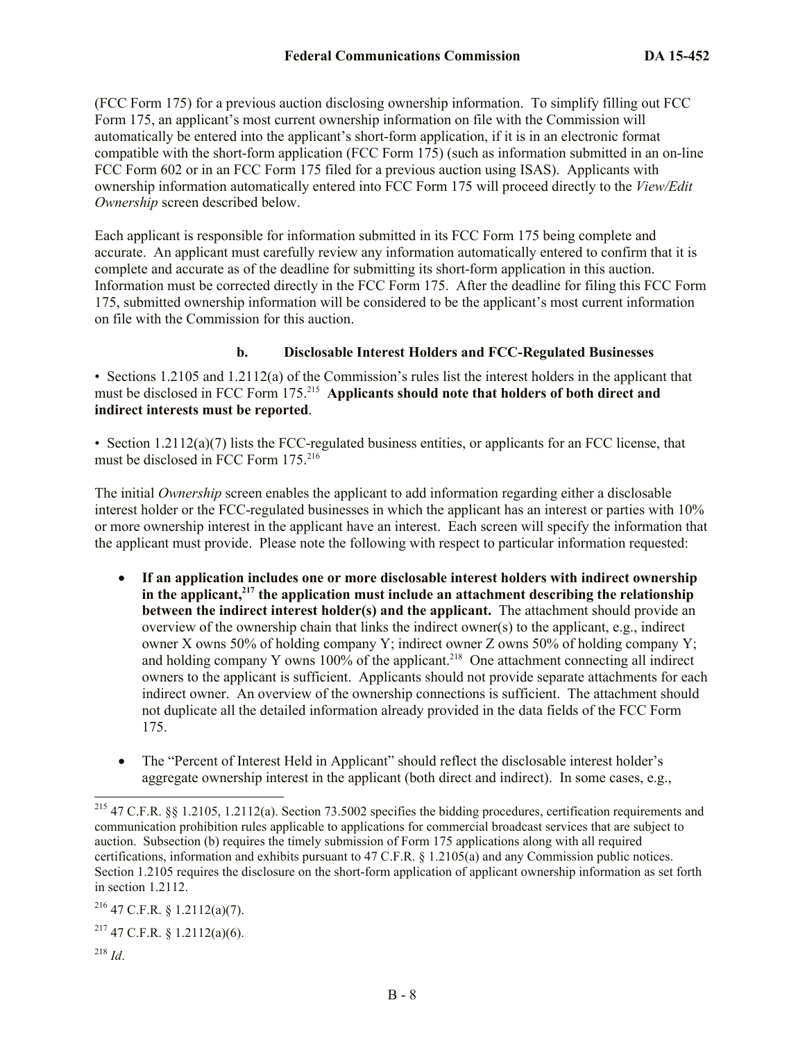(FCC Form 175) for a previous auction disclosing ownership information. To simplify filling out FCC Form 175, an applicant's most current ownership information on file with the Commission will automatically be entered into the applicant's short-form application, if it is in an electronic format compatible with the short-form application (FCC Form 175) (such as information submitted in an on-line FCC Form 602 or in an FCC Form 175 filed for a previous auction using ISAS). Applicants with ownership information automatically entered into FCC Form 175 will proceed directly to the *View/Edit Ownership* screen described below.

Each applicant is responsible for information submitted in its FCC Form 175 being complete and accurate. An applicant must carefully review any information automatically entered to confirm that it is complete and accurate as of the deadline for submitting its short-form application in this auction. Information must be corrected directly in the FCC Form 175. After the deadline for filing this FCC Form 175, submitted ownership information will be considered to be the applicant's most current information on file with the Commission for this auction.

#### **b. Disclosable Interest Holders and FCC-Regulated Businesses**

• Sections 1.2105 and 1.2112(a) of the Commission's rules list the interest holders in the applicant that must be disclosed in FCC Form 175.<sup>215</sup> Applicants should note that holders of both direct and **indirect interests must be reported**.

• Section 1.2112(a)(7) lists the FCC-regulated business entities, or applicants for an FCC license, that must be disclosed in FCC Form 175.<sup>216</sup>

The initial *Ownership* screen enables the applicant to add information regarding either a disclosable interest holder or the FCC-regulated businesses in which the applicant has an interest or parties with 10% or more ownership interest in the applicant have an interest. Each screen will specify the information that the applicant must provide. Please note the following with respect to particular information requested:

- **If an application includes one or more disclosable interest holders with indirect ownership in the applicant,<sup>217</sup> the application must include an attachment describing the relationship between the indirect interest holder(s) and the applicant.** The attachment should provide an overview of the ownership chain that links the indirect owner(s) to the applicant, e.g., indirect owner X owns 50% of holding company Y; indirect owner Z owns 50% of holding company Y; and holding company Y owns  $100\%$  of the applicant.<sup>218</sup> One attachment connecting all indirect owners to the applicant is sufficient. Applicants should not provide separate attachments for each indirect owner. An overview of the ownership connections is sufficient. The attachment should not duplicate all the detailed information already provided in the data fields of the FCC Form 175.
- The "Percent of Interest Held in Applicant" should reflect the disclosable interest holder's aggregate ownership interest in the applicant (both direct and indirect). In some cases, e.g.,

 $216$  47 C.F.R. § 1.2112(a)(7).

 $2^{17}$  47 C.F.R. § 1.2112(a)(6).

 $\overline{\phantom{a}}$ 

<sup>&</sup>lt;sup>215</sup> 47 C.F.R. §§ 1.2105, 1.2112(a). Section 73.5002 specifies the bidding procedures, certification requirements and communication prohibition rules applicable to applications for commercial broadcast services that are subject to auction. Subsection (b) requires the timely submission of Form 175 applications along with all required certifications, information and exhibits pursuant to 47 C.F.R. § 1.2105(a) and any Commission public notices. Section 1.2105 requires the disclosure on the short-form application of applicant ownership information as set forth in section 1.2112.

<sup>218</sup> *Id*.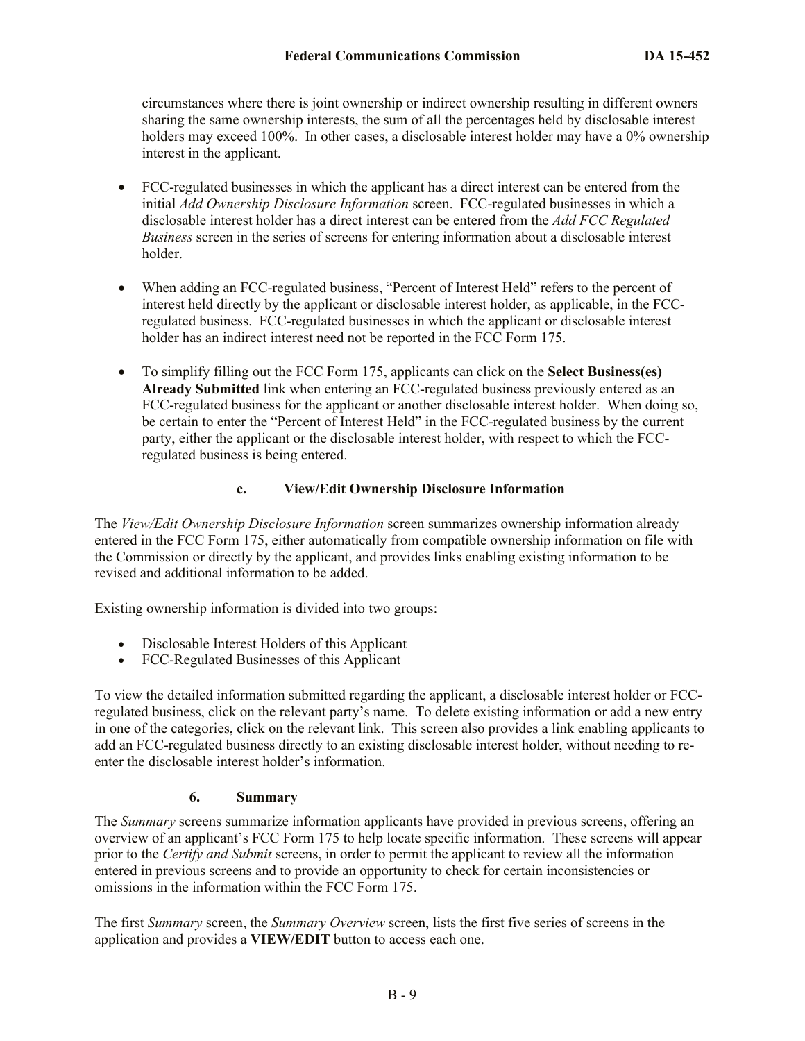circumstances where there is joint ownership or indirect ownership resulting in different owners sharing the same ownership interests, the sum of all the percentages held by disclosable interest holders may exceed 100%. In other cases, a disclosable interest holder may have a 0% ownership interest in the applicant.

- FCC-regulated businesses in which the applicant has a direct interest can be entered from the initial *Add Ownership Disclosure Information* screen. FCC-regulated businesses in which a disclosable interest holder has a direct interest can be entered from the *Add FCC Regulated Business* screen in the series of screens for entering information about a disclosable interest holder.
- When adding an FCC-regulated business, "Percent of Interest Held" refers to the percent of interest held directly by the applicant or disclosable interest holder, as applicable, in the FCCregulated business. FCC-regulated businesses in which the applicant or disclosable interest holder has an indirect interest need not be reported in the FCC Form 175.
- To simplify filling out the FCC Form 175, applicants can click on the **Select Business(es) Already Submitted** link when entering an FCC-regulated business previously entered as an FCC-regulated business for the applicant or another disclosable interest holder. When doing so, be certain to enter the "Percent of Interest Held" in the FCC-regulated business by the current party, either the applicant or the disclosable interest holder, with respect to which the FCCregulated business is being entered.

#### **c. View/Edit Ownership Disclosure Information**

The *View/Edit Ownership Disclosure Information* screen summarizes ownership information already entered in the FCC Form 175, either automatically from compatible ownership information on file with the Commission or directly by the applicant, and provides links enabling existing information to be revised and additional information to be added.

Existing ownership information is divided into two groups:

- Disclosable Interest Holders of this Applicant
- FCC-Regulated Businesses of this Applicant

To view the detailed information submitted regarding the applicant, a disclosable interest holder or FCCregulated business, click on the relevant party's name. To delete existing information or add a new entry in one of the categories, click on the relevant link. This screen also provides a link enabling applicants to add an FCC-regulated business directly to an existing disclosable interest holder, without needing to reenter the disclosable interest holder's information.

#### **6. Summary**

The *Summary* screens summarize information applicants have provided in previous screens, offering an overview of an applicant's FCC Form 175 to help locate specific information. These screens will appear prior to the *Certify and Submit* screens, in order to permit the applicant to review all the information entered in previous screens and to provide an opportunity to check for certain inconsistencies or omissions in the information within the FCC Form 175.

The first *Summary* screen, the *Summary Overview* screen, lists the first five series of screens in the application and provides a **VIEW/EDIT** button to access each one.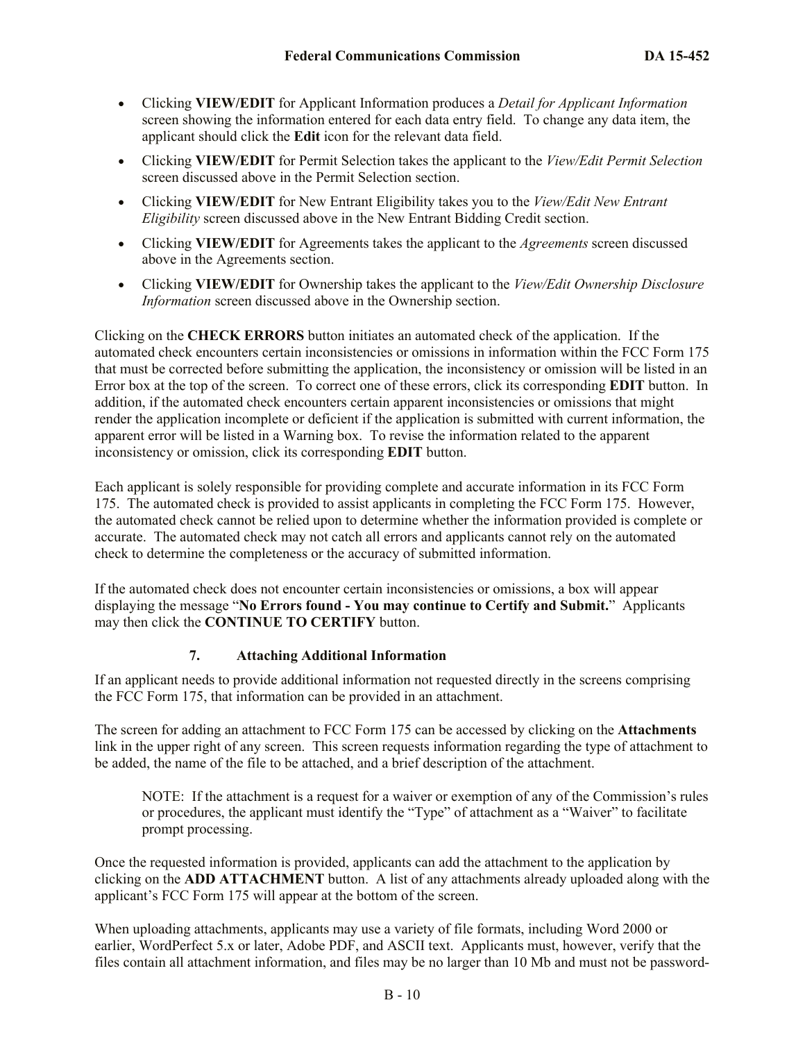- Clicking **VIEW/EDIT** for Applicant Information produces a *Detail for Applicant Information* screen showing the information entered for each data entry field. To change any data item, the applicant should click the **Edit** icon for the relevant data field.
- Clicking **VIEW/EDIT** for Permit Selection takes the applicant to the *View/Edit Permit Selection* screen discussed above in the Permit Selection section.
- Clicking **VIEW/EDIT** for New Entrant Eligibility takes you to the *View/Edit New Entrant Eligibility* screen discussed above in the New Entrant Bidding Credit section.
- Clicking **VIEW/EDIT** for Agreements takes the applicant to the *Agreements* screen discussed above in the Agreements section.
- Clicking **VIEW/EDIT** for Ownership takes the applicant to the *View/Edit Ownership Disclosure Information* screen discussed above in the Ownership section.

Clicking on the **CHECK ERRORS** button initiates an automated check of the application. If the automated check encounters certain inconsistencies or omissions in information within the FCC Form 175 that must be corrected before submitting the application, the inconsistency or omission will be listed in an Error box at the top of the screen. To correct one of these errors, click its corresponding **EDIT** button. In addition, if the automated check encounters certain apparent inconsistencies or omissions that might render the application incomplete or deficient if the application is submitted with current information, the apparent error will be listed in a Warning box. To revise the information related to the apparent inconsistency or omission, click its corresponding **EDIT** button.

Each applicant is solely responsible for providing complete and accurate information in its FCC Form 175. The automated check is provided to assist applicants in completing the FCC Form 175. However, the automated check cannot be relied upon to determine whether the information provided is complete or accurate. The automated check may not catch all errors and applicants cannot rely on the automated check to determine the completeness or the accuracy of submitted information.

If the automated check does not encounter certain inconsistencies or omissions, a box will appear displaying the message "**No Errors found - You may continue to Certify and Submit.**" Applicants may then click the **CONTINUE TO CERTIFY** button.

#### **7. Attaching Additional Information**

If an applicant needs to provide additional information not requested directly in the screens comprising the FCC Form 175, that information can be provided in an attachment.

The screen for adding an attachment to FCC Form 175 can be accessed by clicking on the **Attachments**  link in the upper right of any screen. This screen requests information regarding the type of attachment to be added, the name of the file to be attached, and a brief description of the attachment.

NOTE: If the attachment is a request for a waiver or exemption of any of the Commission's rules or procedures, the applicant must identify the "Type" of attachment as a "Waiver" to facilitate prompt processing.

Once the requested information is provided, applicants can add the attachment to the application by clicking on the **ADD ATTACHMENT** button. A list of any attachments already uploaded along with the applicant's FCC Form 175 will appear at the bottom of the screen.

When uploading attachments, applicants may use a variety of file formats, including Word 2000 or earlier, WordPerfect 5.x or later, Adobe PDF, and ASCII text. Applicants must, however, verify that the files contain all attachment information, and files may be no larger than 10 Mb and must not be password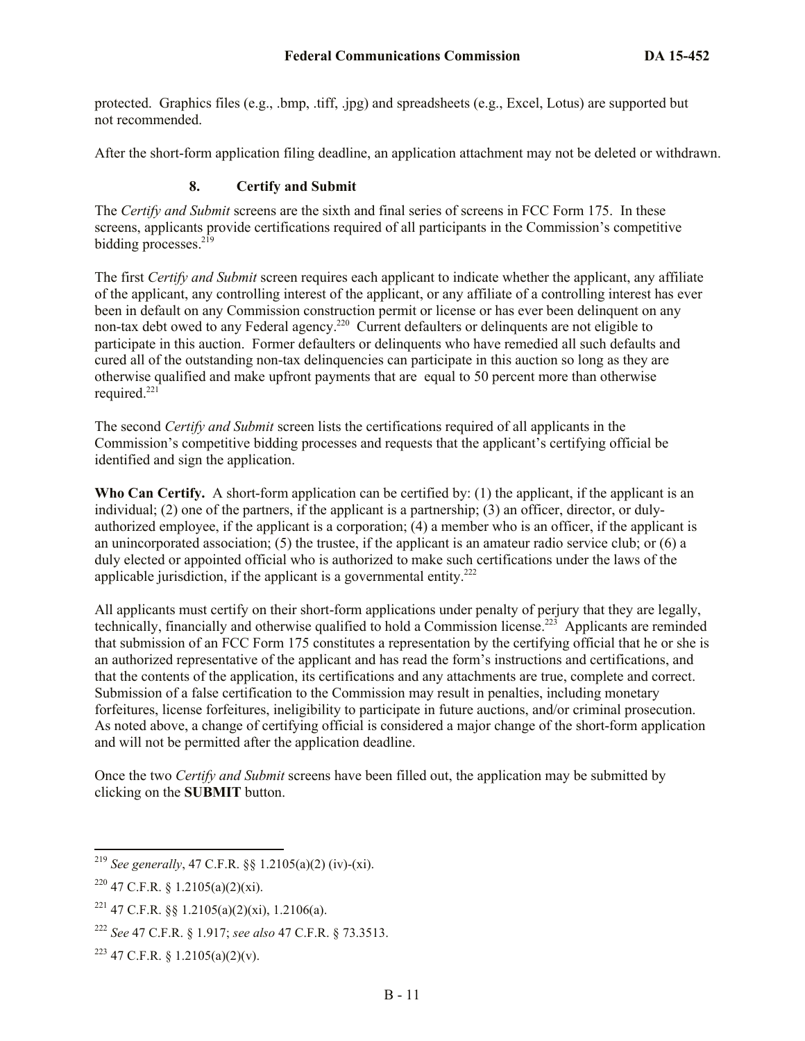protected. Graphics files (e.g., .bmp, .tiff, .jpg) and spreadsheets (e.g., Excel, Lotus) are supported but not recommended.

After the short-form application filing deadline, an application attachment may not be deleted or withdrawn.

## **8. Certify and Submit**

The *Certify and Submit* screens are the sixth and final series of screens in FCC Form 175. In these screens, applicants provide certifications required of all participants in the Commission's competitive bidding processes.<sup>219</sup>

The first *Certify and Submit* screen requires each applicant to indicate whether the applicant, any affiliate of the applicant, any controlling interest of the applicant, or any affiliate of a controlling interest has ever been in default on any Commission construction permit or license or has ever been delinquent on any non-tax debt owed to any Federal agency.<sup>220</sup> Current defaulters or delinquents are not eligible to participate in this auction. Former defaulters or delinquents who have remedied all such defaults and cured all of the outstanding non-tax delinquencies can participate in this auction so long as they are otherwise qualified and make upfront payments that are equal to 50 percent more than otherwise required. $221$ 

The second *Certify and Submit* screen lists the certifications required of all applicants in the Commission's competitive bidding processes and requests that the applicant's certifying official be identified and sign the application.

**Who Can Certify.** A short-form application can be certified by: (1) the applicant, if the applicant is an individual; (2) one of the partners, if the applicant is a partnership; (3) an officer, director, or dulyauthorized employee, if the applicant is a corporation; (4) a member who is an officer, if the applicant is an unincorporated association; (5) the trustee, if the applicant is an amateur radio service club; or (6) a duly elected or appointed official who is authorized to make such certifications under the laws of the applicable jurisdiction, if the applicant is a governmental entity. $222$ 

All applicants must certify on their short-form applications under penalty of perjury that they are legally, technically, financially and otherwise qualified to hold a Commission license.<sup>223</sup> Applicants are reminded that submission of an FCC Form 175 constitutes a representation by the certifying official that he or she is an authorized representative of the applicant and has read the form's instructions and certifications, and that the contents of the application, its certifications and any attachments are true, complete and correct. Submission of a false certification to the Commission may result in penalties, including monetary forfeitures, license forfeitures, ineligibility to participate in future auctions, and/or criminal prosecution. As noted above, a change of certifying official is considered a major change of the short-form application and will not be permitted after the application deadline.

Once the two *Certify and Submit* screens have been filled out, the application may be submitted by clicking on the **SUBMIT** button.

<sup>219</sup> *See generally*, 47 C.F.R. §§ 1.2105(a)(2) (iv)-(xi).

<sup>&</sup>lt;sup>220</sup> 47 C.F.R. § 1.2105(a)(2)(xi).

<sup>&</sup>lt;sup>221</sup> 47 C.F.R.  $\&$  1.2105(a)(2)(xi), 1.2106(a).

<sup>222</sup> *See* 47 C.F.R. § 1.917; *see also* 47 C.F.R. § 73.3513.

 $223$  47 C.F.R. § 1.2105(a)(2)(v).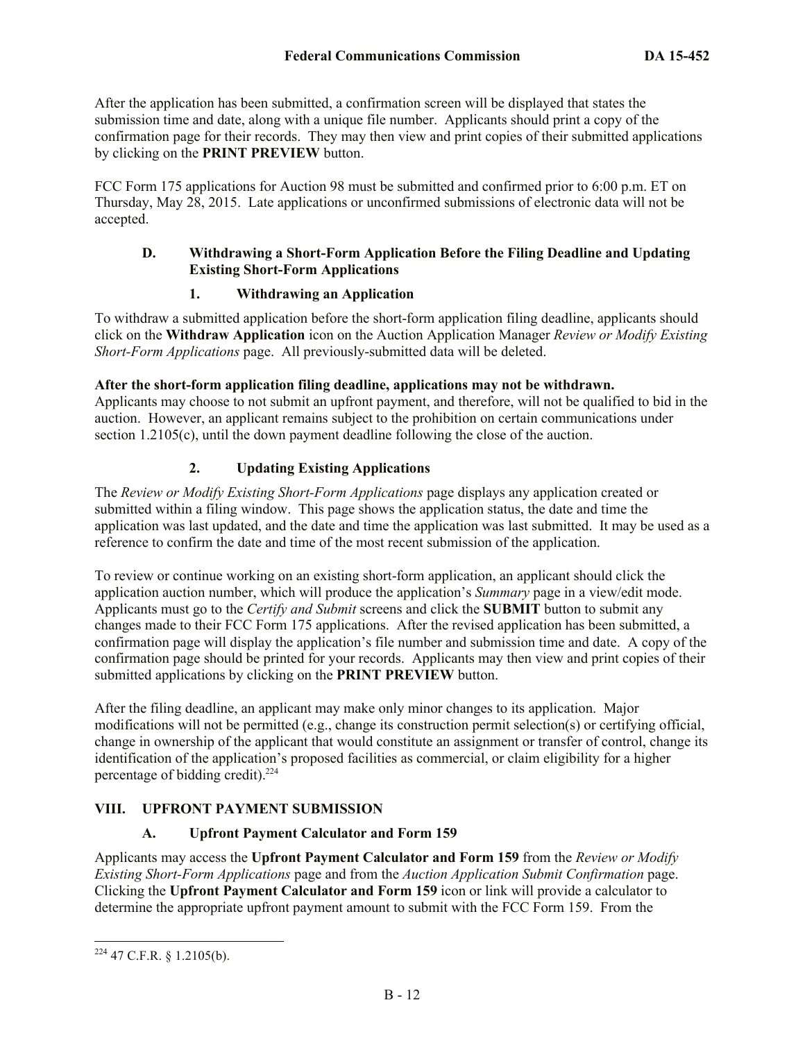After the application has been submitted, a confirmation screen will be displayed that states the submission time and date, along with a unique file number. Applicants should print a copy of the confirmation page for their records. They may then view and print copies of their submitted applications by clicking on the **PRINT PREVIEW** button.

FCC Form 175 applications for Auction 98 must be submitted and confirmed prior to 6:00 p.m. ET on Thursday, May 28, 2015. Late applications or unconfirmed submissions of electronic data will not be accepted.

## **D. Withdrawing a Short-Form Application Before the Filing Deadline and Updating Existing Short-Form Applications**

## **1. Withdrawing an Application**

To withdraw a submitted application before the short-form application filing deadline, applicants should click on the **Withdraw Application** icon on the Auction Application Manager *Review or Modify Existing Short-Form Applications* page. All previously-submitted data will be deleted.

#### **After the short-form application filing deadline, applications may not be withdrawn.**

Applicants may choose to not submit an upfront payment, and therefore, will not be qualified to bid in the auction. However, an applicant remains subject to the prohibition on certain communications under section 1.2105(c), until the down payment deadline following the close of the auction.

## **2. Updating Existing Applications**

The *Review or Modify Existing Short-Form Applications* page displays any application created or submitted within a filing window. This page shows the application status, the date and time the application was last updated, and the date and time the application was last submitted. It may be used as a reference to confirm the date and time of the most recent submission of the application.

To review or continue working on an existing short-form application, an applicant should click the application auction number, which will produce the application's *Summary* page in a view/edit mode. Applicants must go to the *Certify and Submit* screens and click the **SUBMIT** button to submit any changes made to their FCC Form 175 applications. After the revised application has been submitted, a confirmation page will display the application's file number and submission time and date. A copy of the confirmation page should be printed for your records. Applicants may then view and print copies of their submitted applications by clicking on the **PRINT PREVIEW** button.

After the filing deadline, an applicant may make only minor changes to its application. Major modifications will not be permitted (e.g., change its construction permit selection(s) or certifying official, change in ownership of the applicant that would constitute an assignment or transfer of control, change its identification of the application's proposed facilities as commercial, or claim eligibility for a higher percentage of bidding credit).<sup>224</sup>

## **VIII. UPFRONT PAYMENT SUBMISSION**

## **A. Upfront Payment Calculator and Form 159**

Applicants may access the **Upfront Payment Calculator and Form 159** from the *Review or Modify Existing Short-Form Applications* page and from the *Auction Application Submit Confirmation* page. Clicking the **Upfront Payment Calculator and Form 159** icon or link will provide a calculator to determine the appropriate upfront payment amount to submit with the FCC Form 159. From the

l  $224$  47 C.F.R. § 1.2105(b).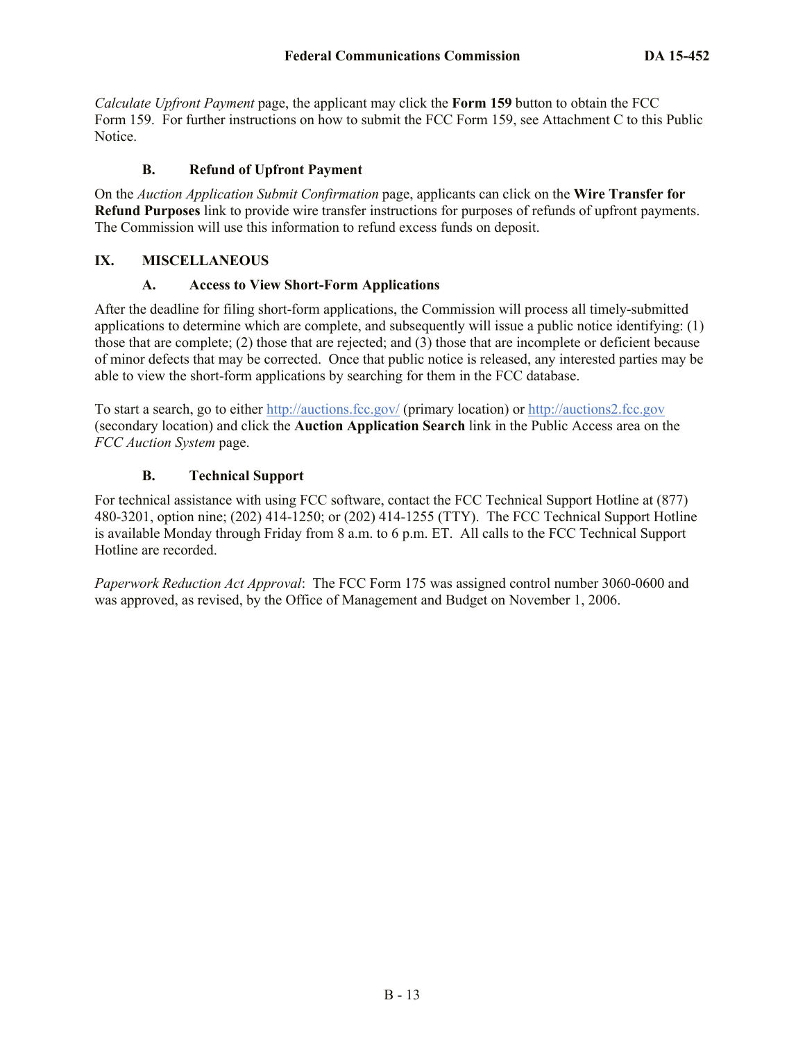*Calculate Upfront Payment* page, the applicant may click the **Form 159** button to obtain the FCC Form 159. For further instructions on how to submit the FCC Form 159, see Attachment C to this Public Notice.

#### **B. Refund of Upfront Payment**

On the *Auction Application Submit Confirmation* page, applicants can click on the **Wire Transfer for Refund Purposes** link to provide wire transfer instructions for purposes of refunds of upfront payments. The Commission will use this information to refund excess funds on deposit.

## **IX. MISCELLANEOUS**

## **A. Access to View Short-Form Applications**

After the deadline for filing short-form applications, the Commission will process all timely-submitted applications to determine which are complete, and subsequently will issue a public notice identifying: (1) those that are complete; (2) those that are rejected; and (3) those that are incomplete or deficient because of minor defects that may be corrected. Once that public notice is released, any interested parties may be able to view the short-form applications by searching for them in the FCC database.

To start a search, go to either http://auctions.fcc.gov/ (primary location) or http://auctions2.fcc.gov (secondary location) and click the **Auction Application Search** link in the Public Access area on the *FCC Auction System* page.

## **B. Technical Support**

For technical assistance with using FCC software, contact the FCC Technical Support Hotline at (877) 480-3201, option nine; (202) 414-1250; or (202) 414-1255 (TTY). The FCC Technical Support Hotline is available Monday through Friday from 8 a.m. to 6 p.m. ET. All calls to the FCC Technical Support Hotline are recorded.

*Paperwork Reduction Act Approval*: The FCC Form 175 was assigned control number 3060-0600 and was approved, as revised, by the Office of Management and Budget on November 1, 2006.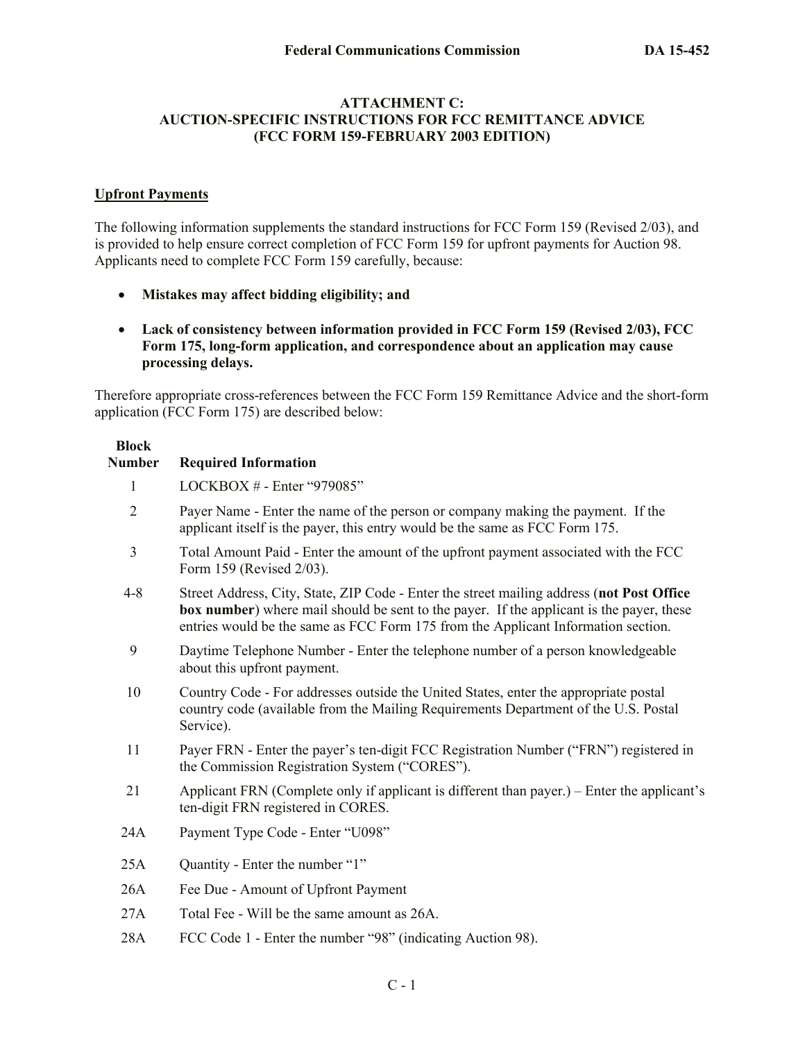#### **ATTACHMENT C: AUCTION-SPECIFIC INSTRUCTIONS FOR FCC REMITTANCE ADVICE (FCC FORM 159-FEBRUARY 2003 EDITION)**

#### **Upfront Payments**

The following information supplements the standard instructions for FCC Form 159 (Revised 2/03), and is provided to help ensure correct completion of FCC Form 159 for upfront payments for Auction 98. Applicants need to complete FCC Form 159 carefully, because:

- **Mistakes may affect bidding eligibility; and**
- **Lack of consistency between information provided in FCC Form 159 (Revised 2/03), FCC Form 175, long-form application, and correspondence about an application may cause processing delays.**

Therefore appropriate cross-references between the FCC Form 159 Remittance Advice and the short-form application (FCC Form 175) are described below:

# **Block Number Required Information**  1 LOCKBOX # - Enter "979085" 2 Payer Name - Enter the name of the person or company making the payment. If the applicant itself is the payer, this entry would be the same as FCC Form 175. 3 Total Amount Paid - Enter the amount of the upfront payment associated with the FCC Form 159 (Revised 2/03). 4-8 Street Address, City, State, ZIP Code - Enter the street mailing address (**not Post Office box number**) where mail should be sent to the payer. If the applicant is the payer, these entries would be the same as FCC Form 175 from the Applicant Information section. 9 Daytime Telephone Number - Enter the telephone number of a person knowledgeable about this upfront payment. 10 Country Code - For addresses outside the United States, enter the appropriate postal country code (available from the Mailing Requirements Department of the U.S. Postal Service). 11 Payer FRN - Enter the payer's ten-digit FCC Registration Number ("FRN") registered in the Commission Registration System ("CORES"). 21 Applicant FRN (Complete only if applicant is different than payer.) – Enter the applicant's ten-digit FRN registered in CORES. 24A Payment Type Code - Enter "U098" 25A Quantity - Enter the number "1" 26A Fee Due - Amount of Upfront Payment 27A Total Fee - Will be the same amount as 26A. 28A FCC Code 1 - Enter the number "98" (indicating Auction 98).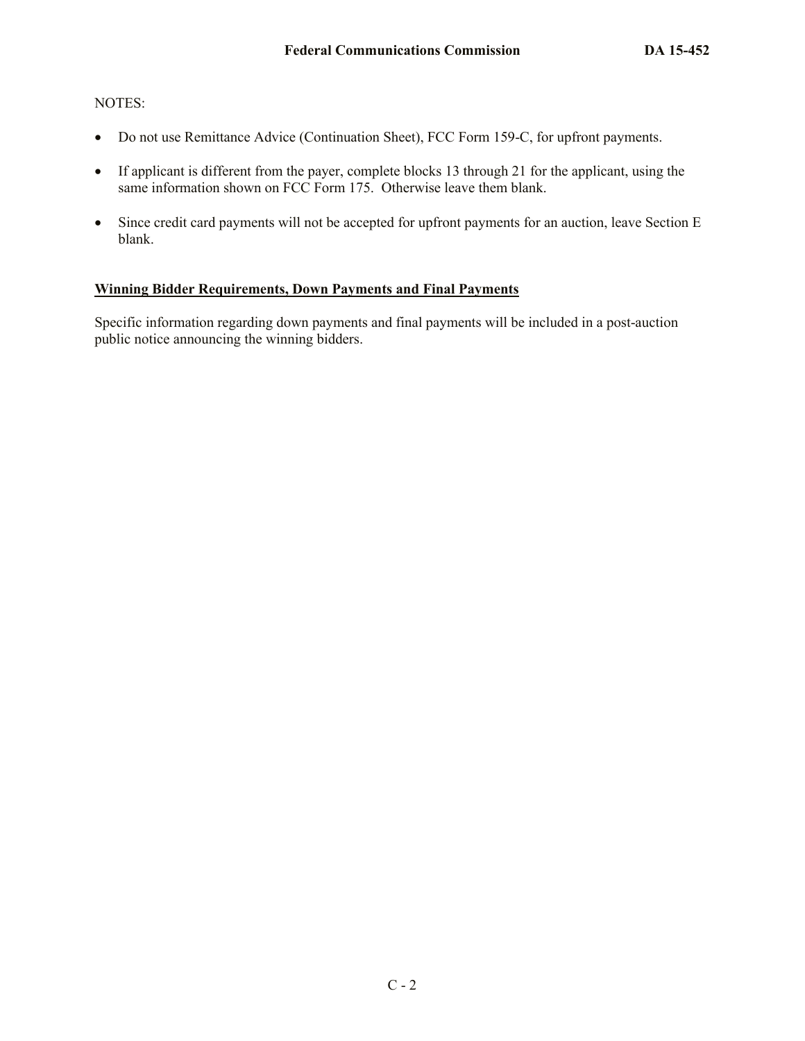## NOTES:

- Do not use Remittance Advice (Continuation Sheet), FCC Form 159-C, for upfront payments.
- If applicant is different from the payer, complete blocks 13 through 21 for the applicant, using the same information shown on FCC Form 175. Otherwise leave them blank.
- Since credit card payments will not be accepted for upfront payments for an auction, leave Section E blank.

## **Winning Bidder Requirements, Down Payments and Final Payments**

Specific information regarding down payments and final payments will be included in a post-auction public notice announcing the winning bidders.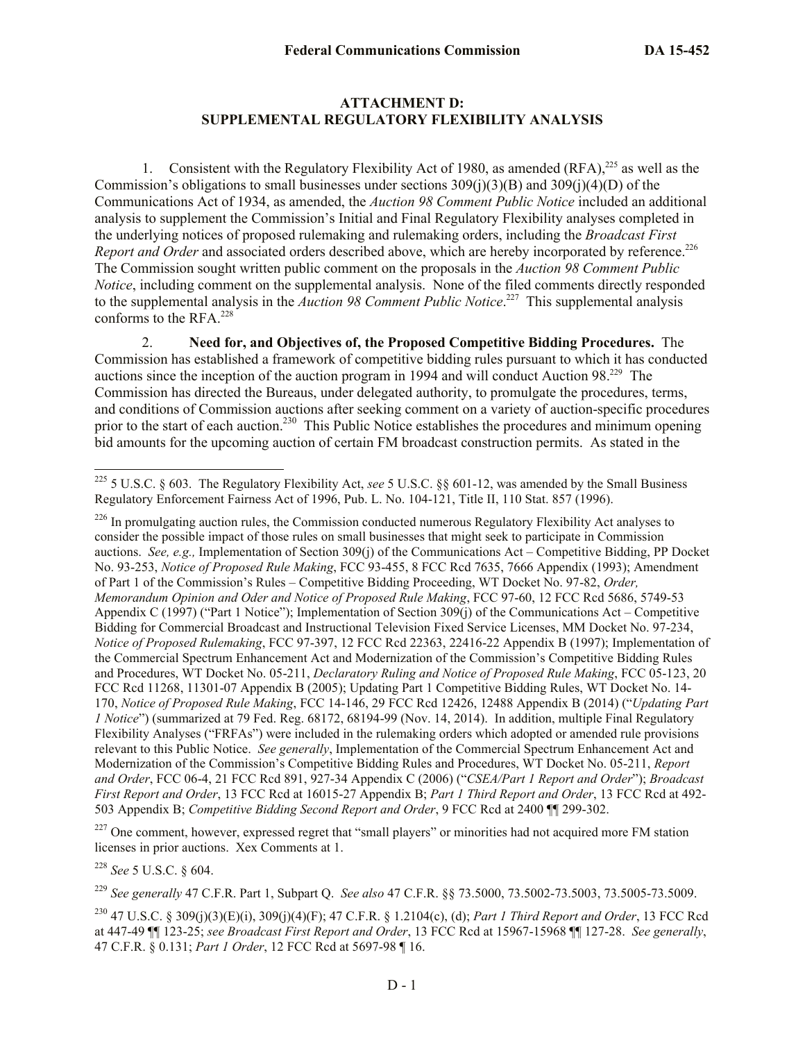#### **ATTACHMENT D: SUPPLEMENTAL REGULATORY FLEXIBILITY ANALYSIS**

1. Consistent with the Regulatory Flexibility Act of 1980, as amended  $(RFA)$ ,<sup>225</sup> as well as the Commission's obligations to small businesses under sections  $309(i)(3)(B)$  and  $309(i)(4)(D)$  of the Communications Act of 1934, as amended, the *Auction 98 Comment Public Notice* included an additional analysis to supplement the Commission's Initial and Final Regulatory Flexibility analyses completed in the underlying notices of proposed rulemaking and rulemaking orders, including the *Broadcast First*  Report and Order and associated orders described above, which are hereby incorporated by reference.<sup>226</sup> The Commission sought written public comment on the proposals in the *Auction 98 Comment Public Notice*, including comment on the supplemental analysis. None of the filed comments directly responded to the supplemental analysis in the *Auction 98 Comment Public Notice*. 227 This supplemental analysis conforms to the RFA.<sup>228</sup>

2. **Need for, and Objectives of, the Proposed Competitive Bidding Procedures.** The Commission has established a framework of competitive bidding rules pursuant to which it has conducted auctions since the inception of the auction program in 1994 and will conduct Auction 98.<sup>229</sup> The Commission has directed the Bureaus, under delegated authority, to promulgate the procedures, terms, and conditions of Commission auctions after seeking comment on a variety of auction-specific procedures prior to the start of each auction.<sup>230</sup> This Public Notice establishes the procedures and minimum opening bid amounts for the upcoming auction of certain FM broadcast construction permits. As stated in the

 $226$  In promulgating auction rules, the Commission conducted numerous Regulatory Flexibility Act analyses to consider the possible impact of those rules on small businesses that might seek to participate in Commission auctions. *See, e.g.,* Implementation of Section 309(j) of the Communications Act – Competitive Bidding, PP Docket No. 93-253, *Notice of Proposed Rule Making*, FCC 93-455, 8 FCC Rcd 7635, 7666 Appendix (1993); Amendment of Part 1 of the Commission's Rules – Competitive Bidding Proceeding, WT Docket No. 97-82, *Order, Memorandum Opinion and Oder and Notice of Proposed Rule Making*, FCC 97-60, 12 FCC Rcd 5686, 5749-53 Appendix C (1997) ("Part 1 Notice"); Implementation of Section 309(j) of the Communications Act – Competitive Bidding for Commercial Broadcast and Instructional Television Fixed Service Licenses, MM Docket No. 97-234, *Notice of Proposed Rulemaking*, FCC 97-397, 12 FCC Rcd 22363, 22416-22 Appendix B (1997); Implementation of the Commercial Spectrum Enhancement Act and Modernization of the Commission's Competitive Bidding Rules and Procedures, WT Docket No. 05-211, *Declaratory Ruling and Notice of Proposed Rule Making*, FCC 05-123, 20 FCC Rcd 11268, 11301-07 Appendix B (2005); Updating Part 1 Competitive Bidding Rules, WT Docket No. 14- 170, *Notice of Proposed Rule Making*, FCC 14-146, 29 FCC Rcd 12426, 12488 Appendix B (2014) ("*Updating Part 1 Notice*") (summarized at 79 Fed. Reg. 68172, 68194-99 (Nov. 14, 2014). In addition, multiple Final Regulatory Flexibility Analyses ("FRFAs") were included in the rulemaking orders which adopted or amended rule provisions relevant to this Public Notice. *See generally*, Implementation of the Commercial Spectrum Enhancement Act and Modernization of the Commission's Competitive Bidding Rules and Procedures, WT Docket No. 05-211, *Report and Order*, FCC 06-4, 21 FCC Rcd 891, 927-34 Appendix C (2006) ("*CSEA/Part 1 Report and Order*"); *Broadcast First Report and Order*, 13 FCC Rcd at 16015-27 Appendix B; *Part 1 Third Report and Order*, 13 FCC Rcd at 492- 503 Appendix B; *Competitive Bidding Second Report and Order*, 9 FCC Rcd at 2400 ¶¶ 299-302.

<sup>227</sup> One comment, however, expressed regret that "small players" or minorities had not acquired more FM station licenses in prior auctions. Xex Comments at 1.

<sup>228</sup> *See* 5 U.S.C. § 604.

l

<sup>229</sup> *See generally* 47 C.F.R. Part 1, Subpart Q. *See also* 47 C.F.R. §§ 73.5000, 73.5002-73.5003, 73.5005-73.5009.

<sup>230</sup> 47 U.S.C. § 309(j)(3)(E)(i), 309(j)(4)(F); 47 C.F.R. § 1.2104(c), (d); *Part 1 Third Report and Order*, 13 FCC Rcd at 447-49 ¶¶ 123-25; *see Broadcast First Report and Order*, 13 FCC Rcd at 15967-15968 ¶¶ 127-28. *See generally*, 47 C.F.R. § 0.131; *Part 1 Order*, 12 FCC Rcd at 5697-98 ¶ 16.

<sup>225</sup> 5 U.S.C. § 603. The Regulatory Flexibility Act, *see* 5 U.S.C. §§ 601-12, was amended by the Small Business Regulatory Enforcement Fairness Act of 1996, Pub. L. No. 104-121, Title II, 110 Stat. 857 (1996).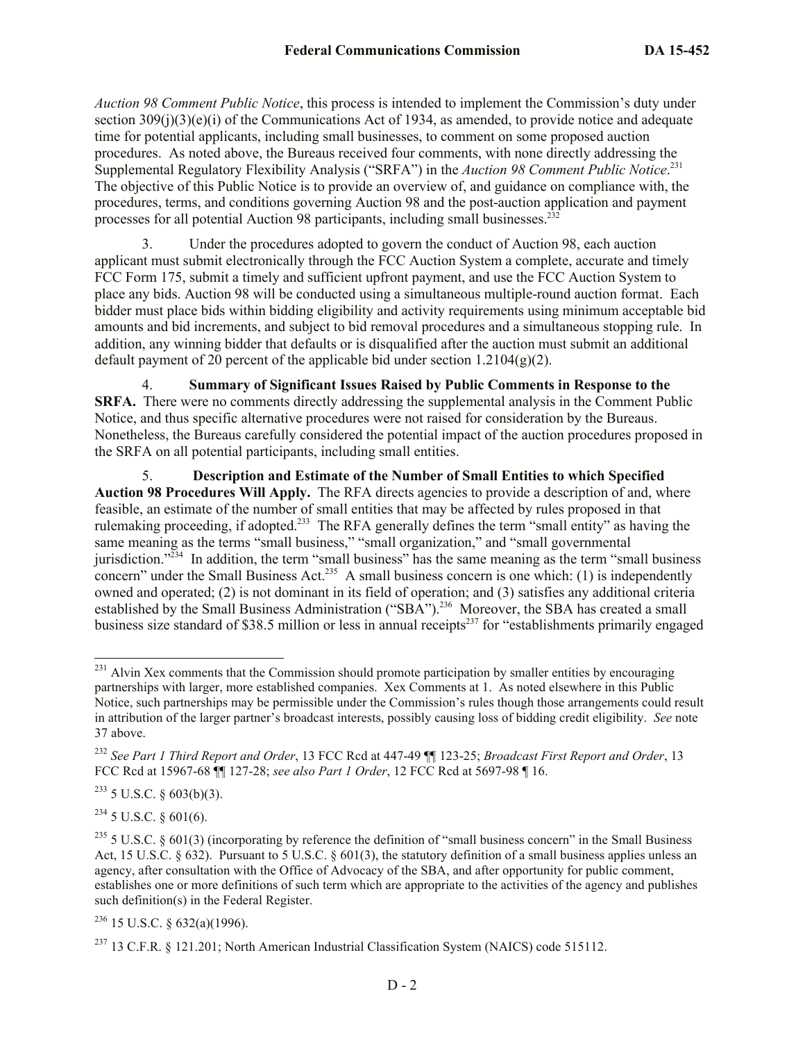*Auction 98 Comment Public Notice*, this process is intended to implement the Commission's duty under section  $309(i)(3)(e)(i)$  of the Communications Act of 1934, as amended, to provide notice and adequate time for potential applicants, including small businesses, to comment on some proposed auction procedures. As noted above, the Bureaus received four comments, with none directly addressing the Supplemental Regulatory Flexibility Analysis ("SRFA") in the *Auction 98 Comment Public Notice*. 231 The objective of this Public Notice is to provide an overview of, and guidance on compliance with, the procedures, terms, and conditions governing Auction 98 and the post-auction application and payment processes for all potential Auction 98 participants, including small businesses.<sup>232</sup>

3. Under the procedures adopted to govern the conduct of Auction 98, each auction applicant must submit electronically through the FCC Auction System a complete, accurate and timely FCC Form 175, submit a timely and sufficient upfront payment, and use the FCC Auction System to place any bids. Auction 98 will be conducted using a simultaneous multiple-round auction format. Each bidder must place bids within bidding eligibility and activity requirements using minimum acceptable bid amounts and bid increments, and subject to bid removal procedures and a simultaneous stopping rule. In addition, any winning bidder that defaults or is disqualified after the auction must submit an additional default payment of 20 percent of the applicable bid under section  $1.2104(g)(2)$ .

4. **Summary of Significant Issues Raised by Public Comments in Response to the SRFA.** There were no comments directly addressing the supplemental analysis in the Comment Public Notice, and thus specific alternative procedures were not raised for consideration by the Bureaus. Nonetheless, the Bureaus carefully considered the potential impact of the auction procedures proposed in the SRFA on all potential participants, including small entities.

5. **Description and Estimate of the Number of Small Entities to which Specified Auction 98 Procedures Will Apply.** The RFA directs agencies to provide a description of and, where feasible, an estimate of the number of small entities that may be affected by rules proposed in that rulemaking proceeding, if adopted.<sup>233</sup> The RFA generally defines the term "small entity" as having the same meaning as the terms "small business," "small organization," and "small governmental jurisdiction."<sup>234</sup> In addition, the term "small business" has the same meaning as the term "small business" concern" under the Small Business Act.<sup>235</sup> A small business concern is one which: (1) is independently owned and operated; (2) is not dominant in its field of operation; and (3) satisfies any additional criteria established by the Small Business Administration ("SBA").<sup>236</sup> Moreover, the SBA has created a small business size standard of \$38.5 million or less in annual receipts<sup>237</sup> for "establishments primarily engaged"

 $233$  5 U.S.C. § 603(b)(3).

 $234$  5 U.S.C. § 601(6).

 $^{231}$  Alvin Xex comments that the Commission should promote participation by smaller entities by encouraging partnerships with larger, more established companies. Xex Comments at 1. As noted elsewhere in this Public Notice, such partnerships may be permissible under the Commission's rules though those arrangements could result in attribution of the larger partner's broadcast interests, possibly causing loss of bidding credit eligibility. *See* note 37 above.

<sup>232</sup> *See Part 1 Third Report and Order*, 13 FCC Rcd at 447-49 ¶¶ 123-25; *Broadcast First Report and Order*, 13 FCC Rcd at 15967-68 ¶¶ 127-28; *see also Part 1 Order*, 12 FCC Rcd at 5697-98 ¶ 16.

<sup>&</sup>lt;sup>235</sup> 5 U.S.C. § 601(3) (incorporating by reference the definition of "small business concern" in the Small Business Act, 15 U.S.C.  $\S$  632). Pursuant to 5 U.S.C.  $\S$  601(3), the statutory definition of a small business applies unless an agency, after consultation with the Office of Advocacy of the SBA, and after opportunity for public comment, establishes one or more definitions of such term which are appropriate to the activities of the agency and publishes such definition(s) in the Federal Register.

 $236$  15 U.S.C. § 632(a)(1996).

 $^{237}$  13 C.F.R. § 121.201; North American Industrial Classification System (NAICS) code 515112.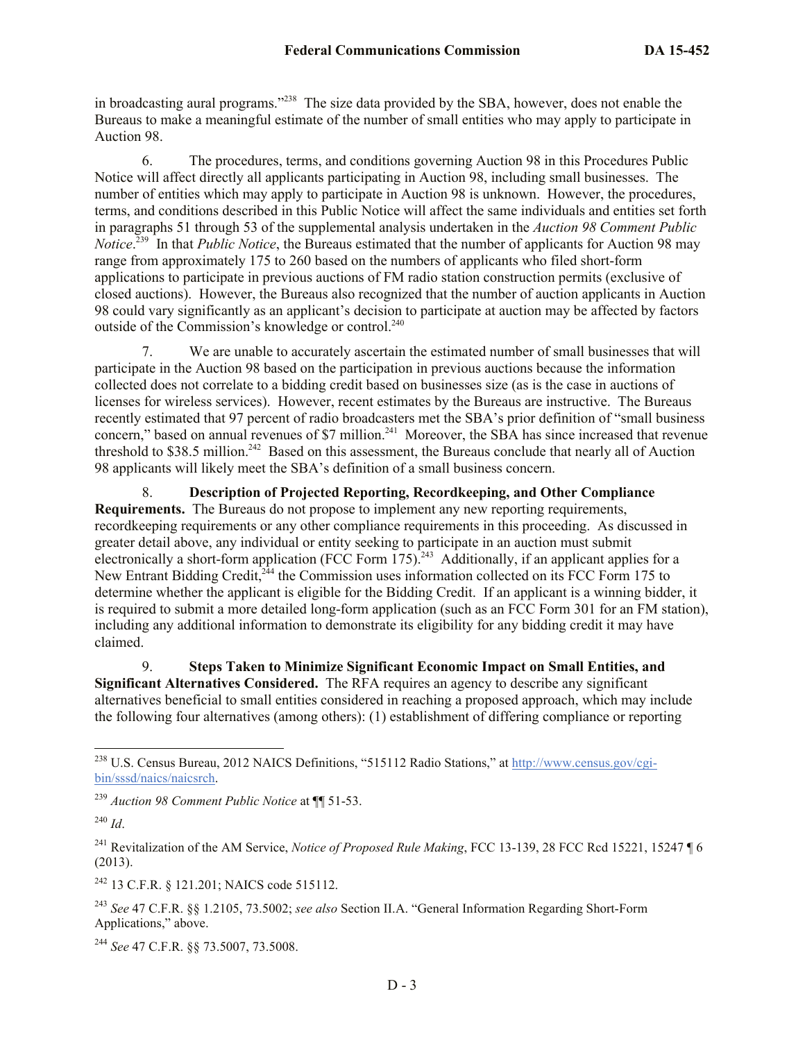in broadcasting aural programs."<sup>238</sup> The size data provided by the SBA, however, does not enable the Bureaus to make a meaningful estimate of the number of small entities who may apply to participate in Auction 98.

6. The procedures, terms, and conditions governing Auction 98 in this Procedures Public Notice will affect directly all applicants participating in Auction 98, including small businesses. The number of entities which may apply to participate in Auction 98 is unknown. However, the procedures, terms, and conditions described in this Public Notice will affect the same individuals and entities set forth in paragraphs 51 through 53 of the supplemental analysis undertaken in the *Auction 98 Comment Public Notice*. 239 In that *Public Notice*, the Bureaus estimated that the number of applicants for Auction 98 may range from approximately 175 to 260 based on the numbers of applicants who filed short-form applications to participate in previous auctions of FM radio station construction permits (exclusive of closed auctions). However, the Bureaus also recognized that the number of auction applicants in Auction 98 could vary significantly as an applicant's decision to participate at auction may be affected by factors outside of the Commission's knowledge or control.<sup>240</sup>

7. We are unable to accurately ascertain the estimated number of small businesses that will participate in the Auction 98 based on the participation in previous auctions because the information collected does not correlate to a bidding credit based on businesses size (as is the case in auctions of licenses for wireless services). However, recent estimates by the Bureaus are instructive. The Bureaus recently estimated that 97 percent of radio broadcasters met the SBA's prior definition of "small business concern," based on annual revenues of \$7 million.<sup>241</sup> Moreover, the SBA has since increased that revenue threshold to \$38.5 million.<sup>242</sup> Based on this assessment, the Bureaus conclude that nearly all of Auction 98 applicants will likely meet the SBA's definition of a small business concern.

8. **Description of Projected Reporting, Recordkeeping, and Other Compliance Requirements.** The Bureaus do not propose to implement any new reporting requirements, recordkeeping requirements or any other compliance requirements in this proceeding. As discussed in greater detail above, any individual or entity seeking to participate in an auction must submit electronically a short-form application (FCC Form  $175$ ).<sup>243</sup> Additionally, if an applicant applies for a New Entrant Bidding Credit,<sup>244</sup> the Commission uses information collected on its FCC Form 175 to determine whether the applicant is eligible for the Bidding Credit. If an applicant is a winning bidder, it is required to submit a more detailed long-form application (such as an FCC Form 301 for an FM station), including any additional information to demonstrate its eligibility for any bidding credit it may have claimed.

9. **Steps Taken to Minimize Significant Economic Impact on Small Entities, and Significant Alternatives Considered.** The RFA requires an agency to describe any significant alternatives beneficial to small entities considered in reaching a proposed approach, which may include the following four alternatives (among others): (1) establishment of differing compliance or reporting

l

<sup>242</sup> 13 C.F.R. § 121.201; NAICS code 515112.

<sup>243</sup> *See* 47 C.F.R. §§ 1.2105, 73.5002; *see also* Section II.A. "General Information Regarding Short-Form Applications," above.

<sup>244</sup> *See* 47 C.F.R. §§ 73.5007, 73.5008.

<sup>&</sup>lt;sup>238</sup> U.S. Census Bureau, 2012 NAICS Definitions, "515112 Radio Stations," at http://www.census.gov/cgibin/sssd/naics/naicsrch.

<sup>239</sup> *Auction 98 Comment Public Notice* at ¶¶ 51-53.

<sup>240</sup> *Id*.

<sup>&</sup>lt;sup>241</sup> Revitalization of the AM Service, *Notice of Proposed Rule Making*, FCC 13-139, 28 FCC Rcd 15221, 15247 ¶ 6 (2013).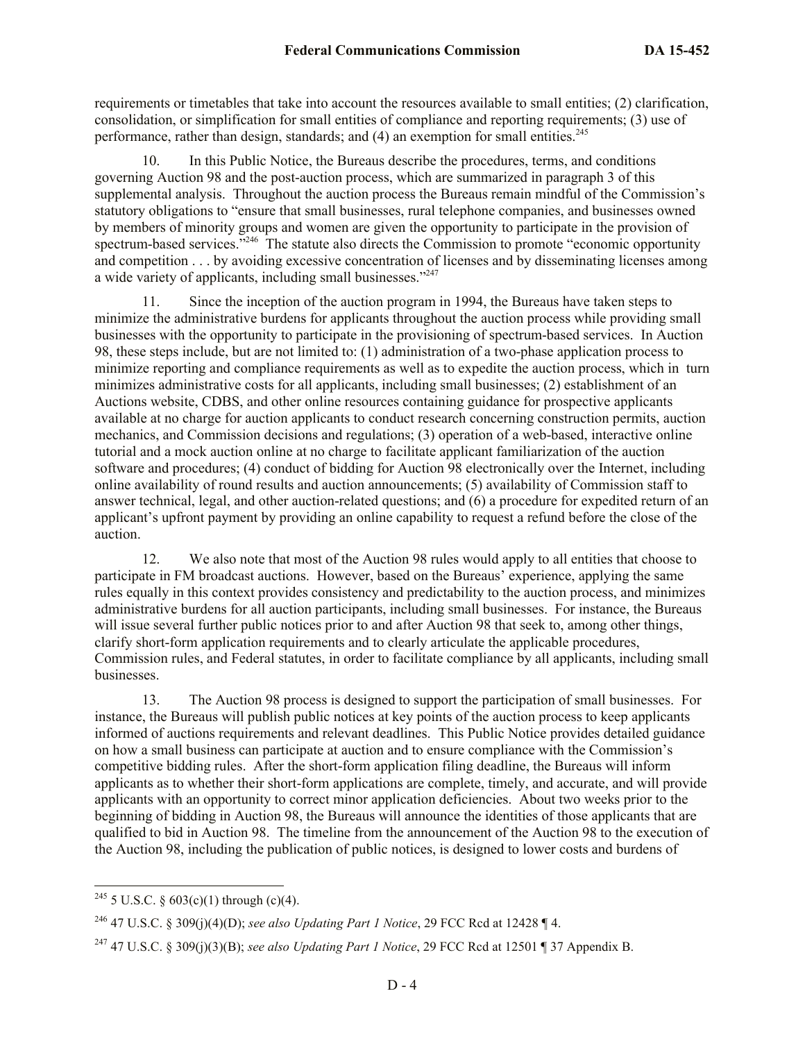requirements or timetables that take into account the resources available to small entities; (2) clarification, consolidation, or simplification for small entities of compliance and reporting requirements; (3) use of performance, rather than design, standards; and (4) an exemption for small entities.<sup>245</sup>

10. In this Public Notice, the Bureaus describe the procedures, terms, and conditions governing Auction 98 and the post-auction process, which are summarized in paragraph 3 of this supplemental analysis. Throughout the auction process the Bureaus remain mindful of the Commission's statutory obligations to "ensure that small businesses, rural telephone companies, and businesses owned by members of minority groups and women are given the opportunity to participate in the provision of spectrum-based services."<sup>246</sup> The statute also directs the Commission to promote "economic opportunity and competition . . . by avoiding excessive concentration of licenses and by disseminating licenses among a wide variety of applicants, including small businesses."<sup>247</sup>

11. Since the inception of the auction program in 1994, the Bureaus have taken steps to minimize the administrative burdens for applicants throughout the auction process while providing small businesses with the opportunity to participate in the provisioning of spectrum-based services. In Auction 98, these steps include, but are not limited to: (1) administration of a two-phase application process to minimize reporting and compliance requirements as well as to expedite the auction process, which in turn minimizes administrative costs for all applicants, including small businesses; (2) establishment of an Auctions website, CDBS, and other online resources containing guidance for prospective applicants available at no charge for auction applicants to conduct research concerning construction permits, auction mechanics, and Commission decisions and regulations; (3) operation of a web-based, interactive online tutorial and a mock auction online at no charge to facilitate applicant familiarization of the auction software and procedures; (4) conduct of bidding for Auction 98 electronically over the Internet, including online availability of round results and auction announcements; (5) availability of Commission staff to answer technical, legal, and other auction-related questions; and (6) a procedure for expedited return of an applicant's upfront payment by providing an online capability to request a refund before the close of the auction.

12. We also note that most of the Auction 98 rules would apply to all entities that choose to participate in FM broadcast auctions. However, based on the Bureaus' experience, applying the same rules equally in this context provides consistency and predictability to the auction process, and minimizes administrative burdens for all auction participants, including small businesses. For instance, the Bureaus will issue several further public notices prior to and after Auction 98 that seek to, among other things, clarify short-form application requirements and to clearly articulate the applicable procedures, Commission rules, and Federal statutes, in order to facilitate compliance by all applicants, including small businesses.

13. The Auction 98 process is designed to support the participation of small businesses. For instance, the Bureaus will publish public notices at key points of the auction process to keep applicants informed of auctions requirements and relevant deadlines. This Public Notice provides detailed guidance on how a small business can participate at auction and to ensure compliance with the Commission's competitive bidding rules. After the short-form application filing deadline, the Bureaus will inform applicants as to whether their short-form applications are complete, timely, and accurate, and will provide applicants with an opportunity to correct minor application deficiencies. About two weeks prior to the beginning of bidding in Auction 98, the Bureaus will announce the identities of those applicants that are qualified to bid in Auction 98. The timeline from the announcement of the Auction 98 to the execution of the Auction 98, including the publication of public notices, is designed to lower costs and burdens of

 $\overline{\phantom{a}}$ 

<sup>&</sup>lt;sup>245</sup> 5 U.S.C. § 603(c)(1) through (c)(4).

<sup>246</sup> 47 U.S.C. § 309(j)(4)(D); *see also Updating Part 1 Notice*, 29 FCC Rcd at 12428 ¶ 4.

<sup>247</sup> 47 U.S.C. § 309(j)(3)(B); *see also Updating Part 1 Notice*, 29 FCC Rcd at 12501 ¶ 37 Appendix B.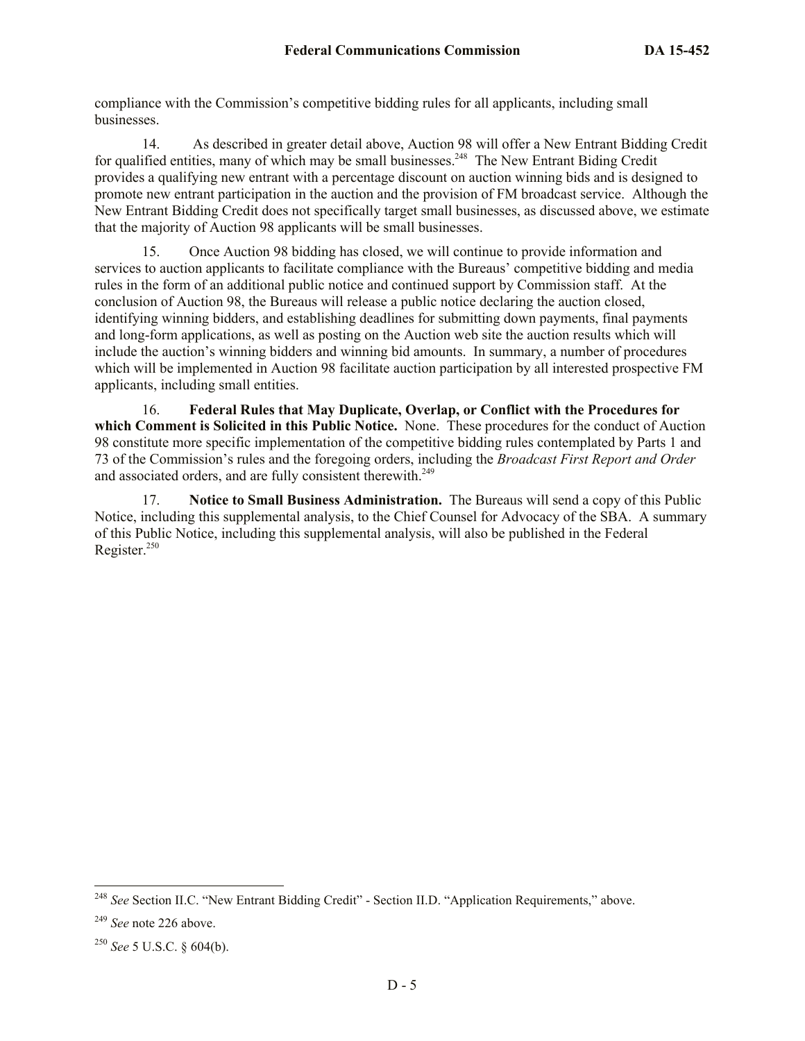compliance with the Commission's competitive bidding rules for all applicants, including small businesses.

14. As described in greater detail above, Auction 98 will offer a New Entrant Bidding Credit for qualified entities, many of which may be small businesses.<sup>248</sup> The New Entrant Biding Credit provides a qualifying new entrant with a percentage discount on auction winning bids and is designed to promote new entrant participation in the auction and the provision of FM broadcast service. Although the New Entrant Bidding Credit does not specifically target small businesses, as discussed above, we estimate that the majority of Auction 98 applicants will be small businesses.

15. Once Auction 98 bidding has closed, we will continue to provide information and services to auction applicants to facilitate compliance with the Bureaus' competitive bidding and media rules in the form of an additional public notice and continued support by Commission staff. At the conclusion of Auction 98, the Bureaus will release a public notice declaring the auction closed, identifying winning bidders, and establishing deadlines for submitting down payments, final payments and long-form applications, as well as posting on the Auction web site the auction results which will include the auction's winning bidders and winning bid amounts. In summary, a number of procedures which will be implemented in Auction 98 facilitate auction participation by all interested prospective FM applicants, including small entities.

16. **Federal Rules that May Duplicate, Overlap, or Conflict with the Procedures for which Comment is Solicited in this Public Notice.** None. These procedures for the conduct of Auction 98 constitute more specific implementation of the competitive bidding rules contemplated by Parts 1 and 73 of the Commission's rules and the foregoing orders, including the *Broadcast First Report and Order* and associated orders, and are fully consistent therewith.<sup>249</sup>

17. **Notice to Small Business Administration.** The Bureaus will send a copy of this Public Notice, including this supplemental analysis, to the Chief Counsel for Advocacy of the SBA. A summary of this Public Notice, including this supplemental analysis, will also be published in the Federal Register.<sup>250</sup>

 $\overline{\phantom{a}}$ 

<sup>248</sup> *See* Section II.C. "New Entrant Bidding Credit" - Section II.D. "Application Requirements," above.

<sup>249</sup> *See* note 226 above.

<sup>250</sup> *See* 5 U.S.C. § 604(b).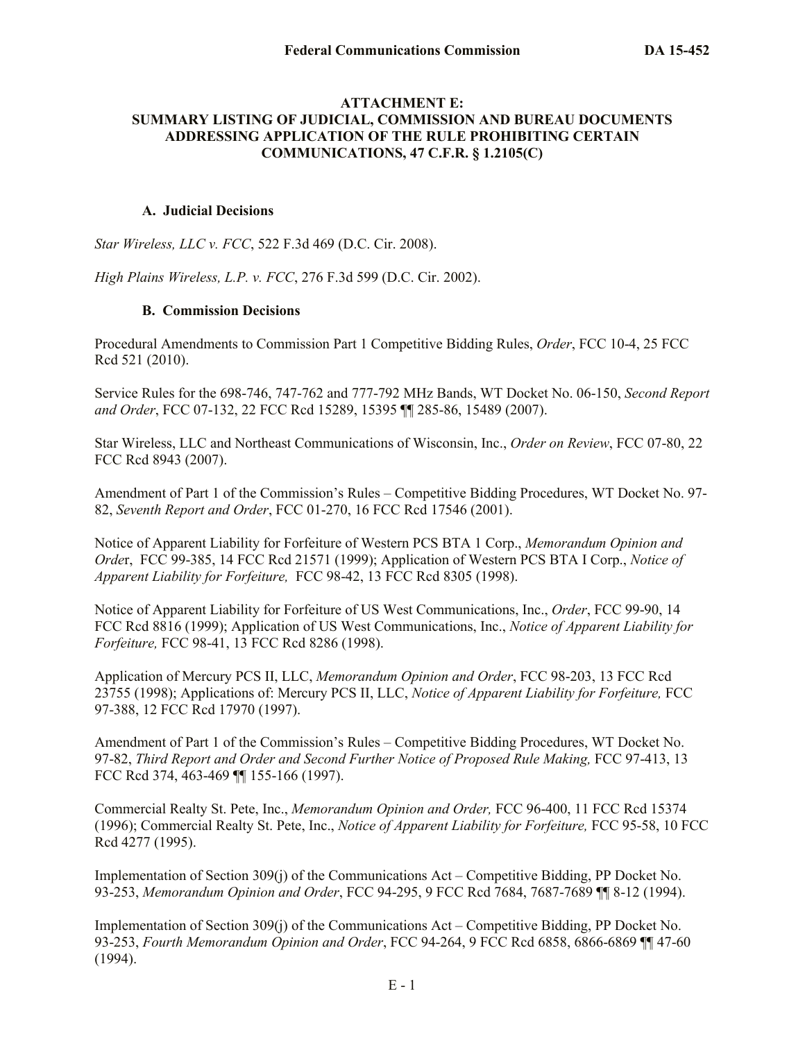#### **ATTACHMENT E: SUMMARY LISTING OF JUDICIAL, COMMISSION AND BUREAU DOCUMENTS ADDRESSING APPLICATION OF THE RULE PROHIBITING CERTAIN COMMUNICATIONS, 47 C.F.R. § 1.2105(C)**

#### **A. Judicial Decisions**

*Star Wireless, LLC v. FCC*, 522 F.3d 469 (D.C. Cir. 2008).

*High Plains Wireless, L.P. v. FCC*, 276 F.3d 599 (D.C. Cir. 2002).

## **B. Commission Decisions**

Procedural Amendments to Commission Part 1 Competitive Bidding Rules, *Order*, FCC 10-4, 25 FCC Rcd 521 (2010).

Service Rules for the 698-746, 747-762 and 777-792 MHz Bands, WT Docket No. 06-150, *Second Report and Order*, FCC 07-132, 22 FCC Rcd 15289, 15395 ¶¶ 285-86, 15489 (2007).

Star Wireless, LLC and Northeast Communications of Wisconsin, Inc., *Order on Review*, FCC 07-80, 22 FCC Rcd 8943 (2007).

Amendment of Part 1 of the Commission's Rules – Competitive Bidding Procedures, WT Docket No. 97- 82, *Seventh Report and Order*, FCC 01-270, 16 FCC Rcd 17546 (2001).

Notice of Apparent Liability for Forfeiture of Western PCS BTA 1 Corp., *Memorandum Opinion and Orde*r, FCC 99-385, 14 FCC Rcd 21571 (1999); Application of Western PCS BTA I Corp., *Notice of Apparent Liability for Forfeiture,* FCC 98-42, 13 FCC Rcd 8305 (1998).

Notice of Apparent Liability for Forfeiture of US West Communications, Inc., *Order*, FCC 99-90, 14 FCC Rcd 8816 (1999); Application of US West Communications, Inc., *Notice of Apparent Liability for Forfeiture,* FCC 98-41, 13 FCC Rcd 8286 (1998).

Application of Mercury PCS II, LLC, *Memorandum Opinion and Order*, FCC 98-203, 13 FCC Rcd 23755 (1998); Applications of: Mercury PCS II, LLC, *Notice of Apparent Liability for Forfeiture,* FCC 97-388, 12 FCC Rcd 17970 (1997).

Amendment of Part 1 of the Commission's Rules – Competitive Bidding Procedures, WT Docket No. 97-82, *Third Report and Order and Second Further Notice of Proposed Rule Making,* FCC 97-413, 13 FCC Rcd 374, 463-469 ¶¶ 155-166 (1997).

Commercial Realty St. Pete, Inc., *Memorandum Opinion and Order,* FCC 96-400, 11 FCC Rcd 15374 (1996); Commercial Realty St. Pete, Inc., *Notice of Apparent Liability for Forfeiture,* FCC 95-58, 10 FCC Rcd 4277 (1995).

Implementation of Section 309(j) of the Communications Act – Competitive Bidding, PP Docket No. 93-253, *Memorandum Opinion and Order*, FCC 94-295, 9 FCC Rcd 7684, 7687-7689 ¶¶ 8-12 (1994).

Implementation of Section 309(j) of the Communications Act – Competitive Bidding, PP Docket No. 93-253, *Fourth Memorandum Opinion and Order*, FCC 94-264, 9 FCC Rcd 6858, 6866-6869 ¶¶ 47-60 (1994).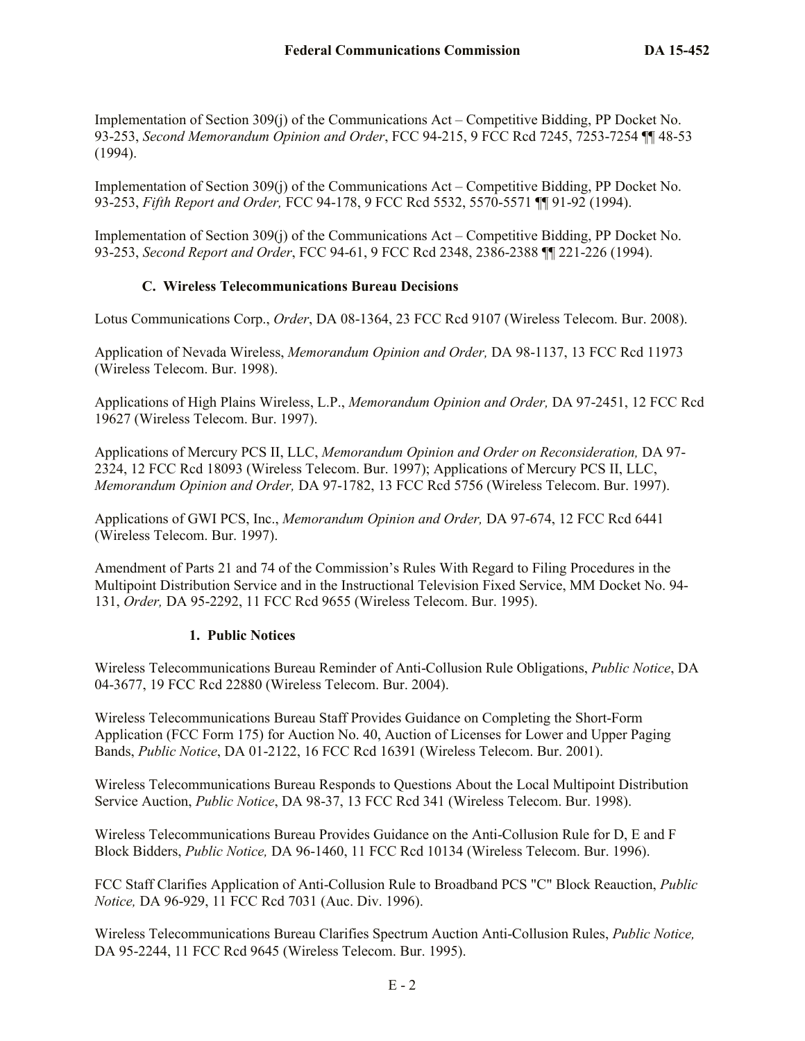Implementation of Section 309(j) of the Communications Act – Competitive Bidding, PP Docket No. 93-253, *Second Memorandum Opinion and Order*, FCC 94-215, 9 FCC Rcd 7245, 7253-7254 ¶¶ 48-53 (1994).

Implementation of Section 309(j) of the Communications Act – Competitive Bidding, PP Docket No. 93-253, *Fifth Report and Order,* FCC 94-178, 9 FCC Rcd 5532, 5570-5571 ¶¶ 91-92 (1994).

Implementation of Section 309(j) of the Communications Act – Competitive Bidding, PP Docket No. 93-253, *Second Report and Order*, FCC 94-61, 9 FCC Rcd 2348, 2386-2388 ¶¶ 221-226 (1994).

## **C. Wireless Telecommunications Bureau Decisions**

Lotus Communications Corp., *Order*, DA 08-1364, 23 FCC Rcd 9107 (Wireless Telecom. Bur. 2008).

Application of Nevada Wireless, *Memorandum Opinion and Order,* DA 98-1137, 13 FCC Rcd 11973 (Wireless Telecom. Bur. 1998).

Applications of High Plains Wireless, L.P., *Memorandum Opinion and Order,* DA 97-2451, 12 FCC Rcd 19627 (Wireless Telecom. Bur. 1997).

Applications of Mercury PCS II, LLC, *Memorandum Opinion and Order on Reconsideration,* DA 97- 2324, 12 FCC Rcd 18093 (Wireless Telecom. Bur. 1997); Applications of Mercury PCS II, LLC, *Memorandum Opinion and Order,* DA 97-1782, 13 FCC Rcd 5756 (Wireless Telecom. Bur. 1997).

Applications of GWI PCS, Inc., *Memorandum Opinion and Order,* DA 97-674, 12 FCC Rcd 6441 (Wireless Telecom. Bur. 1997).

Amendment of Parts 21 and 74 of the Commission's Rules With Regard to Filing Procedures in the Multipoint Distribution Service and in the Instructional Television Fixed Service, MM Docket No. 94- 131, *Order,* DA 95-2292, 11 FCC Rcd 9655 (Wireless Telecom. Bur. 1995).

## **1. Public Notices**

Wireless Telecommunications Bureau Reminder of Anti-Collusion Rule Obligations, *Public Notice*, DA 04-3677, 19 FCC Rcd 22880 (Wireless Telecom. Bur. 2004).

Wireless Telecommunications Bureau Staff Provides Guidance on Completing the Short-Form Application (FCC Form 175) for Auction No. 40, Auction of Licenses for Lower and Upper Paging Bands, *Public Notice*, DA 01-2122, 16 FCC Rcd 16391 (Wireless Telecom. Bur. 2001).

Wireless Telecommunications Bureau Responds to Questions About the Local Multipoint Distribution Service Auction, *Public Notice*, DA 98-37, 13 FCC Rcd 341 (Wireless Telecom. Bur. 1998).

Wireless Telecommunications Bureau Provides Guidance on the Anti-Collusion Rule for D, E and F Block Bidders, *Public Notice,* DA 96-1460, 11 FCC Rcd 10134 (Wireless Telecom. Bur. 1996).

FCC Staff Clarifies Application of Anti-Collusion Rule to Broadband PCS "C" Block Reauction, *Public Notice,* DA 96-929, 11 FCC Rcd 7031 (Auc. Div. 1996).

Wireless Telecommunications Bureau Clarifies Spectrum Auction Anti-Collusion Rules, *Public Notice,*  DA 95-2244, 11 FCC Rcd 9645 (Wireless Telecom. Bur. 1995).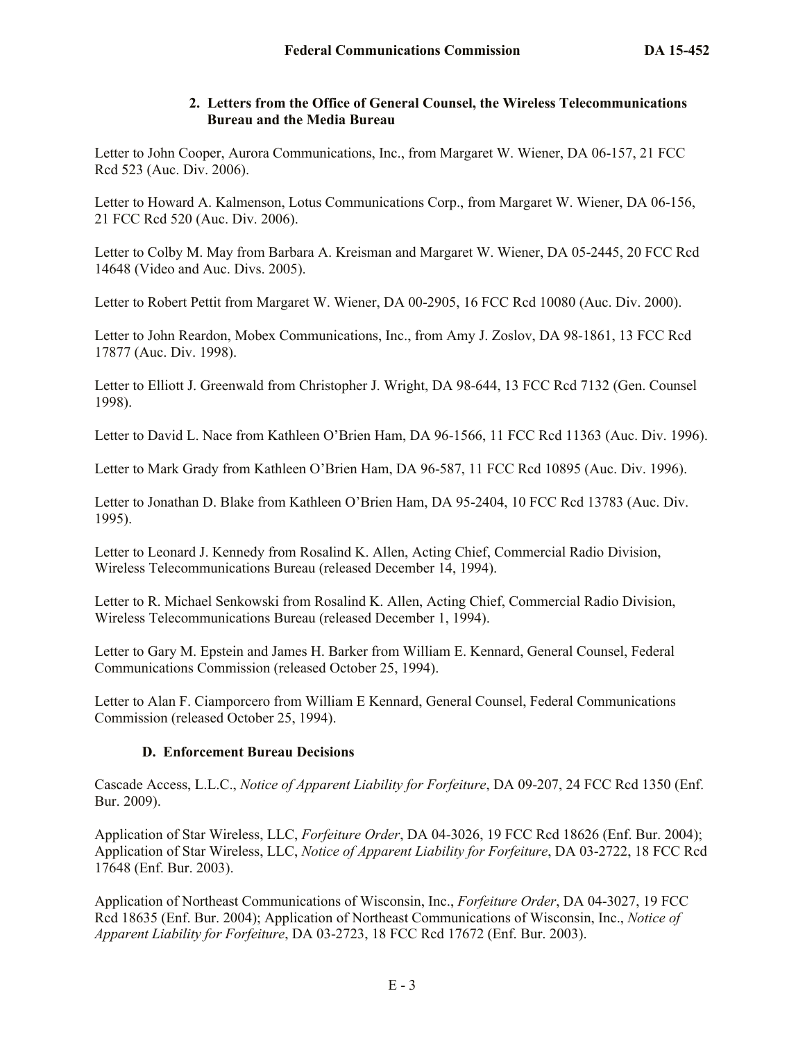## **2. Letters from the Office of General Counsel, the Wireless Telecommunications Bureau and the Media Bureau**

Letter to John Cooper, Aurora Communications, Inc., from Margaret W. Wiener, DA 06-157, 21 FCC Rcd 523 (Auc. Div. 2006).

Letter to Howard A. Kalmenson, Lotus Communications Corp., from Margaret W. Wiener, DA 06-156, 21 FCC Rcd 520 (Auc. Div. 2006).

Letter to Colby M. May from Barbara A. Kreisman and Margaret W. Wiener, DA 05-2445, 20 FCC Rcd 14648 (Video and Auc. Divs. 2005).

Letter to Robert Pettit from Margaret W. Wiener, DA 00-2905, 16 FCC Rcd 10080 (Auc. Div. 2000).

Letter to John Reardon, Mobex Communications, Inc., from Amy J. Zoslov, DA 98-1861, 13 FCC Rcd 17877 (Auc. Div. 1998).

Letter to Elliott J. Greenwald from Christopher J. Wright, DA 98-644, 13 FCC Rcd 7132 (Gen. Counsel 1998).

Letter to David L. Nace from Kathleen O'Brien Ham, DA 96-1566, 11 FCC Rcd 11363 (Auc. Div. 1996).

Letter to Mark Grady from Kathleen O'Brien Ham, DA 96-587, 11 FCC Rcd 10895 (Auc. Div. 1996).

Letter to Jonathan D. Blake from Kathleen O'Brien Ham, DA 95-2404, 10 FCC Rcd 13783 (Auc. Div. 1995).

Letter to Leonard J. Kennedy from Rosalind K. Allen, Acting Chief, Commercial Radio Division, Wireless Telecommunications Bureau (released December 14, 1994).

Letter to R. Michael Senkowski from Rosalind K. Allen, Acting Chief, Commercial Radio Division, Wireless Telecommunications Bureau (released December 1, 1994).

Letter to Gary M. Epstein and James H. Barker from William E. Kennard, General Counsel, Federal Communications Commission (released October 25, 1994).

Letter to Alan F. Ciamporcero from William E Kennard, General Counsel, Federal Communications Commission (released October 25, 1994).

## **D. Enforcement Bureau Decisions**

Cascade Access, L.L.C., *Notice of Apparent Liability for Forfeiture*, DA 09-207, 24 FCC Rcd 1350 (Enf. Bur. 2009).

Application of Star Wireless, LLC, *Forfeiture Order*, DA 04-3026, 19 FCC Rcd 18626 (Enf. Bur. 2004); Application of Star Wireless, LLC, *Notice of Apparent Liability for Forfeiture*, DA 03-2722, 18 FCC Rcd 17648 (Enf. Bur. 2003).

Application of Northeast Communications of Wisconsin, Inc., *Forfeiture Order*, DA 04-3027, 19 FCC Rcd 18635 (Enf. Bur. 2004); Application of Northeast Communications of Wisconsin, Inc., *Notice of Apparent Liability for Forfeiture*, DA 03-2723, 18 FCC Rcd 17672 (Enf. Bur. 2003).